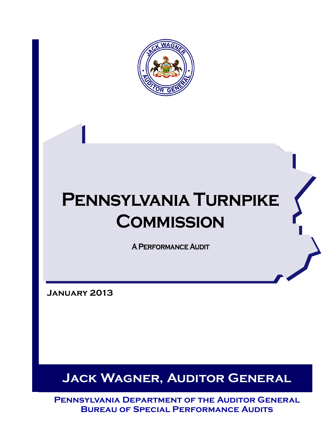

# **Pennsylvania Turnpike Commission**

**A Performance Audit**

**January 2013**

**Jack Wagner, Auditor General** 

**Pennsylvania Department of the Auditor General Bureau of Special Performance Audits**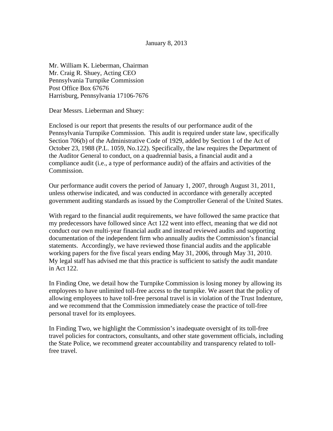Mr. William K. Lieberman, Chairman Mr. Craig R. Shuey, Acting CEO Pennsylvania Turnpike Commission Post Office Box 67676 Harrisburg, Pennsylvania 17106-7676

Dear Messrs. Lieberman and Shuey:

Enclosed is our report that presents the results of our performance audit of the Pennsylvania Turnpike Commission. This audit is required under state law, specifically Section 706(b) of the Administrative Code of 1929, added by Section 1 of the Act of October 23, 1988 (P.L. 1059, No.122). Specifically, the law requires the Department of the Auditor General to conduct, on a quadrennial basis, a financial audit and a compliance audit (i.e., a type of performance audit) of the affairs and activities of the Commission.

Our performance audit covers the period of January 1, 2007, through August 31, 2011, unless otherwise indicated, and was conducted in accordance with generally accepted government auditing standards as issued by the Comptroller General of the United States.

With regard to the financial audit requirements, we have followed the same practice that my predecessors have followed since Act 122 went into effect, meaning that we did not conduct our own multi-year financial audit and instead reviewed audits and supporting documentation of the independent firm who annually audits the Commission's financial statements. Accordingly, we have reviewed those financial audits and the applicable working papers for the five fiscal years ending May 31, 2006, through May 31, 2010. My legal staff has advised me that this practice is sufficient to satisfy the audit mandate in Act 122.

In Finding One, we detail how the Turnpike Commission is losing money by allowing its employees to have unlimited toll-free access to the turnpike. We assert that the policy of allowing employees to have toll-free personal travel is in violation of the Trust Indenture, and we recommend that the Commission immediately cease the practice of toll-free personal travel for its employees.

In Finding Two, we highlight the Commission's inadequate oversight of its toll-free travel policies for contractors, consultants, and other state government officials, including the State Police, we recommend greater accountability and transparency related to tollfree travel.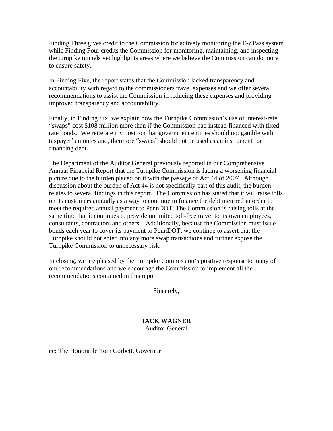Finding Three gives credit to the Commission for actively monitoring the E-ZPass system while Finding Four credits the Commission for monitoring, maintaining, and inspecting the turnpike tunnels yet highlights areas where we believe the Commission can do more to ensure safety.

In Finding Five, the report states that the Commission lacked transparency and accountability with regard to the commissioners travel expenses and we offer several recommendations to assist the Commission in reducing these expenses and providing improved transparency and accountability.

Finally, in Finding Six, we explain how the Turnpike Commission's use of interest-rate "swaps" cost \$108 million more than if the Commission had instead financed with fixed rate bonds. We reiterate my position that government entities should not gamble with taxpayer's monies and, therefore "swaps" should not be used as an instrument for financing debt.

The Department of the Auditor General previously reported in our Comprehensive Annual Financial Report that the Turnpike Commission is facing a worsening financial picture due to the burden placed on it with the passage of Act 44 of 2007. Although discussion about the burden of Act 44 is not specifically part of this audit, the burden relates to several findings in this report. The Commission has stated that it will raise tolls on its customers annually as a way to continue to finance the debt incurred in order to meet the required annual payment to PennDOT. The Commission is raising tolls at the same time that it continues to provide unlimited toll-free travel to its own employees, consultants, contractors and others. Additionally, because the Commission must issue bonds each year to cover its payment to PennDOT, we continue to assert that the Turnpike should not enter into any more swap transactions and further expose the Turnpike Commission to unnecessary risk.

In closing, we are pleased by the Turnpike Commission's positive response to many of our recommendations and we encourage the Commission to implement all the recommendations contained in this report.

Sincerely,

## **JACK WAGNER**  Auditor General

cc: The Honorable Tom Corbett, Governor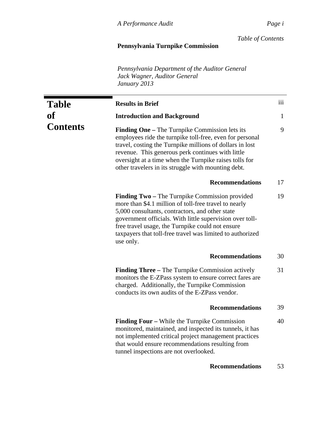*Table of Contents*

# **Pennsylvania Turnpike Commission**

*Pennsylvania Department of the Auditor General Jack Wagner, Auditor General January 2013* 

| <b>Table</b>    | <b>Results in Brief</b>                                                                                                                                                                                                                                                                                                                                     | iii          |
|-----------------|-------------------------------------------------------------------------------------------------------------------------------------------------------------------------------------------------------------------------------------------------------------------------------------------------------------------------------------------------------------|--------------|
| of              | <b>Introduction and Background</b>                                                                                                                                                                                                                                                                                                                          | $\mathbf{1}$ |
| <b>Contents</b> | <b>Finding One</b> – The Turnpike Commission lets its<br>employees ride the turnpike toll-free, even for personal<br>travel, costing the Turnpike millions of dollars in lost<br>revenue. This generous perk continues with little<br>oversight at a time when the Turnpike raises tolls for<br>other travelers in its struggle with mounting debt.         | 9            |
|                 | <b>Recommendations</b>                                                                                                                                                                                                                                                                                                                                      | 17           |
|                 | <b>Finding Two</b> – The Turnpike Commission provided<br>more than \$4.1 million of toll-free travel to nearly<br>5,000 consultants, contractors, and other state<br>government officials. With little supervision over toll-<br>free travel usage, the Turnpike could not ensure<br>taxpayers that toll-free travel was limited to authorized<br>use only. | 19           |
|                 | <b>Recommendations</b>                                                                                                                                                                                                                                                                                                                                      | 30           |
|                 | <b>Finding Three – The Turnpike Commission actively</b><br>monitors the E-ZPass system to ensure correct fares are<br>charged. Additionally, the Turnpike Commission<br>conducts its own audits of the E-ZPass vendor.                                                                                                                                      | 31           |
|                 | <b>Recommendations</b>                                                                                                                                                                                                                                                                                                                                      | 39           |
|                 | <b>Finding Four</b> – While the Turnpike Commission<br>monitored, maintained, and inspected its tunnels, it has<br>not implemented critical project management practices<br>that would ensure recommendations resulting from<br>tunnel inspections are not overlooked.                                                                                      | 40           |
|                 | <b>Recommendations</b>                                                                                                                                                                                                                                                                                                                                      | 53           |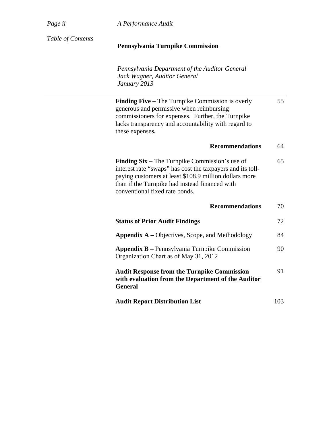*Page ii A Performance Audit*

| Table of Contents | <b>Pennsylvania Turnpike Commission</b>                                                                                                                                                                                                                           |     |
|-------------------|-------------------------------------------------------------------------------------------------------------------------------------------------------------------------------------------------------------------------------------------------------------------|-----|
|                   | Pennsylvania Department of the Auditor General<br>Jack Wagner, Auditor General<br>January 2013                                                                                                                                                                    |     |
|                   | <b>Finding Five – The Turnpike Commission is overly</b><br>generous and permissive when reimbursing<br>commissioners for expenses. Further, the Turnpike<br>lacks transparency and accountability with regard to<br>these expenses.                               | 55  |
|                   | <b>Recommendations</b>                                                                                                                                                                                                                                            | 64  |
|                   | <b>Finding Six</b> – The Turnpike Commission's use of<br>interest rate "swaps" has cost the taxpayers and its toll-<br>paying customers at least \$108.9 million dollars more<br>than if the Turnpike had instead financed with<br>conventional fixed rate bonds. | 65  |
|                   | <b>Recommendations</b>                                                                                                                                                                                                                                            | 70  |
|                   | <b>Status of Prior Audit Findings</b>                                                                                                                                                                                                                             | 72  |
|                   | <b>Appendix A</b> – Objectives, Scope, and Methodology                                                                                                                                                                                                            | 84  |
|                   | <b>Appendix B</b> - Pennsylvania Turnpike Commission<br>Organization Chart as of May 31, 2012                                                                                                                                                                     | 90  |
|                   | <b>Audit Response from the Turnpike Commission</b><br>with evaluation from the Department of the Auditor<br><b>General</b>                                                                                                                                        | 91  |
|                   | <b>Audit Report Distribution List</b>                                                                                                                                                                                                                             | 103 |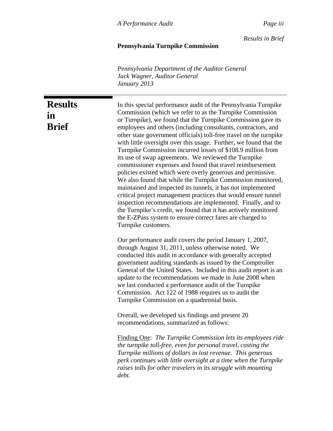*Results in Brief*

## **Pennsylvania Turnpike Commission**

*Pennsylvania Department of the Auditor General Jack Wagner, Auditor General January 2013* 

**Results in** 

**Brief**

In this special performance audit of the Pennsylvania Turnpike Commission (which we refer to as the Turnpike Commission or Turnpike), we found that the Turnpike Commission gave its employees and others (including consultants, contractors, and other state government officials) toll-free travel on the turnpike with little oversight over this usage. Further, we found that the Turnpike Commission incurred losses of \$108.9 million from its use of swap agreements. We reviewed the Turnpike commissioner expenses and found that travel reimbursement policies existed which were overly generous and permissive. We also found that while the Turnpike Commission monitored, maintained and inspected its tunnels, it has not implemented critical project management practices that would ensure tunnel inspection recommendations are implemented. Finally, and to the Turnpike's credit, we found that it has actively monitored the E-ZPass system to ensure correct fares are charged to Turnpike customers.

Our performance audit covers the period January 1, 2007, through August 31, 2011, unless otherwise noted. We conducted this audit in accordance with generally accepted government auditing standards as issued by the Comptroller General of the United States. Included in this audit report is an update to the recommendations we made in June 2008 when we last conducted a performance audit of the Turnpike Commission. Act 122 of 1988 requires us to audit the Turnpike Commission on a quadrennial basis.

Overall, we developed six findings and present 20 recommendations, summarized as follows:

Finding One: *The Turnpike Commission lets its employees ride the turnpike toll-free, even for personal travel, costing the Turnpike millions of dollars in lost revenue. This generous perk continues with little oversight at a time when the Turnpike raises tolls for other travelers in its struggle with mounting debt.*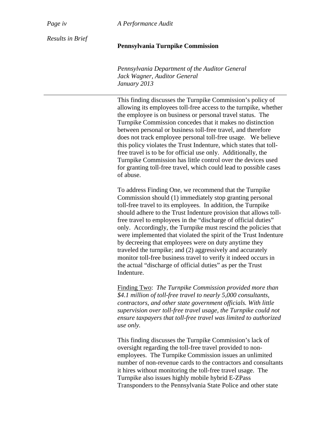*Page iv A Performance Audit* 

*Results in Brief* 

## **Pennsylvania Turnpike Commission**

*Pennsylvania Department of the Auditor General Jack Wagner, Auditor General January 2013* 

This finding discusses the Turnpike Commission's policy of allowing its employees toll-free access to the turnpike, whether the employee is on business or personal travel status. The Turnpike Commission concedes that it makes no distinction between personal or business toll-free travel, and therefore does not track employee personal toll-free usage. We believe this policy violates the Trust Indenture, which states that tollfree travel is to be for official use only. Additionally, the Turnpike Commission has little control over the devices used for granting toll-free travel, which could lead to possible cases of abuse.

To address Finding One, we recommend that the Turnpike Commission should (1) immediately stop granting personal toll-free travel to its employees. In addition, the Turnpike should adhere to the Trust Indenture provision that allows tollfree travel to employees in the "discharge of official duties" only. Accordingly, the Turnpike must rescind the policies that were implemented that violated the spirit of the Trust Indenture by decreeing that employees were on duty anytime they traveled the turnpike; and (2) aggressively and accurately monitor toll-free business travel to verify it indeed occurs in the actual "discharge of official duties" as per the Trust Indenture.

Finding Two: *The Turnpike Commission provided more than \$4.1 million of toll-free travel to nearly 5,000 consultants, contractors, and other state government officials. With little supervision over toll-free travel usage, the Turnpike could not ensure taxpayers that toll-free travel was limited to authorized use only.* 

This finding discusses the Turnpike Commission's lack of oversight regarding the toll-free travel provided to nonemployees. The Turnpike Commission issues an unlimited number of non-revenue cards to the contractors and consultants it hires without monitoring the toll-free travel usage. The Turnpike also issues highly mobile hybrid E-ZPass Transponders to the Pennsylvania State Police and other state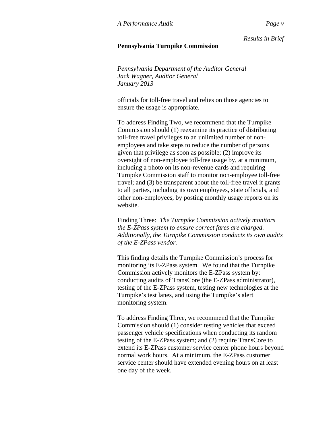*Results in Brief*

## **Pennsylvania Turnpike Commission**

*Pennsylvania Department of the Auditor General Jack Wagner, Auditor General January 2013* 

officials for toll-free travel and relies on those agencies to ensure the usage is appropriate.

To address Finding Two, we recommend that the Turnpike Commission should (1) reexamine its practice of distributing toll-free travel privileges to an unlimited number of nonemployees and take steps to reduce the number of persons given that privilege as soon as possible; (2) improve its oversight of non-employee toll-free usage by, at a minimum, including a photo on its non-revenue cards and requiring Turnpike Commission staff to monitor non-employee toll-free travel; and (3) be transparent about the toll-free travel it grants to all parties, including its own employees, state officials, and other non-employees, by posting monthly usage reports on its website.

Finding Three: *The Turnpike Commission actively monitors the E-ZPass system to ensure correct fares are charged. Additionally, the Turnpike Commission conducts its own audits of the E-ZPass vendor.* 

This finding details the Turnpike Commission's process for monitoring its E-ZPass system. We found that the Turnpike Commission actively monitors the E-ZPass system by: conducting audits of TransCore (the E-ZPass administrator), testing of the E-ZPass system, testing new technologies at the Turnpike's test lanes, and using the Turnpike's alert monitoring system.

To address Finding Three, we recommend that the Turnpike Commission should (1) consider testing vehicles that exceed passenger vehicle specifications when conducting its random testing of the E-ZPass system; and (2) require TransCore to extend its E-ZPass customer service center phone hours beyond normal work hours. At a minimum, the E-ZPass customer service center should have extended evening hours on at least one day of the week.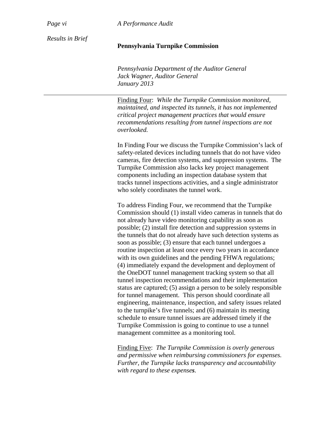*Page vi A Performance Audit* 

*Results in Brief* 

## **Pennsylvania Turnpike Commission**

*Pennsylvania Department of the Auditor General Jack Wagner, Auditor General January 2013* 

Finding Four: *While the Turnpike Commission monitored, maintained, and inspected its tunnels, it has not implemented critical project management practices that would ensure recommendations resulting from tunnel inspections are not overlooked.* 

In Finding Four we discuss the Turnpike Commission's lack of safety-related devices including tunnels that do not have video cameras, fire detection systems, and suppression systems. The Turnpike Commission also lacks key project management components including an inspection database system that tracks tunnel inspections activities, and a single administrator who solely coordinates the tunnel work.

To address Finding Four, we recommend that the Turnpike Commission should (1) install video cameras in tunnels that do not already have video monitoring capability as soon as possible; (2) install fire detection and suppression systems in the tunnels that do not already have such detection systems as soon as possible; (3) ensure that each tunnel undergoes a routine inspection at least once every two years in accordance with its own guidelines and the pending FHWA regulations; (4) immediately expand the development and deployment of the OneDOT tunnel management tracking system so that all tunnel inspection recommendations and their implementation status are captured; (5) assign a person to be solely responsible for tunnel management. This person should coordinate all engineering, maintenance, inspection, and safety issues related to the turnpike's five tunnels; and (6) maintain its meeting schedule to ensure tunnel issues are addressed timely if the Turnpike Commission is going to continue to use a tunnel management committee as a monitoring tool.

Finding Five: *The Turnpike Commission is overly generous and permissive when reimbursing commissioners for expenses. Further, the Turnpike lacks transparency and accountability with regard to these expenses.*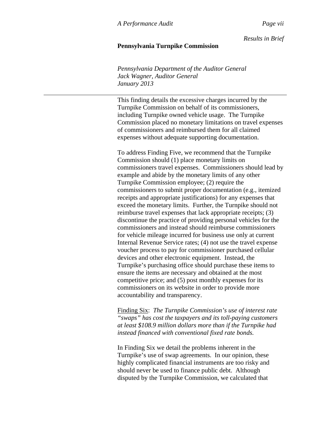*Results in Brief*

## **Pennsylvania Turnpike Commission**

*Pennsylvania Department of the Auditor General Jack Wagner, Auditor General January 2013* 

This finding details the excessive charges incurred by the Turnpike Commission on behalf of its commissioners, including Turnpike owned vehicle usage. The Turnpike Commission placed no monetary limitations on travel expenses of commissioners and reimbursed them for all claimed expenses without adequate supporting documentation.

To address Finding Five, we recommend that the Turnpike Commission should (1) place monetary limits on commissioners travel expenses. Commissioners should lead by example and abide by the monetary limits of any other Turnpike Commission employee; (2) require the commissioners to submit proper documentation (e.g., itemized receipts and appropriate justifications) for any expenses that exceed the monetary limits. Further, the Turnpike should not reimburse travel expenses that lack appropriate receipts; (3) discontinue the practice of providing personal vehicles for the commissioners and instead should reimburse commissioners for vehicle mileage incurred for business use only at current Internal Revenue Service rates; (4) not use the travel expense voucher process to pay for commissioner purchased cellular devices and other electronic equipment. Instead, the Turnpike's purchasing office should purchase these items to ensure the items are necessary and obtained at the most competitive price; and (5) post monthly expenses for its commissioners on its website in order to provide more accountability and transparency.

Finding Six: *The Turnpike Commission's use of interest rate "swaps" has cost the taxpayers and its toll-paying customers at least \$108.9 million dollars more than if the Turnpike had instead financed with conventional fixed rate bonds.* 

In Finding Six we detail the problems inherent in the Turnpike's use of swap agreements. In our opinion, these highly complicated financial instruments are too risky and should never be used to finance public debt. Although disputed by the Turnpike Commission, we calculated that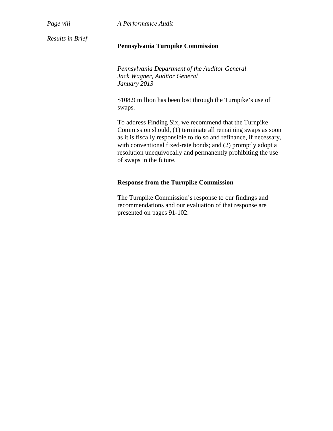*Page viii A Performance Audit* 

*Results in Brief* 

# **Pennsylvania Turnpike Commission**

*Pennsylvania Department of the Auditor General Jack Wagner, Auditor General January 2013* 

\$108.9 million has been lost through the Turnpike's use of swaps.

To address Finding Six, we recommend that the Turnpike Commission should, (1) terminate all remaining swaps as soon as it is fiscally responsible to do so and refinance, if necessary, with conventional fixed-rate bonds; and (2) promptly adopt a resolution unequivocally and permanently prohibiting the use of swaps in the future.

# **Response from the Turnpike Commission**

The Turnpike Commission's response to our findings and recommendations and our evaluation of that response are presented on pages 91-102.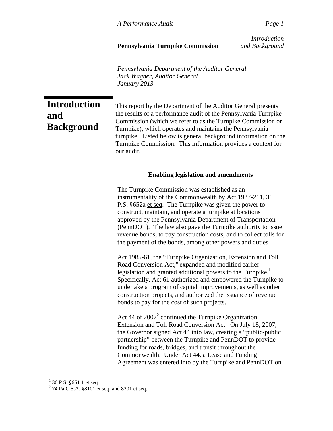# **Pennsylvania Turnpike Commission** *and Background*

*Introduction*

*Pennsylvania Department of the Auditor General Jack Wagner, Auditor General January 2013* 

**Introduction and Background** This report by the Department of the Auditor General presents the results of a performance audit of the Pennsylvania Turnpike Commission (which we refer to as the Turnpike Commission or Turnpike), which operates and maintains the Pennsylvania turnpike. Listed below is general background information on the Turnpike Commission. This information provides a context for our audit. **Enabling legislation and amendments**  The Turnpike Commission was established as an instrumentality of the Commonwealth by Act 1937-211, 36 P.S. §652a et seq. The Turnpike was given the power to construct, maintain, and operate a turnpike at locations approved by the Pennsylvania Department of Transportation (PennDOT). The law also gave the Turnpike authority to issue revenue bonds, to pay construction costs, and to collect tolls for the payment of the bonds, among other powers and duties. Act 1985-61, the "Turnpike Organization, Extension and Toll Road Conversion Act," expanded and modified earlier legislation and granted additional powers to the Turnpike.<sup>1</sup> Specifically, Act 61 authorized and empowered the Turnpike to undertake a program of capital improvements, as well as other construction projects, and authorized the issuance of revenue bonds to pay for the cost of such projects. Act 44 of  $2007<sup>2</sup>$  continued the Turnpike Organization, Extension and Toll Road Conversion Act. On July 18, 2007, the Governor signed Act 44 into law, creating a "public-public partnership" between the Turnpike and PennDOT to provide funding for roads, bridges, and transit throughout the Commonwealth. Under Act 44, a Lease and Funding Agreement was entered into by the Turnpike and PennDOT on

 $\frac{1}{1}$  36 P.S. §651.1 <u>et seq</u>.

 $2$  74 Pa C.S.A. §8101 et seq. and 8201 et seq.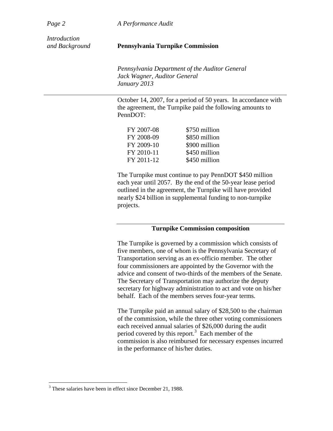*Page 2 A Performance Audit* 

*Introduction* 

#### *and Background* **Pennsylvania Turnpike Commission**

*Pennsylvania Department of the Auditor General Jack Wagner, Auditor General January 2013* 

October 14, 2007, for a period of 50 years. In accordance with the agreement, the Turnpike paid the following amounts to PennDOT:

| FY 2007-08 | \$750 million |
|------------|---------------|
| FY 2008-09 | \$850 million |
| FY 2009-10 | \$900 million |
| FY 2010-11 | \$450 million |
| FY 2011-12 | \$450 million |

The Turnpike must continue to pay PennDOT \$450 million each year until 2057. By the end of the 50-year lease period outlined in the agreement, the Turnpike will have provided nearly \$24 billion in supplemental funding to non-turnpike projects.

# **Turnpike Commission composition**

The Turnpike is governed by a commission which consists of five members, one of whom is the Pennsylvania Secretary of Transportation serving as an ex-officio member. The other four commissioners are appointed by the Governor with the advice and consent of two-thirds of the members of the Senate. The Secretary of Transportation may authorize the deputy secretary for highway administration to act and vote on his/her behalf. Each of the members serves four-year terms.

The Turnpike paid an annual salary of \$28,500 to the chairman of the commission, while the three other voting commissioners each received annual salaries of \$26,000 during the audit period covered by this report.<sup>3</sup> Each member of the commission is also reimbursed for necessary expenses incurred in the performance of his/her duties.

 $\overline{a}$ 

<sup>&</sup>lt;sup>3</sup> These salaries have been in effect since December 21, 1988.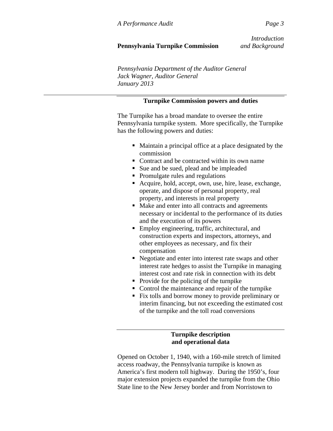*Introduction*

# **Pennsylvania Turnpike Commission** *and Background*

*Pennsylvania Department of the Auditor General Jack Wagner, Auditor General January 2013* 

# **Turnpike Commission powers and duties**

The Turnpike has a broad mandate to oversee the entire Pennsylvania turnpike system. More specifically, the Turnpike has the following powers and duties:

- Maintain a principal office at a place designated by the commission
- Contract and be contracted within its own name
- Sue and be sued, plead and be impleaded
- Promulgate rules and regulations
- Acquire, hold, accept, own, use, hire, lease, exchange, operate, and dispose of personal property, real property, and interests in real property
- Make and enter into all contracts and agreements necessary or incidental to the performance of its duties and the execution of its powers
- Employ engineering, traffic, architectural, and construction experts and inspectors, attorneys, and other employees as necessary, and fix their compensation
- Negotiate and enter into interest rate swaps and other interest rate hedges to assist the Turnpike in managing interest cost and rate risk in connection with its debt
- Provide for the policing of the turnpike
- Control the maintenance and repair of the turnpike
- Fix tolls and borrow money to provide preliminary or interim financing, but not exceeding the estimated cost of the turnpike and the toll road conversions

## **Turnpike description and operational data**

Opened on October 1, 1940, with a 160-mile stretch of limited access roadway, the Pennsylvania turnpike is known as America's first modern toll highway. During the 1950's, four major extension projects expanded the turnpike from the Ohio State line to the New Jersey border and from Norristown to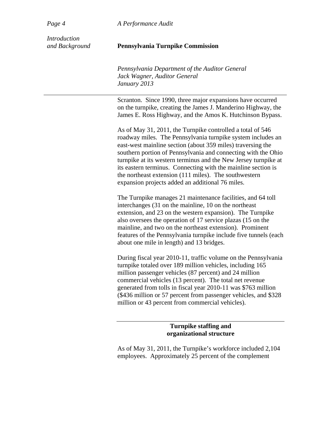*Page 4 A Performance Audit* 

*Introduction* 

### *and Background* **Pennsylvania Turnpike Commission**

*Pennsylvania Department of the Auditor General Jack Wagner, Auditor General January 2013* 

Scranton. Since 1990, three major expansions have occurred on the turnpike, creating the James J. Manderino Highway, the James E. Ross Highway, and the Amos K. Hutchinson Bypass.

As of May 31, 2011, the Turnpike controlled a total of 546 roadway miles. The Pennsylvania turnpike system includes an east-west mainline section (about 359 miles) traversing the southern portion of Pennsylvania and connecting with the Ohio turnpike at its western terminus and the New Jersey turnpike at its eastern terminus. Connecting with the mainline section is the northeast extension (111 miles). The southwestern expansion projects added an additional 76 miles.

The Turnpike manages 21 maintenance facilities, and 64 toll interchanges (31 on the mainline, 10 on the northeast extension, and 23 on the western expansion). The Turnpike also oversees the operation of 17 service plazas (15 on the mainline, and two on the northeast extension). Prominent features of the Pennsylvania turnpike include five tunnels (each about one mile in length) and 13 bridges.

During fiscal year 2010-11, traffic volume on the Pennsylvania turnpike totaled over 189 million vehicles, including 165 million passenger vehicles (87 percent) and 24 million commercial vehicles (13 percent). The total net revenue generated from tolls in fiscal year 2010-11 was \$763 million (\$436 million or 57 percent from passenger vehicles, and \$328 million or 43 percent from commercial vehicles).

## **Turnpike staffing and organizational structure**

As of May 31, 2011, the Turnpike's workforce included 2,104 employees. Approximately 25 percent of the complement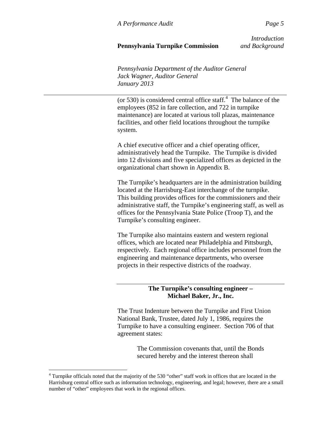# **Pennsylvania Turnpike Commission** *and Background*

*Introduction*

*Pennsylvania Department of the Auditor General Jack Wagner, Auditor General January 2013* 

(or 530) is considered central office staff. $4$  The balance of the employees (852 in fare collection, and 722 in turnpike maintenance) are located at various toll plazas, maintenance facilities, and other field locations throughout the turnpike system.

A chief executive officer and a chief operating officer, administratively head the Turnpike. The Turnpike is divided into 12 divisions and five specialized offices as depicted in the organizational chart shown in Appendix B.

The Turnpike's headquarters are in the administration building located at the Harrisburg-East interchange of the turnpike. This building provides offices for the commissioners and their administrative staff, the Turnpike's engineering staff, as well as offices for the Pennsylvania State Police (Troop T), and the Turnpike's consulting engineer.

The Turnpike also maintains eastern and western regional offices, which are located near Philadelphia and Pittsburgh, respectively. Each regional office includes personnel from the engineering and maintenance departments, who oversee projects in their respective districts of the roadway.

# **The Turnpike's consulting engineer – Michael Baker, Jr., Inc.**

The Trust Indenture between the Turnpike and First Union National Bank, Trustee, dated July 1, 1986, requires the Turnpike to have a consulting engineer. Section 706 of that agreement states:

> The Commission covenants that, until the Bonds secured hereby and the interest thereon shall

 $\overline{a}$ 

<sup>&</sup>lt;sup>4</sup> Turnpike officials noted that the majority of the 530 "other" staff work in offices that are located in the Harrisburg central office such as information technology, engineering, and legal; however, there are a small number of "other" employees that work in the regional offices.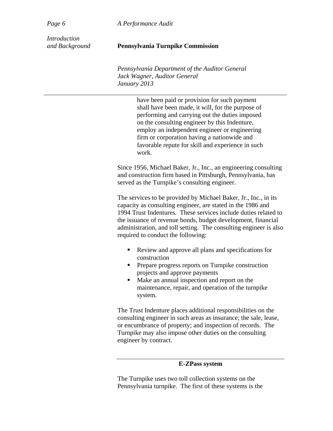*Page 6 A Performance Audit* 

*Introduction* 

## *and Background* **Pennsylvania Turnpike Commission**

*Pennsylvania Department of the Auditor General Jack Wagner, Auditor General January 2013* 

> have been paid or provision for such payment shall have been made, it will, for the purpose of performing and carrying out the duties imposed on the consulting engineer by this Indenture, employ an independent engineer or engineering firm or corporation having a nationwide and favorable repute for skill and experience in such work.

Since 1956, Michael Baker, Jr., Inc., an engineering consulting and construction firm based in Pittsburgh, Pennsylvania, has served as the Turnpike's consulting engineer.

The services to be provided by Michael Baker, Jr., Inc., in its capacity as consulting engineer, are stated in the 1986 and 1994 Trust Indentures. These services include duties related to the issuance of revenue bonds, budget development, financial administration, and toll setting. The consulting engineer is also required to conduct the following:

- Review and approve all plans and specifications for construction
- **Prepare progress reports on Turnpike construction** projects and approve payments
- Make an annual inspection and report on the maintenance, repair, and operation of the turnpike system.

The Trust Indenture places additional responsibilities on the consulting engineer in such areas as insurance; the sale, lease, or encumbrance of property; and inspection of records. The Turnpike may also impose other duties on the consulting engineer by contract.

## **E-ZPass system**

The Turnpike uses two toll collection systems on the Pennsylvania turnpike. The first of these systems is the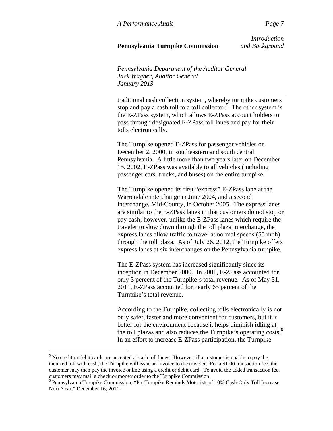# **Pennsylvania Turnpike Commission** *and Background*

*Introduction*

*Pennsylvania Department of the Auditor General Jack Wagner, Auditor General January 2013* 

traditional cash collection system, whereby turnpike customers stop and pay a cash toll to a toll collector.<sup>5</sup> The other system is the E-ZPass system, which allows E-ZPass account holders to pass through designated E-ZPass toll lanes and pay for their tolls electronically.

The Turnpike opened E-ZPass for passenger vehicles on December 2, 2000, in southeastern and south central Pennsylvania. A little more than two years later on December 15, 2002, E-ZPass was available to all vehicles (including passenger cars, trucks, and buses) on the entire turnpike.

The Turnpike opened its first "express" E-ZPass lane at the Warrendale interchange in June 2004, and a second interchange, Mid-County, in October 2005. The express lanes are similar to the E-ZPass lanes in that customers do not stop or pay cash; however, unlike the E-ZPass lanes which require the traveler to slow down through the toll plaza interchange, the express lanes allow traffic to travel at normal speeds (55 mph) through the toll plaza. As of July 26, 2012, the Turnpike offers express lanes at six interchanges on the Pennsylvania turnpike.

The E-ZPass system has increased significantly since its inception in December 2000. In 2001, E-ZPass accounted for only 3 percent of the Turnpike's total revenue. As of May 31, 2011, E-ZPass accounted for nearly 65 percent of the Turnpike's total revenue.

According to the Turnpike, collecting tolls electronically is not only safer, faster and more convenient for customers, but it is better for the environment because it helps diminish idling at the toll plazas and also reduces the Turnpike's operating costs.<sup>6</sup> In an effort to increase E-ZPass participation, the Turnpike

1

<sup>&</sup>lt;sup>5</sup> No credit or debit cards are accepted at cash toll lanes. However, if a customer is unable to pay the incurred toll with cash, the Turnpike will issue an invoice to the traveler. For a \$1.00 transaction fee, the customer may then pay the invoice online using a credit or debit card. To avoid the added transaction fee, customers may mail a check or money order to the Turnpike Commission.

<sup>&</sup>lt;sup>6</sup> Pennsylvania Turnpike Commission, "Pa. Turnpike Reminds Motorists of 10% Cash-Only Toll Increase Next Year," December 16, 2011.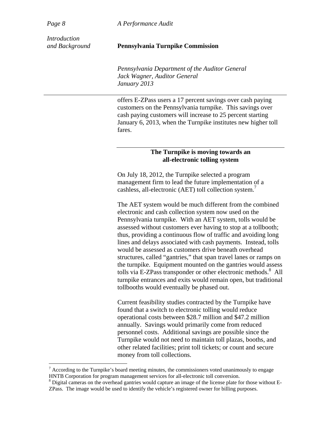<u>.</u>

*Page 8 A Performance Audit* 

*Introduction* 

## *and Background* **Pennsylvania Turnpike Commission**

*Pennsylvania Department of the Auditor General Jack Wagner, Auditor General January 2013* 

offers E-ZPass users a 17 percent savings over cash paying customers on the Pennsylvania turnpike. This savings over cash paying customers will increase to 25 percent starting January 6, 2013, when the Turnpike institutes new higher toll fares.

## **The Turnpike is moving towards an all-electronic tolling system**

On July 18, 2012, the Turnpike selected a program management firm to lead the future implementation of a cashless, all-electronic (AET) toll collection system.<sup>7</sup>

The AET system would be much different from the combined electronic and cash collection system now used on the Pennsylvania turnpike. With an AET system, tolls would be assessed without customers ever having to stop at a tollbooth; thus, providing a continuous flow of traffic and avoiding long lines and delays associated with cash payments. Instead, tolls would be assessed as customers drive beneath overhead structures, called "gantries," that span travel lanes or ramps on the turnpike. Equipment mounted on the gantries would assess tolls via E-ZPass transponder or other electronic methods.<sup>8</sup> All turnpike entrances and exits would remain open, but traditional tollbooths would eventually be phased out.

Current feasibility studies contracted by the Turnpike have found that a switch to electronic tolling would reduce operational costs between \$28.7 million and \$47.2 million annually. Savings would primarily come from reduced personnel costs. Additional savings are possible since the Turnpike would not need to maintain toll plazas, booths, and other related facilities; print toll tickets; or count and secure money from toll collections.

<sup>8</sup> Digital cameras on the overhead gantries would capture an image of the license plate for those without E-ZPass. The image would be used to identify the vehicle's registered owner for billing purposes.

 $<sup>7</sup>$  According to the Turnpike's board meeting minutes, the commissioners voted unanimously to engage</sup> HNTB Corporation for program management services for all-electronic toll conversion.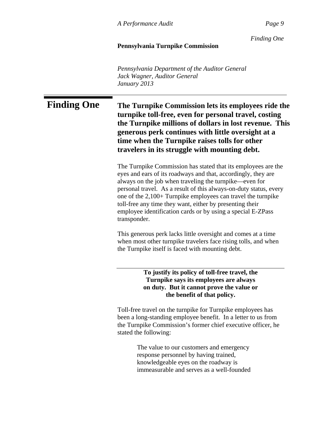*Finding One*

# **Pennsylvania Turnpike Commission**

*Pennsylvania Department of the Auditor General Jack Wagner, Auditor General January 2013* 

# **Finding One The Turnpike Commission lets its employees ride the turnpike toll-free, even for personal travel, costing the Turnpike millions of dollars in lost revenue. This generous perk continues with little oversight at a time when the Turnpike raises tolls for other travelers in its struggle with mounting debt.**

The Turnpike Commission has stated that its employees are the eyes and ears of its roadways and that, accordingly, they are always on the job when traveling the turnpike—even for personal travel. As a result of this always-on-duty status, every one of the 2,100+ Turnpike employees can travel the turnpike toll-free any time they want, either by presenting their employee identification cards or by using a special E-ZPass transponder.

This generous perk lacks little oversight and comes at a time when most other turnpike travelers face rising tolls, and when the Turnpike itself is faced with mounting debt.

> **To justify its policy of toll-free travel, the Turnpike says its employees are always on duty. But it cannot prove the value or the benefit of that policy.**

Toll-free travel on the turnpike for Turnpike employees has been a long-standing employee benefit. In a letter to us from the Turnpike Commission's former chief executive officer, he stated the following:

> The value to our customers and emergency response personnel by having trained, knowledgeable eyes on the roadway is immeasurable and serves as a well-founded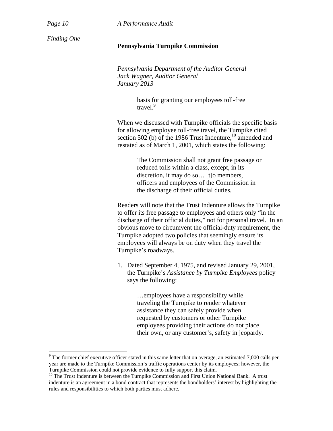$\overline{a}$ 

*Page 10 A Performance Audit*

*Finding One* 

## **Pennsylvania Turnpike Commission**

*Pennsylvania Department of the Auditor General Jack Wagner, Auditor General January 2013* 

> basis for granting our employees toll-free travel.<sup>9</sup>

When we discussed with Turnpike officials the specific basis for allowing employee toll-free travel, the Turnpike cited section 502 (b) of the 1986 Trust Indenture,<sup>10</sup> amended and restated as of March 1, 2001, which states the following:

> The Commission shall not grant free passage or reduced tolls within a class, except, in its discretion, it may do so… [t]o members, officers and employees of the Commission in the discharge of their official duties*.*

Readers will note that the Trust Indenture allows the Turnpike to offer its free passage to employees and others only "in the discharge of their official duties," not for personal travel. In an obvious move to circumvent the official-duty requirement, the Turnpike adopted two policies that seemingly ensure its employees will always be on duty when they travel the Turnpike's roadways.

1. Dated September 4, 1975, and revised January 29, 2001, the Turnpike's *Assistance by Turnpike Employees* policy says the following:

> …employees have a responsibility while traveling the Turnpike to render whatever assistance they can safely provide when requested by customers or other Turnpike employees providing their actions do not place their own, or any customer's, safety in jeopardy.

<sup>&</sup>lt;sup>9</sup> The former chief executive officer stated in this same letter that on average, an estimated 7,000 calls per year are made to the Turnpike Commission's traffic operations center by its employees; however, the Turnpike Commission could not provide evidence to fully support this claim.

<sup>&</sup>lt;sup>10</sup> The Trust Indenture is between the Turnpike Commission and First Union National Bank. A trust indenture is an agreement in a bond contract that represents the bondholders' interest by highlighting the rules and responsibilities to which both parties must adhere.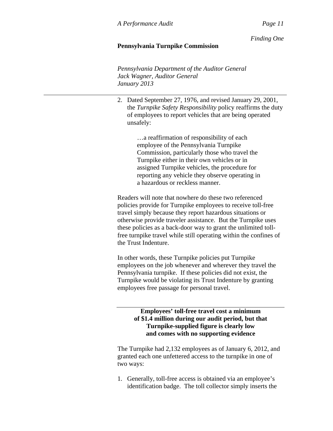*Finding One*

# **Pennsylvania Turnpike Commission**

*Pennsylvania Department of the Auditor General Jack Wagner, Auditor General January 2013* 

2. Dated September 27, 1976, and revised January 29, 2001, the *Turnpike Safety Responsibility* policy reaffirms the duty of employees to report vehicles that are being operated unsafely:

> …a reaffirmation of responsibility of each employee of the Pennsylvania Turnpike Commission, particularly those who travel the Turnpike either in their own vehicles or in assigned Turnpike vehicles, the procedure for reporting any vehicle they observe operating in a hazardous or reckless manner.

Readers will note that nowhere do these two referenced policies provide for Turnpike employees to receive toll-free travel simply because they report hazardous situations or otherwise provide traveler assistance. But the Turnpike uses these policies as a back-door way to grant the unlimited tollfree turnpike travel while still operating within the confines of the Trust Indenture.

In other words, these Turnpike policies put Turnpike employees on the job whenever and wherever they travel the Pennsylvania turnpike. If these policies did not exist, the Turnpike would be violating its Trust Indenture by granting employees free passage for personal travel.

# **Employees' toll-free travel cost a minimum of \$1.4 million during our audit period, but that Turnpike-supplied figure is clearly low and comes with no supporting evidence**

The Turnpike had 2,132 employees as of January 6, 2012, and granted each one unfettered access to the turnpike in one of two ways:

1. Generally, toll-free access is obtained via an employee's identification badge. The toll collector simply inserts the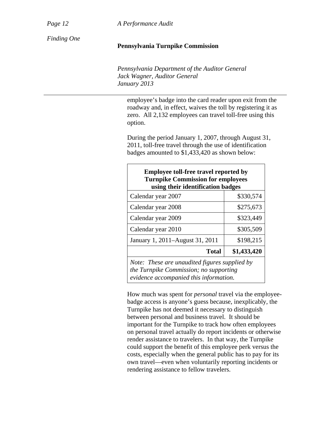*Page 12 A Performance Audit*

*Finding One* 

## **Pennsylvania Turnpike Commission**

*Pennsylvania Department of the Auditor General Jack Wagner, Auditor General January 2013* 

employee's badge into the card reader upon exit from the roadway and, in effect, waives the toll by registering it as zero. All 2,132 employees can travel toll-free using this option.

During the period January 1, 2007, through August 31, 2011, toll-free travel through the use of identification badges amounted to \$1,433,420 as shown below:

| <b>Employee toll-free travel reported by</b><br><b>Turnpike Commission for employees</b><br>using their identification badges     |             |  |
|-----------------------------------------------------------------------------------------------------------------------------------|-------------|--|
| Calendar year 2007                                                                                                                | \$330,574   |  |
| Calendar year 2008                                                                                                                | \$275,673   |  |
| Calendar year 2009                                                                                                                | \$323,449   |  |
| Calendar year 2010                                                                                                                | \$305,509   |  |
| January 1, 2011–August 31, 2011                                                                                                   | \$198,215   |  |
| <b>Total</b>                                                                                                                      | \$1,433,420 |  |
| Note: These are unaudited figures supplied by<br>the Turnpike Commission; no supporting<br>evidence accompanied this information. |             |  |

How much was spent for *personal* travel via the employeebadge access is anyone's guess because, inexplicably, the Turnpike has not deemed it necessary to distinguish between personal and business travel. It should be important for the Turnpike to track how often employees on personal travel actually do report incidents or otherwise render assistance to travelers. In that way, the Turnpike could support the benefit of this employee perk versus the costs, especially when the general public has to pay for its own travel—even when voluntarily reporting incidents or rendering assistance to fellow travelers.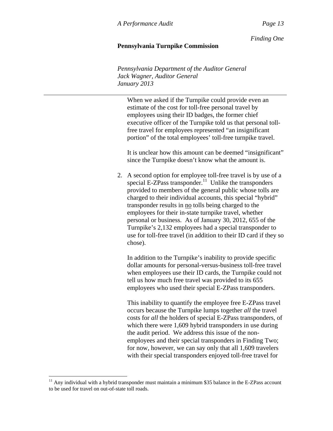*Finding One*

# **Pennsylvania Turnpike Commission**

*Pennsylvania Department of the Auditor General Jack Wagner, Auditor General January 2013* 

When we asked if the Turnpike could provide even an estimate of the cost for toll-free personal travel by employees using their ID badges, the former chief executive officer of the Turnpike told us that personal tollfree travel for employees represented "an insignificant portion" of the total employees' toll-free turnpike travel.

It is unclear how this amount can be deemed "insignificant" since the Turnpike doesn't know what the amount is.

2. A second option for employee toll-free travel is by use of a special E-ZPass transponder.<sup>11</sup> Unlike the transponders provided to members of the general public whose tolls are charged to their individual accounts, this special "hybrid" transponder results in no tolls being charged to the employees for their in-state turnpike travel, whether personal or business. As of January 30, 2012, 655 of the Turnpike's 2,132 employees had a special transponder to use for toll-free travel (in addition to their ID card if they so chose).

In addition to the Turnpike's inability to provide specific dollar amounts for personal-versus-business toll-free travel when employees use their ID cards, the Turnpike could not tell us how much free travel was provided to its 655 employees who used their special E-ZPass transponders.

This inability to quantify the employee free E-ZPass travel occurs because the Turnpike lumps together *all* the travel costs for *all* the holders of special E-ZPass transponders, of which there were 1,609 hybrid transponders in use during the audit period. We address this issue of the nonemployees and their special transponders in Finding Two; for now, however, we can say only that all 1,609 travelers with their special transponders enjoyed toll-free travel for

1

 $11$  Any individual with a hybrid transponder must maintain a minimum \$35 balance in the E-ZPass account to be used for travel on out-of-state toll roads.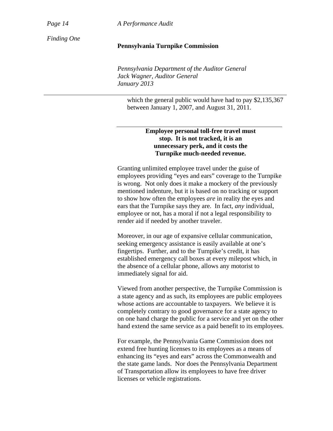*Page 14 A Performance Audit*

*Finding One* 

## **Pennsylvania Turnpike Commission**

*Pennsylvania Department of the Auditor General Jack Wagner, Auditor General January 2013* 

which the general public would have had to pay \$2,135,367 between January 1, 2007, and August 31, 2011.

# **Employee personal toll-free travel must stop. It is not tracked, it is an unnecessary perk, and it costs the Turnpike much-needed revenue.**

Granting unlimited employee travel under the guise of employees providing "eyes and ears" coverage to the Turnpike is wrong. Not only does it make a mockery of the previously mentioned indenture, but it is based on no tracking or support to show how often the employees *are* in reality the eyes and ears that the Turnpike says they are. In fact, *any* individual, employee or not, has a moral if not a legal responsibility to render aid if needed by another traveler.

Moreover, in our age of expansive cellular communication, seeking emergency assistance is easily available at one's fingertips. Further, and to the Turnpike's credit, it has established emergency call boxes at every milepost which, in the absence of a cellular phone, allows any motorist to immediately signal for aid.

Viewed from another perspective, the Turnpike Commission is a state agency and as such, its employees are public employees whose actions are accountable to taxpayers. We believe it is completely contrary to good governance for a state agency to on one hand charge the public for a service and yet on the other hand extend the same service as a paid benefit to its employees.

For example, the Pennsylvania Game Commission does not extend free hunting licenses to its employees as a means of enhancing its "eyes and ears" across the Commonwealth and the state game lands. Nor does the Pennsylvania Department of Transportation allow its employees to have free driver licenses or vehicle registrations.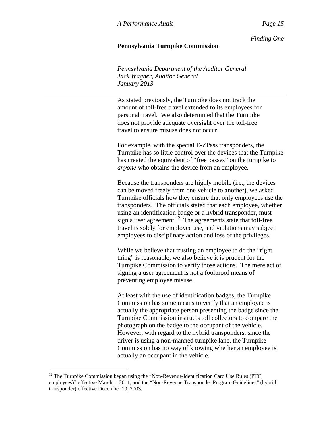*Finding One*

## **Pennsylvania Turnpike Commission**

*Pennsylvania Department of the Auditor General Jack Wagner, Auditor General January 2013* 

As stated previously, the Turnpike does not track the amount of toll-free travel extended to its employees for personal travel. We also determined that the Turnpike does not provide adequate oversight over the toll-free travel to ensure misuse does not occur.

For example, with the special E-ZPass transponders, the Turnpike has so little control over the devices that the Turnpike has created the equivalent of "free passes" on the turnpike to *anyone* who obtains the device from an employee.

Because the transponders are highly mobile (i.e., the devices can be moved freely from one vehicle to another), we asked Turnpike officials how they ensure that only employees use the transponders. The officials stated that each employee, whether using an identification badge or a hybrid transponder, must sign a user agreement.<sup>12</sup> The agreements state that toll-free travel is solely for employee use, and violations may subject employees to disciplinary action and loss of the privileges.

While we believe that trusting an employee to do the "right" thing" is reasonable, we also believe it is prudent for the Turnpike Commission to verify those actions. The mere act of signing a user agreement is not a foolproof means of preventing employee misuse.

At least with the use of identification badges, the Turnpike Commission has some means to verify that an employee is actually the appropriate person presenting the badge since the Turnpike Commission instructs toll collectors to compare the photograph on the badge to the occupant of the vehicle. However, with regard to the hybrid transponders, since the driver is using a non-manned turnpike lane, the Turnpike Commission has no way of knowing whether an employee is actually an occupant in the vehicle.

1

<sup>&</sup>lt;sup>12</sup> The Turnpike Commission began using the "Non-Revenue/Identification Card Use Rules (PTC employees)" effective March 1, 2011, and the "Non-Revenue Transponder Program Guidelines" (hybrid transponder) effective December 19, 2003.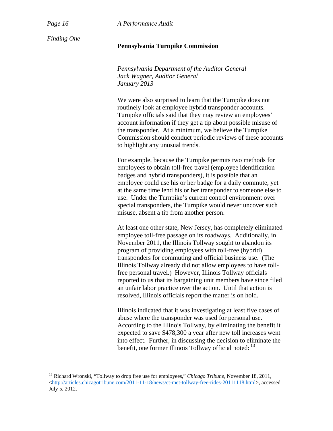$\overline{a}$ 

*Page 16 A Performance Audit*

*Finding One* 

## **Pennsylvania Turnpike Commission**

*Pennsylvania Department of the Auditor General Jack Wagner, Auditor General January 2013* 

We were also surprised to learn that the Turnpike does not routinely look at employee hybrid transponder accounts. Turnpike officials said that they may review an employees' account information if they get a tip about possible misuse of the transponder. At a minimum, we believe the Turnpike Commission should conduct periodic reviews of these accounts to highlight any unusual trends.

For example, because the Turnpike permits two methods for employees to obtain toll-free travel (employee identification badges and hybrid transponders), it is possible that an employee could use his or her badge for a daily commute, yet at the same time lend his or her transponder to someone else to use. Under the Turnpike's current control environment over special transponders, the Turnpike would never uncover such misuse, absent a tip from another person.

At least one other state, New Jersey, has completely eliminated employee toll-free passage on its roadways. Additionally, in November 2011, the Illinois Tollway sought to abandon its program of providing employees with toll-free (hybrid) transponders for commuting and official business use. (The Illinois Tollway already did not allow employees to have tollfree personal travel.) However, Illinois Tollway officials reported to us that its bargaining unit members have since filed an unfair labor practice over the action. Until that action is resolved, Illinois officials report the matter is on hold.

Illinois indicated that it was investigating at least five cases of abuse where the transponder was used for personal use. According to the Illinois Tollway, by eliminating the benefit it expected to save \$478,300 a year after new toll increases went into effect. Further, in discussing the decision to eliminate the benefit, one former Illinois Tollway official noted:  $13$ 

<sup>13</sup> Richard Wronski, "Tollway to drop free use for employees," *Chicago Tribune*, November 18, 2011, <http://articles.chicagotribune.com/2011-11-18/news/ct-met-tollway-free-rides-20111118.html>, accessed July 5, 2012.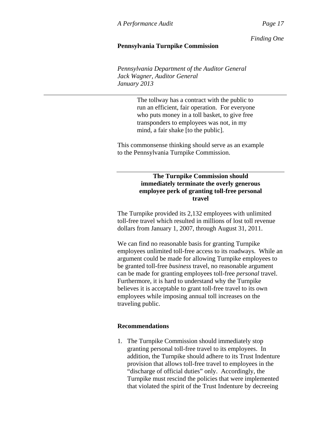*Finding One*

# **Pennsylvania Turnpike Commission**

*Pennsylvania Department of the Auditor General Jack Wagner, Auditor General January 2013* 

> The tollway has a contract with the public to run an efficient, fair operation. For everyone who puts money in a toll basket, to give free transponders to employees was not, in my mind, a fair shake [to the public].

This commonsense thinking should serve as an example to the Pennsylvania Turnpike Commission.

# **The Turnpike Commission should immediately terminate the overly generous employee perk of granting toll-free personal travel**

The Turnpike provided its 2,132 employees with unlimited toll-free travel which resulted in millions of lost toll revenue dollars from January 1, 2007, through August 31, 2011.

We can find no reasonable basis for granting Turnpike employees unlimited toll-free access to its roadways. While an argument could be made for allowing Turnpike employees to be granted toll-free *business* travel, no reasonable argument can be made for granting employees toll-free *personal* travel. Furthermore, it is hard to understand why the Turnpike believes it is acceptable to grant toll-free travel to its own employees while imposing annual toll increases on the traveling public.

# **Recommendations**

1. The Turnpike Commission should immediately stop granting personal toll-free travel to its employees. In addition, the Turnpike should adhere to its Trust Indenture provision that allows toll-free travel to employees in the "discharge of official duties" only. Accordingly, the Turnpike must rescind the policies that were implemented that violated the spirit of the Trust Indenture by decreeing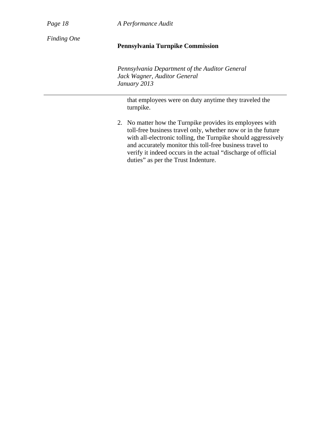| $\cdot$<br>αø |  |
|---------------|--|
|---------------|--|

*Page 18 A Performance Audit*

*Finding One* 

# **Pennsylvania Turnpike Commission**

*Pennsylvania Department of the Auditor General Jack Wagner, Auditor General January 2013* 

that employees were on duty anytime they traveled the turnpike.

2. No matter how the Turnpike provides its employees with toll-free business travel only, whether now or in the future with all-electronic tolling, the Turnpike should aggressively and accurately monitor this toll-free business travel to verify it indeed occurs in the actual "discharge of official duties" as per the Trust Indenture.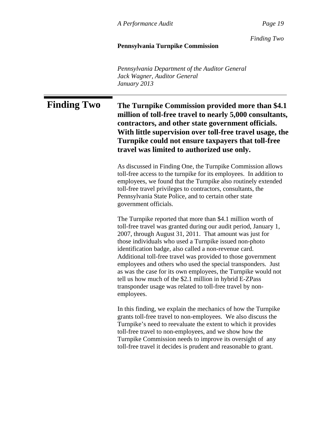*Finding Two*

## **Pennsylvania Turnpike Commission**

*Pennsylvania Department of the Auditor General Jack Wagner, Auditor General January 2013* 

**Finding Two The Turnpike Commission provided more than \$4.1 million of toll-free travel to nearly 5,000 consultants, contractors, and other state government officials. With little supervision over toll-free travel usage, the Turnpike could not ensure taxpayers that toll-free travel was limited to authorized use only.**

> As discussed in Finding One, the Turnpike Commission allows toll-free access to the turnpike for its employees. In addition to employees, we found that the Turnpike also routinely extended toll-free travel privileges to contractors, consultants, the Pennsylvania State Police, and to certain other state government officials.

The Turnpike reported that more than \$4.1 million worth of toll-free travel was granted during our audit period, January 1, 2007, through August 31, 2011. That amount was just for those individuals who used a Turnpike issued non-photo identification badge, also called a non-revenue card. Additional toll-free travel was provided to those government employees and others who used the special transponders. Just as was the case for its own employees, the Turnpike would not tell us how much of the \$2.1 million in hybrid E-ZPass transponder usage was related to toll-free travel by nonemployees.

In this finding, we explain the mechanics of how the Turnpike grants toll-free travel to non-employees. We also discuss the Turnpike's need to reevaluate the extent to which it provides toll-free travel to non-employees, and we show how the Turnpike Commission needs to improve its oversight of any toll-free travel it decides is prudent and reasonable to grant.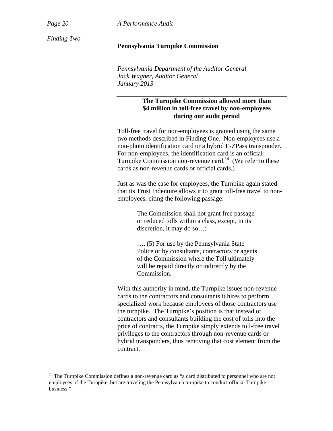$\overline{a}$ 

*Page 20 A Performance Audit*

*Finding Two* 

## **Pennsylvania Turnpike Commission**

*Pennsylvania Department of the Auditor General Jack Wagner, Auditor General January 2013* 

# **The Turnpike Commission allowed more than \$4 million in toll-free travel by non-employees during our audit period**

Toll-free travel for non-employees is granted using the same two methods described in Finding One. Non-employees use a non-photo identification card or a hybrid E-ZPass transponder. For non-employees, the identification card is an official Turnpike Commission non-revenue card.<sup>14</sup> (We refer to these cards as non-revenue cards or official cards.)

Just as was the case for employees, the Turnpike again stated that its Trust Indenture allows it to grant toll-free travel to nonemployees, citing the following passage:

> The Commission shall not grant free passage or reduced tolls within a class, except, in its discretion, it may do so…:

…. (5) For use by the Pennsylvania State Police or by consultants, contractors or agents of the Commission where the Toll ultimately will be repaid directly or indirectly by the Commission.

With this authority in mind, the Turnpike issues non-revenue cards to the contractors and consultants it hires to perform specialized work because employees of those contractors use the turnpike. The Turnpike's position is that instead of contractors and consultants building the cost of tolls into the price of contracts, the Turnpike simply extends toll-free travel privileges to the contractors through non-revenue cards or hybrid transponders, thus removing that cost element from the contract.

<sup>&</sup>lt;sup>14</sup> The Turnpike Commission defines a non-revenue card as "a card distributed to personnel who are not employees of the Turnpike, but are traveling the Pennsylvania turnpike to conduct official Turnpike business."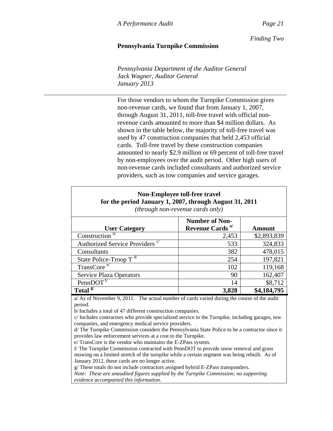*Finding Two*

# **Pennsylvania Turnpike Commission**

*Pennsylvania Department of the Auditor General Jack Wagner, Auditor General January 2013* 

For those vendors to whom the Turnpike Commission gives non-revenue cards, we found that from January 1, 2007, through August 31, 2011, toll-free travel with official nonrevenue cards amounted to more than \$4 million dollars. As shown in the table below, the majority of toll-free travel was used by 47 construction companies that held 2,453 official cards. Toll-free travel by these construction companies amounted to nearly \$2.9 million or 69 percent of toll-free travel by non-employees over the audit period. Other high users of non-revenue cards included consultants and authorized service providers, such as tow companies and service garages.

| <b>Non-Employee toll-free travel</b><br>for the period January 1, 2007, through August 31, 2011<br>(through non-revenue cards only) |                                                      |               |  |  |
|-------------------------------------------------------------------------------------------------------------------------------------|------------------------------------------------------|---------------|--|--|
| <b>User Category</b>                                                                                                                | <b>Number of Non-</b><br>Revenue Cards <sup>a/</sup> | <b>Amount</b> |  |  |
| Construction <sup>b/</sup>                                                                                                          | 2,453                                                | \$2,893,839   |  |  |
| Authorized Service Providers <sup>c/</sup>                                                                                          | 533                                                  | 324,833       |  |  |
|                                                                                                                                     |                                                      |               |  |  |
| Consultants                                                                                                                         | 382                                                  | 478,015       |  |  |
| State Police-Troop $T^{d/2}$                                                                                                        | 254                                                  | 197,821       |  |  |
| $TransCoree$ /                                                                                                                      | 102                                                  | 119,168       |  |  |
| <b>Service Plaza Operators</b>                                                                                                      | 90                                                   | 162,407       |  |  |
| PennDOT                                                                                                                             | 14                                                   | \$8,712       |  |  |
| Total <sup>g/</sup>                                                                                                                 | 3,828                                                | \$4,184,795   |  |  |

a/ As of November 9, 2011. The actual number of cards varied during the course of the audit period.

b/Includes a total of 47 different construction companies.

c/ Includes contractors who provide specialized service to the Turnpike, including garages, tow companies, and emergency medical service providers.

d/ The Turnpike Commission considers the Pennsylvania State Police to be a contractor since it provides law enforcement services at a cost to the Turnpike.

e/ TransCore is the vendor who maintains the E-ZPass system.

f/ The Turnpike Commission contracted with PennDOT to provide snow removal and grass mowing on a limited stretch of the turnpike while a certain segment was being rebuilt. As of January 2012, these cards are no longer active.

g/ These totals do not include contractors assigned hybrid E-ZPass transponders.

*Note: These are unaudited figures supplied by the Turnpike Commission; no supporting evidence accompanied this information.*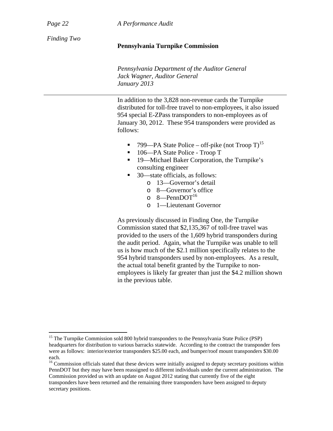$\overline{a}$ 

*Page 22 A Performance Audit*

*Finding Two* 

## **Pennsylvania Turnpike Commission**

*Pennsylvania Department of the Auditor General Jack Wagner, Auditor General January 2013* 

In addition to the 3,828 non-revenue cards the Turnpike distributed for toll-free travel to non-employees, it also issued 954 special E-ZPass transponders to non-employees as of January 30, 2012. These 954 transponders were provided as follows:

- **799—PA State Police off-pike (not Troop T)**<sup>15</sup>
- 106—PA State Police Troop T
- 19—Michael Baker Corporation, the Turnpike's consulting engineer
- 30—state officials, as follows:
	- o 13—Governor's detail
	- o 8—Governor's office
	- $o \quad 8$ —PennDOT<sup>16</sup>
	- o 1—Lieutenant Governor

As previously discussed in Finding One, the Turnpike Commission stated that \$2,135,367 of toll-free travel was provided to the users of the 1,609 hybrid transponders during the audit period. Again, what the Turnpike was unable to tell us is how much of the \$2.1 million specifically relates to the 954 hybrid transponders used by non-employees. As a result, the actual total benefit granted by the Turnpike to nonemployees is likely far greater than just the \$4.2 million shown in the previous table.

<sup>16</sup> Commission officials stated that these devices were initially assigned to deputy secretary positions within PennDOT but they may have been reassigned to different individuals under the current administration. The Commission provided us with an update on August 2012 stating that currently five of the eight transponders have been returned and the remaining three transponders have been assigned to deputy secretary positions.

<sup>&</sup>lt;sup>15</sup> The Turnpike Commission sold 800 hybrid transponders to the Pennsylvania State Police (PSP) headquarters for distribution to various barracks statewide. According to the contract the transponder fees were as follows: interior/exterior transponders \$25.00 each, and bumper/roof mount transponders \$30.00 each.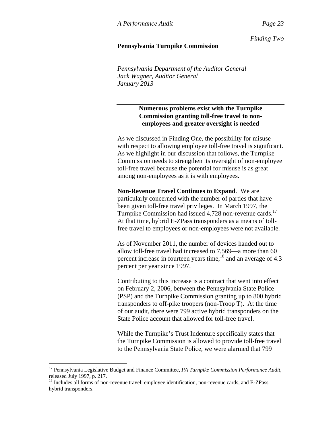*Finding Two*

## **Pennsylvania Turnpike Commission**

*Pennsylvania Department of the Auditor General Jack Wagner, Auditor General January 2013* 

# **Numerous problems exist with the Turnpike Commission granting toll-free travel to nonemployees and greater oversight is needed**

As we discussed in Finding One, the possibility for misuse with respect to allowing employee toll-free travel is significant. As we highlight in our discussion that follows, the Turnpike Commission needs to strengthen its oversight of non-employee toll-free travel because the potential for misuse is as great among non-employees as it is with employees.

**Non-Revenue Travel Continues to Expand**. We are particularly concerned with the number of parties that have been given toll-free travel privileges. In March 1997, the Turnpike Commission had issued 4,728 non-revenue cards.<sup>17</sup> At that time, hybrid E-ZPass transponders as a means of tollfree travel to employees or non-employees were not available.

As of November 2011, the number of devices handed out to allow toll-free travel had increased to 7,569—a more than 60 percent increase in fourteen years time,  $^{18}$  and an average of 4.3 percent per year since 1997.

Contributing to this increase is a contract that went into effect on February 2, 2006, between the Pennsylvania State Police (PSP) and the Turnpike Commission granting up to 800 hybrid transponders to off-pike troopers (non-Troop T). At the time of our audit, there were 799 active hybrid transponders on the State Police account that allowed for toll-free travel.

While the Turnpike's Trust Indenture specifically states that the Turnpike Commission is allowed to provide toll-free travel to the Pennsylvania State Police, we were alarmed that 799

 $\overline{a}$ 

<sup>17</sup> Pennsylvania Legislative Budget and Finance Committee, *PA Turnpike Commission Performance Audit*, released July 1997, p. 217.

<sup>&</sup>lt;sup>18</sup> Includes all forms of non-revenue travel: employee identification, non-revenue cards, and E-ZPass hybrid transponders.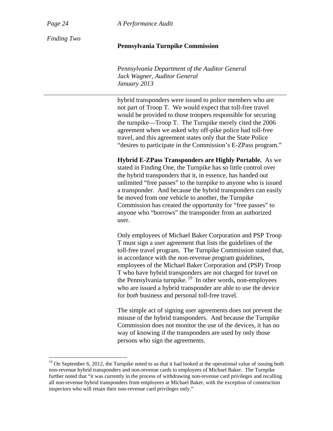$\overline{a}$ 

*Page 24 A Performance Audit*

*Finding Two* 

# **Pennsylvania Turnpike Commission**

*Pennsylvania Department of the Auditor General Jack Wagner, Auditor General January 2013* 

hybrid transponders were issued to police members who are not part of Troop T. We would expect that toll-free travel would be provided to those troopers responsible for securing the turnpike—Troop T. The Turnpike merely cited the 2006 agreement when we asked why off-pike police had toll-free travel, and this agreement states only that the State Police "desires to participate in the Commission's E-ZPass program."

**Hybrid E-ZPass Transponders are Highly Portable.** As we stated in Finding One, the Turnpike has so little control over the hybrid transponders that it, in essence, has handed out unlimited "free passes" to the turnpike to anyone who is issued a transponder. And because the hybrid transponders can easily be moved from one vehicle to another, the Turnpike Commission has created the opportunity for "free passes" to anyone who "borrows" the transponder from an authorized user.

Only employees of Michael Baker Corporation and PSP Troop T must sign a user agreement that lists the guidelines of the toll-free travel program. The Turnpike Commission stated that, in accordance with the non-revenue program guidelines, employees of the Michael Baker Corporation and (PSP) Troop T who have hybrid transponders are not charged for travel on the Pennsylvania turnpike. 19 In other words, non-employees who are issued a hybrid transponder are able to use the device for *both* business and personal toll-free travel.

The simple act of signing user agreements does not prevent the misuse of the hybrid transponders. And because the Turnpike Commission does not monitor the use of the devices, it has no way of knowing if the transponders are used by only those persons who sign the agreements.

<sup>&</sup>lt;sup>19</sup> On September 6, 2012, the Turnpike noted to us that it had looked at the operational value of issuing both non-revenue hybrid transponders and non-revenue cards to employees of Michael Baker. The Turnpike further noted that "it was currently in the process of withdrawing non-revenue card privileges and recalling all non-revenue hybrid transponders from employees at Michael Baker, with the exception of construction inspectors who will retain their non-revenue card privileges only."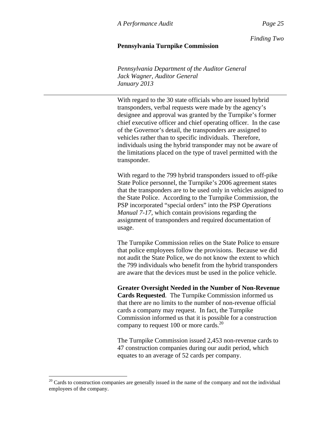*Finding Two*

## **Pennsylvania Turnpike Commission**

*Pennsylvania Department of the Auditor General Jack Wagner, Auditor General January 2013* 

With regard to the 30 state officials who are issued hybrid transponders, verbal requests were made by the agency's designee and approval was granted by the Turnpike's former chief executive officer and chief operating officer. In the case of the Governor's detail, the transponders are assigned to vehicles rather than to specific individuals. Therefore, individuals using the hybrid transponder may not be aware of the limitations placed on the type of travel permitted with the transponder.

With regard to the 799 hybrid transponders issued to off-pike State Police personnel, the Turnpike's 2006 agreement states that the transponders are to be used only in vehicles assigned to the State Police. According to the Turnpike Commission, the PSP incorporated "special orders" into the PSP *Operations Manual 7-17*, which contain provisions regarding the assignment of transponders and required documentation of usage.

The Turnpike Commission relies on the State Police to ensure that police employees follow the provisions. Because we did not audit the State Police, we do not know the extent to which the 799 individuals who benefit from the hybrid transponders are aware that the devices must be used in the police vehicle.

**Greater Oversight Needed in the Number of Non-Revenue Cards Requested**. The Turnpike Commission informed us that there are no limits to the number of non-revenue official cards a company may request. In fact, the Turnpike Commission informed us that it is possible for a construction company to request 100 or more cards. $^{20}$ 

The Turnpike Commission issued 2,453 non-revenue cards to 47 construction companies during our audit period, which equates to an average of 52 cards per company.

 $\overline{a}$ 

 $20$  Cards to construction companies are generally issued in the name of the company and not the individual employees of the company.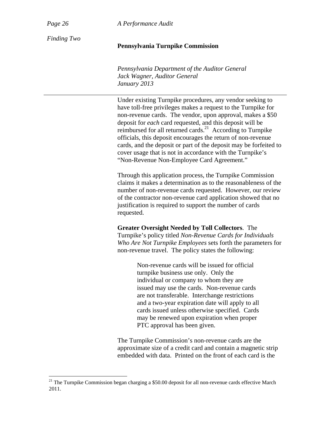1

*Page 26 A Performance Audit*

*Finding Two* 

# **Pennsylvania Turnpike Commission**

*Pennsylvania Department of the Auditor General Jack Wagner, Auditor General January 2013* 

Under existing Turnpike procedures, any vendor seeking to have toll-free privileges makes a request to the Turnpike for non-revenue cards. The vendor, upon approval, makes a \$50 deposit for *each* card requested, and this deposit will be reimbursed for all returned cards.<sup>21</sup> According to Turnpike officials, this deposit encourages the return of non-revenue cards, and the deposit or part of the deposit may be forfeited to cover usage that is not in accordance with the Turnpike's "Non-Revenue Non-Employee Card Agreement."

Through this application process, the Turnpike Commission claims it makes a determination as to the reasonableness of the number of non-revenue cards requested. However, our review of the contractor non-revenue card application showed that no justification is required to support the number of cards requested.

**Greater Oversight Needed by Toll Collectors**. The Turnpike's policy titled *Non-Revenue Cards for Individuals Who Are Not Turnpike Employees* sets forth the parameters for non-revenue travel. The policy states the following:

> Non-revenue cards will be issued for official turnpike business use only. Only the individual or company to whom they are issued may use the cards. Non-revenue cards are not transferable. Interchange restrictions and a two-year expiration date will apply to all cards issued unless otherwise specified. Cards may be renewed upon expiration when proper PTC approval has been given.

The Turnpike Commission's non-revenue cards are the approximate size of a credit card and contain a magnetic strip embedded with data. Printed on the front of each card is the

<sup>&</sup>lt;sup>21</sup> The Turnpike Commission began charging a \$50.00 deposit for all non-revenue cards effective March 2011.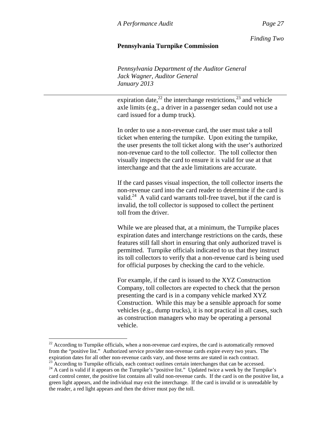*Finding Two*

# **Pennsylvania Turnpike Commission**

*Pennsylvania Department of the Auditor General Jack Wagner, Auditor General January 2013* 

expiration date, $^{22}$  the interchange restrictions, $^{23}$  and vehicle axle limits (e.g., a driver in a passenger sedan could not use a card issued for a dump truck).

In order to use a non-revenue card, the user must take a toll ticket when entering the turnpike. Upon exiting the turnpike, the user presents the toll ticket along with the user's authorized non-revenue card to the toll collector. The toll collector then visually inspects the card to ensure it is valid for use at that interchange and that the axle limitations are accurate.

If the card passes visual inspection, the toll collector inserts the non-revenue card into the card reader to determine if the card is valid.<sup>24</sup> A valid card warrants toll-free travel, but if the card is invalid, the toll collector is supposed to collect the pertinent toll from the driver.

While we are pleased that, at a minimum, the Turnpike places expiration dates and interchange restrictions on the cards, these features still fall short in ensuring that only authorized travel is permitted. Turnpike officials indicated to us that they instruct its toll collectors to verify that a non-revenue card is being used for official purposes by checking the card to the vehicle.

For example, if the card is issued to the XYZ Construction Company, toll collectors are expected to check that the person presenting the card is in a company vehicle marked XYZ Construction. While this may be a sensible approach for some vehicles (e.g., dump trucks), it is not practical in all cases, such as construction managers who may be operating a personal vehicle.

1

 $22$  According to Turnpike officials, when a non-revenue card expires, the card is automatically removed from the "positive list." Authorized service provider non-revenue cards expire every two years. The expiration dates for all other non-revenue cards vary, and those terms are stated in each contract.<br><sup>23</sup> According to Turnpike officials, each contract outlines certain interchanges that can be accessed.

<sup>&</sup>lt;sup>24</sup> A card is valid if it appears on the Turnpike's "positive list." Updated twice a week by the Turnpike's card control center, the positive list contains all valid non-revenue cards. If the card is on the positive list, a green light appears, and the individual may exit the interchange. If the card is invalid or is unreadable by the reader, a red light appears and then the driver must pay the toll.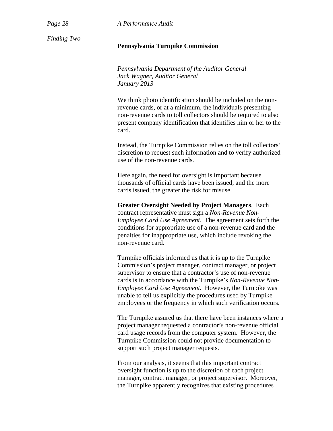*Page 28 A Performance Audit*

*Finding Two* 

#### **Pennsylvania Turnpike Commission**

*Pennsylvania Department of the Auditor General Jack Wagner, Auditor General January 2013* 

We think photo identification should be included on the nonrevenue cards, or at a minimum, the individuals presenting non-revenue cards to toll collectors should be required to also present company identification that identifies him or her to the card.

Instead, the Turnpike Commission relies on the toll collectors' discretion to request such information and to verify authorized use of the non-revenue cards.

Here again, the need for oversight is important because thousands of official cards have been issued, and the more cards issued, the greater the risk for misuse.

**Greater Oversight Needed by Project Managers**. Each contract representative must sign a *Non-Revenue Non-Employee Card Use Agreement*. The agreement sets forth the conditions for appropriate use of a non-revenue card and the penalties for inappropriate use, which include revoking the non-revenue card.

Turnpike officials informed us that it is up to the Turnpike Commission's project manager, contract manager, or project supervisor to ensure that a contractor's use of non-revenue cards is in accordance with the Turnpike's *Non-Revenue Non-Employee Card Use Agreement*. However, the Turnpike was unable to tell us explicitly the procedures used by Turnpike employees or the frequency in which such verification occurs.

The Turnpike assured us that there have been instances where a project manager requested a contractor's non-revenue official card usage records from the computer system. However, the Turnpike Commission could not provide documentation to support such project manager requests.

From our analysis, it seems that this important contract oversight function is up to the discretion of each project manager, contract manager, or project supervisor. Moreover, the Turnpike apparently recognizes that existing procedures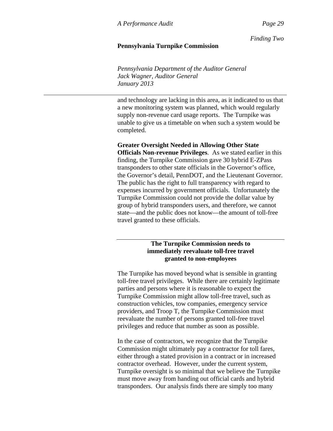*Finding Two*

#### **Pennsylvania Turnpike Commission**

*Pennsylvania Department of the Auditor General Jack Wagner, Auditor General January 2013* 

and technology are lacking in this area, as it indicated to us that a new monitoring system was planned, which would regularly supply non-revenue card usage reports. The Turnpike was unable to give us a timetable on when such a system would be completed.

**Greater Oversight Needed in Allowing Other State Officials Non-revenue Privileges**. As we stated earlier in this finding, the Turnpike Commission gave 30 hybrid E-ZPass transponders to other state officials in the Governor's office, the Governor's detail, PennDOT, and the Lieutenant Governor. The public has the right to full transparency with regard to expenses incurred by government officials. Unfortunately the Turnpike Commission could not provide the dollar value by group of hybrid transponders users, and therefore, we cannot state—and the public does not know—the amount of toll-free travel granted to these officials.

# **The Turnpike Commission needs to immediately reevaluate toll-free travel granted to non-employees**

The Turnpike has moved beyond what is sensible in granting toll-free travel privileges. While there are certainly legitimate parties and persons where it is reasonable to expect the Turnpike Commission might allow toll-free travel, such as construction vehicles, tow companies, emergency service providers, and Troop T, the Turnpike Commission must reevaluate the number of persons granted toll-free travel privileges and reduce that number as soon as possible.

In the case of contractors, we recognize that the Turnpike Commission might ultimately pay a contractor for toll fares, either through a stated provision in a contract or in increased contractor overhead. However, under the current system, Turnpike oversight is so minimal that we believe the Turnpike must move away from handing out official cards and hybrid transponders. Our analysis finds there are simply too many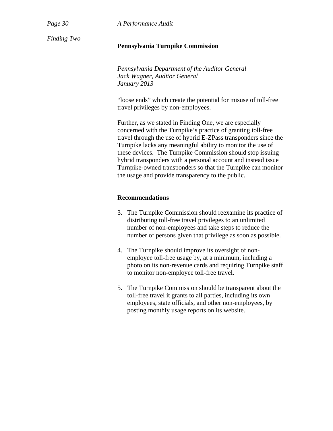*Page 30 A Performance Audit*

*Finding Two* 

#### **Pennsylvania Turnpike Commission**

*Pennsylvania Department of the Auditor General Jack Wagner, Auditor General January 2013* 

"loose ends" which create the potential for misuse of toll-free travel privileges by non-employees.

Further, as we stated in Finding One, we are especially concerned with the Turnpike's practice of granting toll-free travel through the use of hybrid E-ZPass transponders since the Turnpike lacks any meaningful ability to monitor the use of these devices. The Turnpike Commission should stop issuing hybrid transponders with a personal account and instead issue Turnpike-owned transponders so that the Turnpike can monitor the usage and provide transparency to the public.

# **Recommendations**

- 3. The Turnpike Commission should reexamine its practice of distributing toll-free travel privileges to an unlimited number of non-employees and take steps to reduce the number of persons given that privilege as soon as possible.
- 4. The Turnpike should improve its oversight of nonemployee toll-free usage by, at a minimum, including a photo on its non-revenue cards and requiring Turnpike staff to monitor non-employee toll-free travel.
- 5. The Turnpike Commission should be transparent about the toll-free travel it grants to all parties, including its own employees, state officials, and other non-employees, by posting monthly usage reports on its website.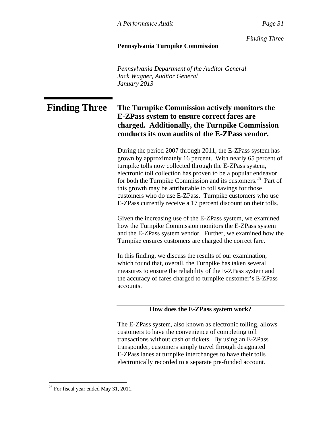*Finding Three*

# **Pennsylvania Turnpike Commission**

*Pennsylvania Department of the Auditor General Jack Wagner, Auditor General January 2013* 

# **Finding Three The Turnpike Commission actively monitors the E-ZPass system to ensure correct fares are charged. Additionally, the Turnpike Commission conducts its own audits of the E-ZPass vendor.**

During the period 2007 through 2011, the E-ZPass system has grown by approximately 16 percent. With nearly 65 percent of turnpike tolls now collected through the E-ZPass system, electronic toll collection has proven to be a popular endeavor for both the Turnpike Commission and its customers.<sup>25</sup> Part of this growth may be attributable to toll savings for those customers who do use E-ZPass. Turnpike customers who use E-ZPass currently receive a 17 percent discount on their tolls.

Given the increasing use of the E-ZPass system, we examined how the Turnpike Commission monitors the E-ZPass system and the E-ZPass system vendor. Further, we examined how the Turnpike ensures customers are charged the correct fare.

In this finding, we discuss the results of our examination, which found that, overall, the Turnpike has taken several measures to ensure the reliability of the E-ZPass system and the accuracy of fares charged to turnpike customer's E-ZPass accounts.

## **How does the E-ZPass system work?**

The E-ZPass system, also known as electronic tolling, allows customers to have the convenience of completing toll transactions without cash or tickets. By using an E-ZPass transponder, customers simply travel through designated E-ZPass lanes at turnpike interchanges to have their tolls electronically recorded to a separate pre-funded account.

 $\overline{a}$ 

 $25$  For fiscal year ended May 31, 2011.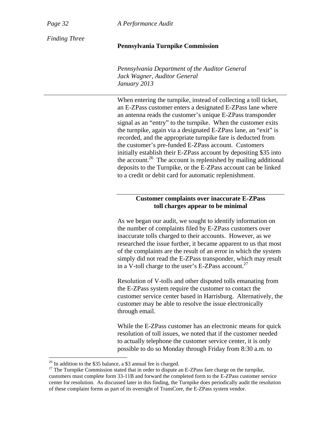*Page 32 A Performance Audit*

*Finding Three* 

#### **Pennsylvania Turnpike Commission**

*Pennsylvania Department of the Auditor General Jack Wagner, Auditor General January 2013* 

When entering the turnpike, instead of collecting a toll ticket, an E-ZPass customer enters a designated E-ZPass lane where an antenna reads the customer's unique E-ZPass transponder signal as an "entry" to the turnpike. When the customer exits the turnpike, again via a designated E-ZPass lane, an "exit" is recorded, and the appropriate turnpike fare is deducted from the customer's pre-funded E-ZPass account. Customers initially establish their E-ZPass account by depositing \$35 into the account.<sup>26</sup> The account is replenished by mailing additional deposits to the Turnpike, or the E-ZPass account can be linked to a credit or debit card for automatic replenishment.

# **Customer complaints over inaccurate E-ZPass toll charges appear to be minimal**

As we began our audit, we sought to identify information on the number of complaints filed by E-ZPass customers over inaccurate tolls charged to their accounts. However, as we researched the issue further, it became apparent to us that most of the complaints are the result of an error in which the system simply did not read the E-ZPass transponder, which may result in a V-toll charge to the user's E-ZPass account.<sup>27</sup>

Resolution of V-tolls and other disputed tolls emanating from the E-ZPass system require the customer to contact the customer service center based in Harrisburg. Alternatively, the customer may be able to resolve the issue electronically through email.

While the E-ZPass customer has an electronic means for quick resolution of toll issues, we noted that if the customer needed to actually telephone the customer service center, it is only possible to do so Monday through Friday from 8:30 a.m. to

1

 $26$  In addition to the \$35 balance, a \$3 annual fee is charged.

 $27$  The Turnpike Commission stated that in order to dispute an E-ZPass fare charge on the turnpike, customers must complete form 33-11B and forward the completed form to the E-ZPass customer service center for resolution. As discussed later in this finding, the Turnpike does periodically audit the resolution of these complaint forms as part of its oversight of TransCore, the E-ZPass system vendor.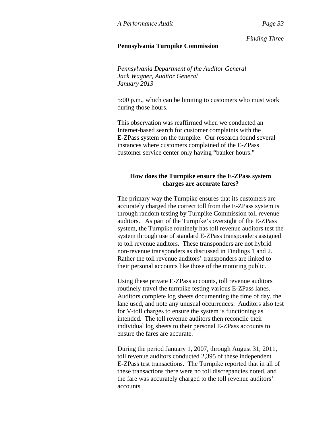*Finding Three*

#### **Pennsylvania Turnpike Commission**

*Pennsylvania Department of the Auditor General Jack Wagner, Auditor General January 2013* 

5:00 p.m., which can be limiting to customers who must work during those hours.

This observation was reaffirmed when we conducted an Internet-based search for customer complaints with the E-ZPass system on the turnpike. Our research found several instances where customers complained of the E-ZPass customer service center only having "banker hours."

# **How does the Turnpike ensure the E-ZPass system charges are accurate fares?**

The primary way the Turnpike ensures that its customers are accurately charged the correct toll from the E-ZPass system is through random testing by Turnpike Commission toll revenue auditors. As part of the Turnpike's oversight of the E-ZPass system, the Turnpike routinely has toll revenue auditors test the system through use of standard E-ZPass transponders assigned to toll revenue auditors. These transponders are not hybrid non-revenue transponders as discussed in Findings 1 and 2. Rather the toll revenue auditors' transponders are linked to their personal accounts like those of the motoring public.

Using these private E-ZPass accounts, toll revenue auditors routinely travel the turnpike testing various E-ZPass lanes. Auditors complete log sheets documenting the time of day, the lane used, and note any unusual occurrences. Auditors also test for V-toll charges to ensure the system is functioning as intended. The toll revenue auditors then reconcile their individual log sheets to their personal E-ZPass accounts to ensure the fares are accurate.

During the period January 1, 2007, through August 31, 2011, toll revenue auditors conducted 2,395 of these independent E-ZPass test transactions. The Turnpike reported that in all of these transactions there were no toll discrepancies noted, and the fare was accurately charged to the toll revenue auditors' accounts.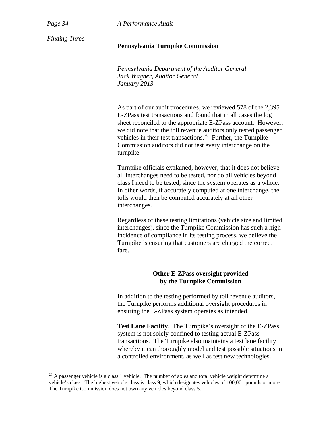*Page 34 A Performance Audit*

*Finding Three* 

#### **Pennsylvania Turnpike Commission**

*Pennsylvania Department of the Auditor General Jack Wagner, Auditor General January 2013* 

As part of our audit procedures, we reviewed 578 of the 2,395 E-ZPass test transactions and found that in all cases the log sheet reconciled to the appropriate E-ZPass account. However, we did note that the toll revenue auditors only tested passenger vehicles in their test transactions. $^{28}$  Further, the Turnpike Commission auditors did not test every interchange on the turnpike.

Turnpike officials explained, however, that it does not believe all interchanges need to be tested, nor do all vehicles beyond class I need to be tested, since the system operates as a whole. In other words, if accurately computed at one interchange, the tolls would then be computed accurately at all other interchanges.

Regardless of these testing limitations (vehicle size and limited interchanges), since the Turnpike Commission has such a high incidence of compliance in its testing process, we believe the Turnpike is ensuring that customers are charged the correct fare.

# **Other E-ZPass oversight provided by the Turnpike Commission**

In addition to the testing performed by toll revenue auditors, the Turnpike performs additional oversight procedures in ensuring the E-ZPass system operates as intended.

**Test Lane Facility**. The Turnpike's oversight of the E-ZPass system is not solely confined to testing actual E-ZPass transactions. The Turnpike also maintains a test lane facility whereby it can thoroughly model and test possible situations in a controlled environment, as well as test new technologies.

 $^{28}$  A passenger vehicle is a class 1 vehicle. The number of axles and total vehicle weight determine a vehicle's class. The highest vehicle class is class 9, which designates vehicles of 100,001 pounds or more. The Turnpike Commission does not own any vehicles beyond class 5.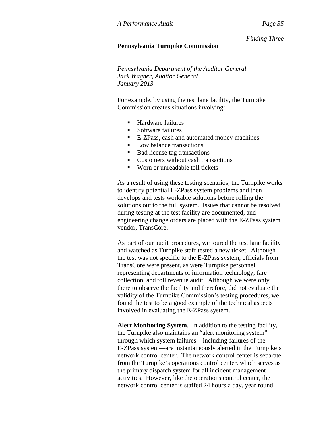*Finding Three*

#### **Pennsylvania Turnpike Commission**

*Pennsylvania Department of the Auditor General Jack Wagner, Auditor General January 2013* 

For example, by using the test lane facility, the Turnpike Commission creates situations involving:

- Hardware failures
- Software failures
- E-ZPass, cash and automated money machines
- Low balance transactions
- Bad license tag transactions
- Customers without cash transactions
- Worn or unreadable toll tickets

As a result of using these testing scenarios, the Turnpike works to identify potential E-ZPass system problems and then develops and tests workable solutions before rolling the solutions out to the full system. Issues that cannot be resolved during testing at the test facility are documented, and engineering change orders are placed with the E-ZPass system vendor, TransCore.

As part of our audit procedures, we toured the test lane facility and watched as Turnpike staff tested a new ticket. Although the test was not specific to the E-ZPass system, officials from TransCore were present, as were Turnpike personnel representing departments of information technology, fare collection, and toll revenue audit. Although we were only there to observe the facility and therefore, did not evaluate the validity of the Turnpike Commission's testing procedures, we found the test to be a good example of the technical aspects involved in evaluating the E-ZPass system.

**Alert Monitoring System**. In addition to the testing facility, the Turnpike also maintains an "alert monitoring system" through which system failures—including failures of the E-ZPass system—are instantaneously alerted in the Turnpike's network control center. The network control center is separate from the Turnpike's operations control center, which serves as the primary dispatch system for all incident management activities. However, like the operations control center, the network control center is staffed 24 hours a day, year round.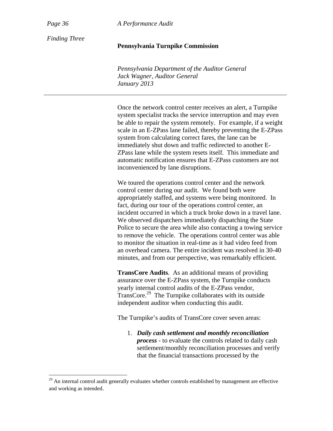*Page 36 A Performance Audit*

*Finding Three* 

## **Pennsylvania Turnpike Commission**

*Pennsylvania Department of the Auditor General Jack Wagner, Auditor General January 2013* 

Once the network control center receives an alert, a Turnpike system specialist tracks the service interruption and may even be able to repair the system remotely. For example, if a weight scale in an E-ZPass lane failed, thereby preventing the E-ZPass system from calculating correct fares, the lane can be immediately shut down and traffic redirected to another E-ZPass lane while the system resets itself. This immediate and automatic notification ensures that E-ZPass customers are not inconvenienced by lane disruptions.

We toured the operations control center and the network control center during our audit. We found both were appropriately staffed, and systems were being monitored. In fact, during our tour of the operations control center, an incident occurred in which a truck broke down in a travel lane. We observed dispatchers immediately dispatching the State Police to secure the area while also contacting a towing service to remove the vehicle. The operations control center was able to monitor the situation in real-time as it had video feed from an overhead camera. The entire incident was resolved in 30-40 minutes, and from our perspective, was remarkably efficient.

**TransCore Audits**. As an additional means of providing assurance over the E-ZPass system, the Turnpike conducts yearly internal control audits of the E-ZPass vendor, TransCore.29 The Turnpike collaborates with its outside independent auditor when conducting this audit.

The Turnpike's audits of TransCore cover seven areas:

1. *Daily cash settlement and monthly reconciliation process* - to evaluate the controls related to daily cash settlement/monthly reconciliation processes and verify that the financial transactions processed by the

 $29$  An internal control audit generally evaluates whether controls established by management are effective and working as intended.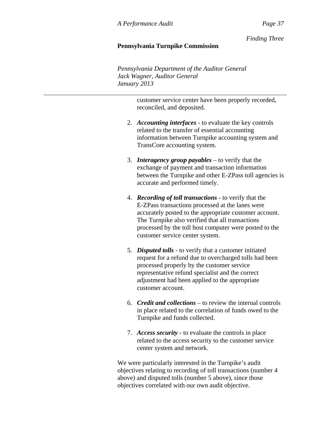*Finding Three*

# **Pennsylvania Turnpike Commission**

*Pennsylvania Department of the Auditor General Jack Wagner, Auditor General January 2013* 

> customer service center have been properly recorded, reconciled, and deposited.

- 2. *Accounting interfaces* to evaluate the key controls related to the transfer of essential accounting information between Turnpike accounting system and TransCore accounting system.
- 3. *Interagency group payables* to verify that the exchange of payment and transaction information between the Turnpike and other E-ZPass toll agencies is accurate and performed timely.
- 4. *Recording of toll transactions* to verify that the E-ZPass transactions processed at the lanes were accurately posted to the appropriate customer account. The Turnpike also verified that all transactions processed by the toll host computer were posted to the customer service center system.
- 5. *Disputed tolls* to verify that a customer initiated request for a refund due to overcharged tolls had been processed properly by the customer service representative refund specialist and the correct adjustment had been applied to the appropriate customer account.
- 6. *Credit and collections* to review the internal controls in place related to the correlation of funds owed to the Turnpike and funds collected.
- 7. *Access security* to evaluate the controls in place related to the access security to the customer service center system and network.

We were particularly interested in the Turnpike's audit objectives relating to recording of toll transactions (number 4 above) and disputed tolls (number 5 above), since those objectives correlated with our own audit objective.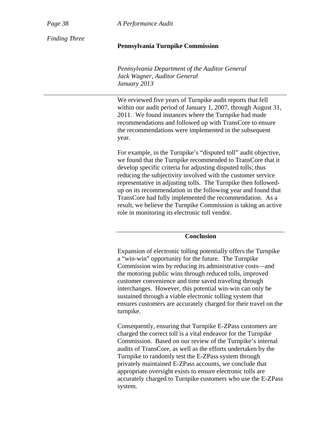*Page 38 A Performance Audit*

*Finding Three* 

#### **Pennsylvania Turnpike Commission**

*Pennsylvania Department of the Auditor General Jack Wagner, Auditor General January 2013* 

We reviewed five years of Turnpike audit reports that fell within our audit period of January 1, 2007, through August 31, 2011. We found instances where the Turnpike had made recommendations and followed up with TransCore to ensure the recommendations were implemented in the subsequent year.

For example, in the Turnpike's "disputed toll" audit objective, we found that the Turnpike recommended to TransCore that it develop specific criteria for adjusting disputed tolls; thus reducing the subjectivity involved with the customer service representative in adjusting tolls. The Turnpike then followedup on its recommendation in the following year and found that TransCore had fully implemented the recommendation. As a result, we believe the Turnpike Commission is taking an active role in monitoring its electronic toll vendor.

# **Conclusion**

Expansion of electronic tolling potentially offers the Turnpike a "win-win" opportunity for the future. The Turnpike Commission wins by reducing its administrative costs—and the motoring public wins through reduced tolls, improved customer convenience and time saved traveling through interchanges. However, this potential win-win can only be sustained through a viable electronic tolling system that ensures customers are accurately charged for their travel on the turnpike.

Consequently, ensuring that Turnpike E-ZPass customers are charged the correct toll is a vital endeavor for the Turnpike Commission. Based on our review of the Turnpike's internal audits of TransCore, as well as the efforts undertaken by the Turnpike to randomly test the E-ZPass system through privately maintained E-ZPass accounts, we conclude that appropriate oversight exists to ensure electronic tolls are accurately charged to Turnpike customers who use the E-ZPass system.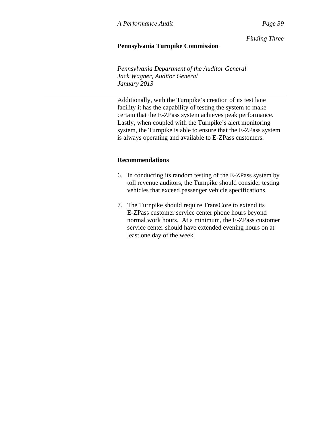*Finding Three*

# **Pennsylvania Turnpike Commission**

*Pennsylvania Department of the Auditor General Jack Wagner, Auditor General January 2013* 

Additionally, with the Turnpike's creation of its test lane facility it has the capability of testing the system to make certain that the E-ZPass system achieves peak performance. Lastly, when coupled with the Turnpike's alert monitoring system, the Turnpike is able to ensure that the E-ZPass system is always operating and available to E-ZPass customers.

# **Recommendations**

- 6. In conducting its random testing of the E-ZPass system by toll revenue auditors, the Turnpike should consider testing vehicles that exceed passenger vehicle specifications.
- 7. The Turnpike should require TransCore to extend its E-ZPass customer service center phone hours beyond normal work hours. At a minimum, the E-ZPass customer service center should have extended evening hours on at least one day of the week.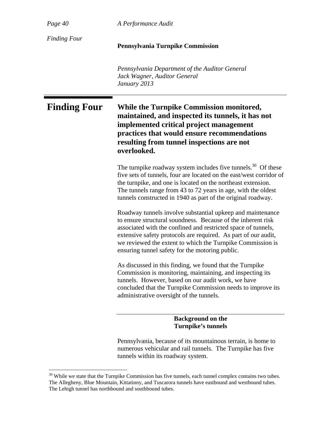*Page 40 A Performance Audit*

*Finding Four* 

#### **Pennsylvania Turnpike Commission**

*Pennsylvania Department of the Auditor General Jack Wagner, Auditor General January 2013* 

# **Finding Four While the Turnpike Commission monitored, maintained, and inspected its tunnels, it has not implemented critical project management practices that would ensure recommendations resulting from tunnel inspections are not overlooked.**

The turnpike roadway system includes five tunnels.<sup>30</sup> Of these five sets of tunnels, four are located on the east/west corridor of the turnpike, and one is located on the northeast extension. The tunnels range from 43 to 72 years in age, with the oldest tunnels constructed in 1940 as part of the original roadway.

Roadway tunnels involve substantial upkeep and maintenance to ensure structural soundness. Because of the inherent risk associated with the confined and restricted space of tunnels, extensive safety protocols are required. As part of our audit, we reviewed the extent to which the Turnpike Commission is ensuring tunnel safety for the motoring public.

As discussed in this finding, we found that the Turnpike Commission is monitoring, maintaining, and inspecting its tunnels. However, based on our audit work, we have concluded that the Turnpike Commission needs to improve its administrative oversight of the tunnels.

> **Background on the Turnpike's tunnels**

Pennsylvania, because of its mountainous terrain, is home to numerous vehicular and rail tunnels. The Turnpike has five tunnels within its roadway system.

 $30$  While we state that the Turnpike Commission has five tunnels, each tunnel complex contains two tubes. The Allegheny, Blue Mountain, Kittatinny, and Tuscarora tunnels have eastbound and westbound tubes. The Lehigh tunnel has northbound and southbound tubes.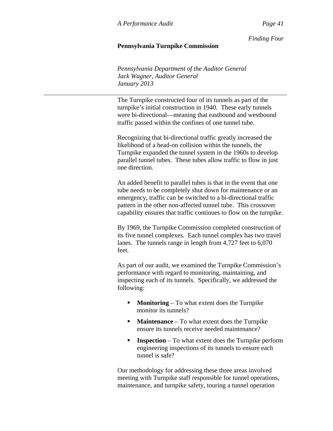# **Pennsylvania Turnpike Commission**

*Pennsylvania Department of the Auditor General Jack Wagner, Auditor General January 2013* 

The Turnpike constructed four of its tunnels as part of the turnpike's initial construction in 1940. These early tunnels were bi-directional—meaning that eastbound and westbound traffic passed within the confines of one tunnel tube.

Recognizing that bi-directional traffic greatly increased the likelihood of a head-on collision within the tunnels, the Turnpike expanded the tunnel system in the 1960s to develop parallel tunnel tubes. These tubes allow traffic to flow in just one direction.

An added benefit to parallel tubes is that in the event that one tube needs to be completely shut down for maintenance or an emergency, traffic can be switched to a bi-directional traffic pattern in the other non-affected tunnel tube. This crossover capability ensures that traffic continues to flow on the turnpike.

By 1969, the Turnpike Commission completed construction of its five tunnel complexes. Each tunnel complex has two travel lanes. The tunnels range in length from 4,727 feet to 6,070 feet.

As part of our audit, we examined the Turnpike Commission's performance with regard to monitoring, maintaining, and inspecting each of its tunnels. Specifically, we addressed the following:

- **Monitoring** To what extent does the Turnpike monitor its tunnels?
- **Maintenance** To what extent does the Turnpike ensure its tunnels receive needed maintenance?
- **Inspection** To what extent does the Turnpike perform engineering inspections of its tunnels to ensure each tunnel is safe?

Our methodology for addressing these three areas involved meeting with Turnpike staff responsible for tunnel operations, maintenance, and turnpike safety, touring a tunnel operation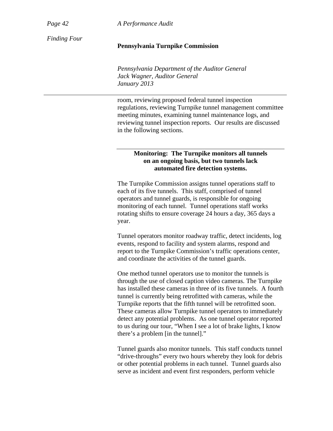*Page 42 A Performance Audit*

*Finding Four* 

#### **Pennsylvania Turnpike Commission**

*Pennsylvania Department of the Auditor General Jack Wagner, Auditor General January 2013* 

room, reviewing proposed federal tunnel inspection regulations, reviewing Turnpike tunnel management committee meeting minutes, examining tunnel maintenance logs, and reviewing tunnel inspection reports. Our results are discussed in the following sections.

## **Monitoring: The Turnpike monitors all tunnels on an ongoing basis, but two tunnels lack automated fire detection systems.**

The Turnpike Commission assigns tunnel operations staff to each of its five tunnels. This staff, comprised of tunnel operators and tunnel guards, is responsible for ongoing monitoring of each tunnel. Tunnel operations staff works rotating shifts to ensure coverage 24 hours a day, 365 days a year.

Tunnel operators monitor roadway traffic, detect incidents, log events, respond to facility and system alarms, respond and report to the Turnpike Commission's traffic operations center, and coordinate the activities of the tunnel guards.

One method tunnel operators use to monitor the tunnels is through the use of closed caption video cameras. The Turnpike has installed these cameras in three of its five tunnels. A fourth tunnel is currently being retrofitted with cameras, while the Turnpike reports that the fifth tunnel will be retrofitted soon. These cameras allow Turnpike tunnel operators to immediately detect any potential problems. As one tunnel operator reported to us during our tour, "When I see a lot of brake lights, I know there's a problem [in the tunnel]."

Tunnel guards also monitor tunnels. This staff conducts tunnel "drive-throughs" every two hours whereby they look for debris or other potential problems in each tunnel. Tunnel guards also serve as incident and event first responders, perform vehicle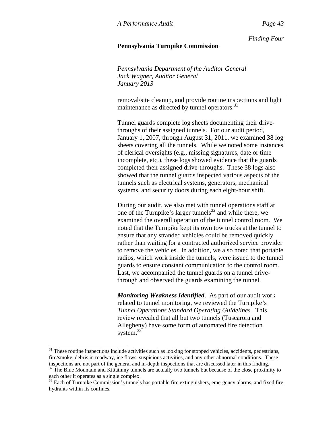#### **Pennsylvania Turnpike Commission**

*Pennsylvania Department of the Auditor General Jack Wagner, Auditor General January 2013* 

removal/site cleanup, and provide routine inspections and light maintenance as directed by tunnel operators.<sup>31</sup>

Tunnel guards complete log sheets documenting their drivethroughs of their assigned tunnels. For our audit period, January 1, 2007, through August 31, 2011, we examined 38 log sheets covering all the tunnels. While we noted some instances of clerical oversights (e.g., missing signatures, date or time incomplete, etc.), these logs showed evidence that the guards completed their assigned drive-throughs. These 38 logs also showed that the tunnel guards inspected various aspects of the tunnels such as electrical systems, generators, mechanical systems, and security doors during each eight-hour shift.

During our audit, we also met with tunnel operations staff at one of the Turnpike's larger tunnels $^{32}$  and while there, we examined the overall operation of the tunnel control room. We noted that the Turnpike kept its own tow trucks at the tunnel to ensure that any stranded vehicles could be removed quickly rather than waiting for a contracted authorized service provider to remove the vehicles. In addition, we also noted that portable radios, which work inside the tunnels, were issued to the tunnel guards to ensure constant communication to the control room. Last, we accompanied the tunnel guards on a tunnel drivethrough and observed the guards examining the tunnel.

*Monitoring Weakness Identified*. As part of our audit work related to tunnel monitoring, we reviewed the Turnpike's *Tunnel Operations Standard Operating Guidelines.* This review revealed that all but two tunnels (Tuscarora and Allegheny) have some form of automated fire detection system.<sup>33</sup>

 $\overline{a}$ 

 $31$  These routine inspections include activities such as looking for stopped vehicles, accidents, pedestrians, fire/smoke, debris in roadway, ice flows, suspicious activities, and any other abnormal conditions. These inspections are not part of the general and in-depth inspections that are discussed later in this finding.

<sup>&</sup>lt;sup>32</sup> The Blue Mountain and Kittatinny tunnels are actually two tunnels but because of the close proximity to each other it operates as a single complex.

<sup>&</sup>lt;sup>33</sup> Each of Turnpike Commission's tunnels has portable fire extinguishers, emergency alarms, and fixed fire hydrants within its confines.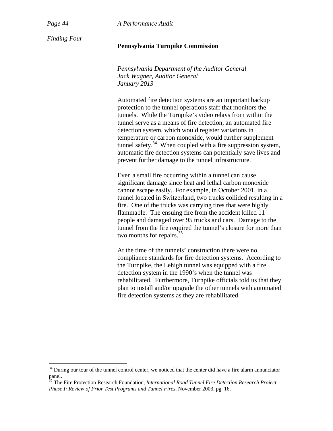*Page 44 A Performance Audit*

*Finding Four* 

## **Pennsylvania Turnpike Commission**

*Pennsylvania Department of the Auditor General Jack Wagner, Auditor General January 2013* 

Automated fire detection systems are an important backup protection to the tunnel operations staff that monitors the tunnels. While the Turnpike's video relays from within the tunnel serve as a means of fire detection, an automated fire detection system, which would register variations in temperature or carbon monoxide, would further supplement tunnel safety. $34$  When coupled with a fire suppression system, automatic fire detection systems can potentially save lives and prevent further damage to the tunnel infrastructure.

Even a small fire occurring within a tunnel can cause significant damage since heat and lethal carbon monoxide cannot escape easily. For example, in October 2001, in a tunnel located in Switzerland, two trucks collided resulting in a fire. One of the trucks was carrying tires that were highly flammable. The ensuing fire from the accident killed 11 people and damaged over 95 trucks and cars. Damage to the tunnel from the fire required the tunnel's closure for more than two months for repairs.<sup>35</sup>

At the time of the tunnels' construction there were no compliance standards for fire detection systems. According to the Turnpike, the Lehigh tunnel was equipped with a fire detection system in the 1990's when the tunnel was rehabilitated. Furthermore, Turnpike officials told us that they plan to install and/or upgrade the other tunnels with automated fire detection systems as they are rehabilitated.

 $34$  During our tour of the tunnel control center, we noticed that the center did have a fire alarm annunciator panel.

<sup>&</sup>lt;sup>35</sup> The Fire Protection Research Foundation, *International Road Tunnel Fire Detection Research Project – Phase I: Review of Prior Test Programs and Tunnel Fires*, November 2003, pg. 16.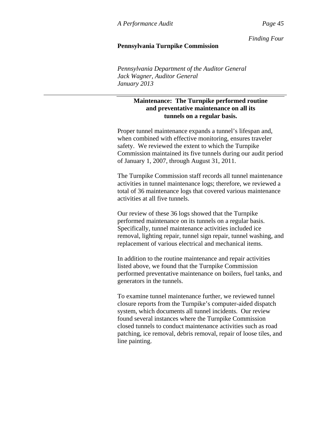#### **Pennsylvania Turnpike Commission**

*Pennsylvania Department of the Auditor General Jack Wagner, Auditor General January 2013* 

# **Maintenance: The Turnpike performed routine and preventative maintenance on all its tunnels on a regular basis.**

Proper tunnel maintenance expands a tunnel's lifespan and, when combined with effective monitoring, ensures traveler safety. We reviewed the extent to which the Turnpike Commission maintained its five tunnels during our audit period of January 1, 2007, through August 31, 2011.

The Turnpike Commission staff records all tunnel maintenance activities in tunnel maintenance logs; therefore, we reviewed a total of 36 maintenance logs that covered various maintenance activities at all five tunnels.

Our review of these 36 logs showed that the Turnpike performed maintenance on its tunnels on a regular basis. Specifically, tunnel maintenance activities included ice removal, lighting repair, tunnel sign repair, tunnel washing, and replacement of various electrical and mechanical items.

In addition to the routine maintenance and repair activities listed above, we found that the Turnpike Commission performed preventative maintenance on boilers, fuel tanks, and generators in the tunnels.

To examine tunnel maintenance further, we reviewed tunnel closure reports from the Turnpike's computer-aided dispatch system, which documents all tunnel incidents. Our review found several instances where the Turnpike Commission closed tunnels to conduct maintenance activities such as road patching, ice removal, debris removal, repair of loose tiles, and line painting.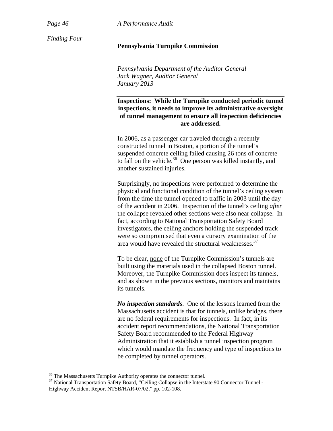*Page 46 A Performance Audit*

*Finding Four* 

## **Pennsylvania Turnpike Commission**

*Pennsylvania Department of the Auditor General Jack Wagner, Auditor General January 2013* 

**Inspections: While the Turnpike conducted periodic tunnel inspections, it needs to improve its administrative oversight of tunnel management to ensure all inspection deficiencies are addressed.** 

In 2006, as a passenger car traveled through a recently constructed tunnel in Boston, a portion of the tunnel's suspended concrete ceiling failed causing 26 tons of concrete to fall on the vehicle. $36$  One person was killed instantly, and another sustained injuries.

Surprisingly, no inspections were performed to determine the physical and functional condition of the tunnel's ceiling system from the time the tunnel opened to traffic in 2003 until the day of the accident in 2006. Inspection of the tunnel's ceiling *after* the collapse revealed other sections were also near collapse. In fact, according to National Transportation Safety Board investigators, the ceiling anchors holding the suspended track were so compromised that even a cursory examination of the area would have revealed the structural weaknesses.<sup>37</sup>

To be clear, none of the Turnpike Commission's tunnels are built using the materials used in the collapsed Boston tunnel. Moreover, the Turnpike Commission does inspect its tunnels, and as shown in the previous sections, monitors and maintains its tunnels.

*No inspection standards*. One of the lessons learned from the Massachusetts accident is that for tunnels, unlike bridges, there are no federal requirements for inspections. In fact, in its accident report recommendations, the National Transportation Safety Board recommended to the Federal Highway Administration that it establish a tunnel inspection program which would mandate the frequency and type of inspections to be completed by tunnel operators.

<sup>&</sup>lt;sup>36</sup> The Massachusetts Turnpike Authority operates the connector tunnel.<br><sup>37</sup> National Transportation Safety Board, "Ceiling Collapse in the Interstate 90 Connector Tunnel -Highway Accident Report NTSB/HAR-07/02," pp. 102-108.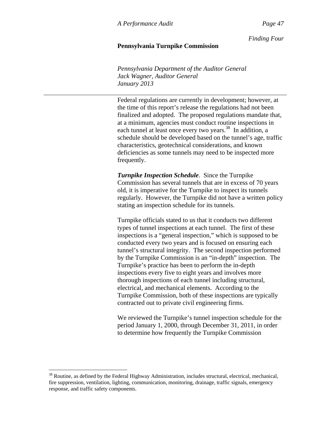#### **Pennsylvania Turnpike Commission**

*Pennsylvania Department of the Auditor General Jack Wagner, Auditor General January 2013* 

Federal regulations are currently in development; however, at the time of this report's release the regulations had not been finalized and adopted. The proposed regulations mandate that, at a minimum, agencies must conduct routine inspections in each tunnel at least once every two years.<sup>38</sup> In addition, a schedule should be developed based on the tunnel's age, traffic characteristics, geotechnical considerations, and known deficiencies as some tunnels may need to be inspected more frequently.

*Turnpike Inspection Schedule*. Since the Turnpike Commission has several tunnels that are in excess of 70 years old, it is imperative for the Turnpike to inspect its tunnels regularly. However, the Turnpike did not have a written policy stating an inspection schedule for its tunnels.

Turnpike officials stated to us that it conducts two different types of tunnel inspections at each tunnel. The first of these inspections is a "general inspection," which is supposed to be conducted every two years and is focused on ensuring each tunnel's structural integrity. The second inspection performed by the Turnpike Commission is an "in-depth" inspection. The Turnpike's practice has been to perform the in-depth inspections every five to eight years and involves more thorough inspections of each tunnel including structural, electrical, and mechanical elements. According to the Turnpike Commission, both of these inspections are typically contracted out to private civil engineering firms.

We reviewed the Turnpike's tunnel inspection schedule for the period January 1, 2000, through December 31, 2011, in order to determine how frequently the Turnpike Commission

 $\overline{a}$ 

<sup>&</sup>lt;sup>38</sup> Routine, as defined by the Federal Highway Administration, includes structural, electrical, mechanical, fire suppression, ventilation, lighting, communication, monitoring, drainage, traffic signals, emergency response, and traffic safety components.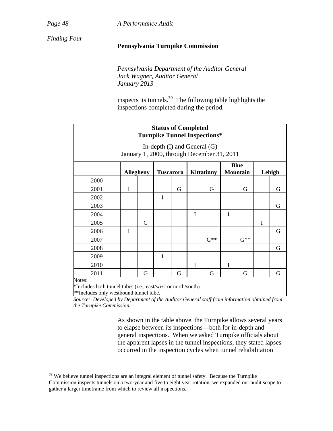*Page 48 A Performance Audit*

*Finding Four* 

#### **Pennsylvania Turnpike Commission**

*Pennsylvania Department of the Auditor General Jack Wagner, Auditor General January 2013* 

inspects its tunnels.39 The following table highlights the inspections completed during the period.

| <b>Status of Completed</b><br><b>Turnpike Tunnel Inspections*</b>              |                  |   |                  |   |                   |          |                                |          |        |   |
|--------------------------------------------------------------------------------|------------------|---|------------------|---|-------------------|----------|--------------------------------|----------|--------|---|
| In-depth $(I)$ and General $(G)$<br>January 1, 2000, through December 31, 2011 |                  |   |                  |   |                   |          |                                |          |        |   |
|                                                                                | <b>Allegheny</b> |   | <b>Tuscarora</b> |   | <b>Kittatinny</b> |          | <b>Blue</b><br><b>Mountain</b> |          | Lehigh |   |
| 2000                                                                           |                  |   |                  |   |                   |          |                                |          |        |   |
| 2001                                                                           | Ī                |   |                  | G |                   | G        |                                | G        |        | G |
| 2002                                                                           |                  |   | I                |   |                   |          |                                |          |        |   |
| 2003                                                                           |                  |   |                  |   |                   |          |                                |          |        | G |
| 2004                                                                           |                  |   |                  |   | I                 |          | I                              |          |        |   |
| 2005                                                                           |                  | G |                  |   |                   |          |                                |          | I      |   |
| 2006                                                                           | I                |   |                  |   |                   |          |                                |          |        | G |
| 2007                                                                           |                  |   |                  |   |                   | $G^{**}$ |                                | $G^{**}$ |        |   |
| 2008                                                                           |                  |   |                  |   |                   |          |                                |          |        | G |
| 2009                                                                           |                  |   | I                |   |                   |          |                                |          |        |   |
| 2010                                                                           |                  |   |                  |   | I                 |          | I                              |          |        |   |
| 2011                                                                           |                  | G |                  | G |                   | G        |                                | G        |        | G |
| Notes:                                                                         |                  |   |                  |   |                   |          |                                |          |        |   |

Notes:

 $\overline{a}$ 

\*Includes both tunnel tubes (i.e., east/west or north/south).

\*\*Includes only westbound tunnel tube.

*Source: Developed by Department of the Auditor General staff from information obtained from the Turnpike Commission.*

> As shown in the table above, the Turnpike allows several years to elapse between its inspections—both for in-depth and general inspections. When we asked Turnpike officials about the apparent lapses in the tunnel inspections, they stated lapses occurred in the inspection cycles when tunnel rehabilitation

 $39$  We believe tunnel inspections are an integral element of tunnel safety. Because the Turnpike Commission inspects tunnels on a two-year and five to eight year rotation, we expanded our audit scope to gather a larger timeframe from which to review all inspections.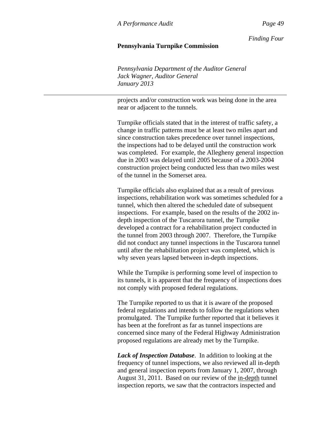#### **Pennsylvania Turnpike Commission**

*Pennsylvania Department of the Auditor General Jack Wagner, Auditor General January 2013* 

projects and/or construction work was being done in the area near or adjacent to the tunnels.

Turnpike officials stated that in the interest of traffic safety, a change in traffic patterns must be at least two miles apart and since construction takes precedence over tunnel inspections, the inspections had to be delayed until the construction work was completed. For example, the Allegheny general inspection due in 2003 was delayed until 2005 because of a 2003-2004 construction project being conducted less than two miles west of the tunnel in the Somerset area.

Turnpike officials also explained that as a result of previous inspections, rehabilitation work was sometimes scheduled for a tunnel, which then altered the scheduled date of subsequent inspections. For example, based on the results of the 2002 indepth inspection of the Tuscarora tunnel, the Turnpike developed a contract for a rehabilitation project conducted in the tunnel from 2003 through 2007. Therefore, the Turnpike did not conduct any tunnel inspections in the Tuscarora tunnel until after the rehabilitation project was completed, which is why seven years lapsed between in-depth inspections.

While the Turnpike is performing some level of inspection to its tunnels, it is apparent that the frequency of inspections does not comply with proposed federal regulations.

The Turnpike reported to us that it is aware of the proposed federal regulations and intends to follow the regulations when promulgated. The Turnpike further reported that it believes it has been at the forefront as far as tunnel inspections are concerned since many of the Federal Highway Administration proposed regulations are already met by the Turnpike.

*Lack of Inspection Database*. In addition to looking at the frequency of tunnel inspections, we also reviewed all in-depth and general inspection reports from January 1, 2007, through August 31, 2011. Based on our review of the in-depth tunnel inspection reports, we saw that the contractors inspected and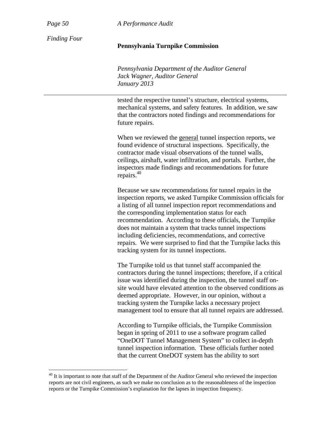*Page 50 A Performance Audit*

*Finding Four* 

#### **Pennsylvania Turnpike Commission**

*Pennsylvania Department of the Auditor General Jack Wagner, Auditor General January 2013* 

tested the respective tunnel's structure, electrical systems, mechanical systems, and safety features. In addition, we saw that the contractors noted findings and recommendations for future repairs.

When we reviewed the general tunnel inspection reports, we found evidence of structural inspections. Specifically, the contractor made visual observations of the tunnel walls, ceilings, airshaft, water infiltration, and portals. Further, the inspectors made findings and recommendations for future repairs.40

Because we saw recommendations for tunnel repairs in the inspection reports, we asked Turnpike Commission officials for a listing of all tunnel inspection report recommendations and the corresponding implementation status for each recommendation. According to these officials, the Turnpike does not maintain a system that tracks tunnel inspections including deficiencies, recommendations, and corrective repairs*.* We were surprised to find that the Turnpike lacks this tracking system for its tunnel inspections.

The Turnpike told us that tunnel staff accompanied the contractors during the tunnel inspections; therefore, if a critical issue was identified during the inspection, the tunnel staff onsite would have elevated attention to the observed conditions as deemed appropriate. However, in our opinion, without a tracking system the Turnpike lacks a necessary project management tool to ensure that all tunnel repairs are addressed.

According to Turnpike officials, the Turnpike Commission began in spring of 2011 to use a software program called "OneDOT Tunnel Management System" to collect in-depth tunnel inspection information. These officials further noted that the current OneDOT system has the ability to sort

<sup>&</sup>lt;sup>40</sup> It is important to note that staff of the Department of the Auditor General who reviewed the inspection reports are not civil engineers, as such we make no conclusion as to the reasonableness of the inspection reports or the Turnpike Commission's explanation for the lapses in inspection frequency.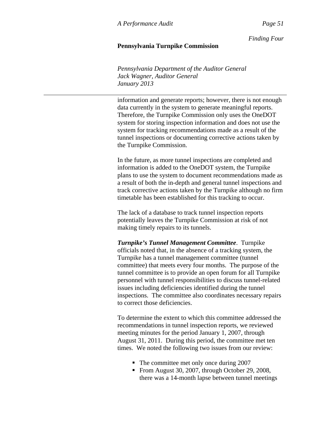#### **Pennsylvania Turnpike Commission**

*Pennsylvania Department of the Auditor General Jack Wagner, Auditor General January 2013* 

information and generate reports; however, there is not enough data currently in the system to generate meaningful reports. Therefore, the Turnpike Commission only uses the OneDOT system for storing inspection information and does not use the system for tracking recommendations made as a result of the tunnel inspections or documenting corrective actions taken by the Turnpike Commission.

In the future, as more tunnel inspections are completed and information is added to the OneDOT system, the Turnpike plans to use the system to document recommendations made as a result of both the in-depth and general tunnel inspections and track corrective actions taken by the Turnpike although no firm timetable has been established for this tracking to occur.

The lack of a database to track tunnel inspection reports potentially leaves the Turnpike Commission at risk of not making timely repairs to its tunnels.

*Turnpike's Tunnel Management Committee*. Turnpike officials noted that, in the absence of a tracking system, the Turnpike has a tunnel management committee (tunnel committee) that meets every four months. The purpose of the tunnel committee is to provide an open forum for all Turnpike personnel with tunnel responsibilities to discuss tunnel-related issues including deficiencies identified during the tunnel inspections. The committee also coordinates necessary repairs to correct those deficiencies.

To determine the extent to which this committee addressed the recommendations in tunnel inspection reports, we reviewed meeting minutes for the period January 1, 2007, through August 31, 2011. During this period, the committee met ten times. We noted the following two issues from our review:

- The committee met only once during 2007
- From August 30, 2007, through October 29, 2008, there was a 14-month lapse between tunnel meetings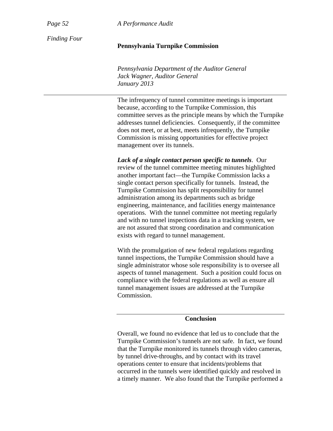*Page 52 A Performance Audit*

*Finding Four* 

# **Pennsylvania Turnpike Commission**

*Pennsylvania Department of the Auditor General Jack Wagner, Auditor General January 2013* 

The infrequency of tunnel committee meetings is important because, according to the Turnpike Commission, this committee serves as the principle means by which the Turnpike addresses tunnel deficiencies. Consequently, if the committee does not meet, or at best, meets infrequently, the Turnpike Commission is missing opportunities for effective project management over its tunnels.

*Lack of a single contact person specific to tunnels*. Our review of the tunnel committee meeting minutes highlighted another important fact—the Turnpike Commission lacks a single contact person specifically for tunnels. Instead, the Turnpike Commission has split responsibility for tunnel administration among its departments such as bridge engineering, maintenance, and facilities energy maintenance operations. With the tunnel committee not meeting regularly and with no tunnel inspections data in a tracking system, we are not assured that strong coordination and communication exists with regard to tunnel management.

With the promulgation of new federal regulations regarding tunnel inspections, the Turnpike Commission should have a single administrator whose sole responsibility is to oversee all aspects of tunnel management. Such a position could focus on compliance with the federal regulations as well as ensure all tunnel management issues are addressed at the Turnpike Commission.

## **Conclusion**

Overall, we found no evidence that led us to conclude that the Turnpike Commission's tunnels are not safe. In fact, we found that the Turnpike monitored its tunnels through video cameras, by tunnel drive-throughs, and by contact with its travel operations center to ensure that incidents/problems that occurred in the tunnels were identified quickly and resolved in a timely manner. We also found that the Turnpike performed a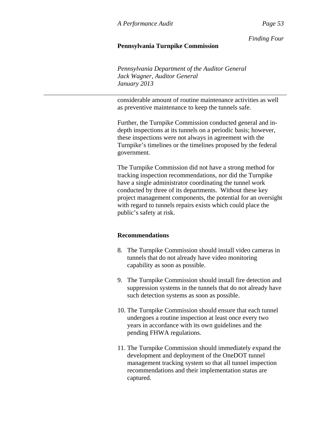# **Pennsylvania Turnpike Commission**

*Pennsylvania Department of the Auditor General Jack Wagner, Auditor General January 2013* 

considerable amount of routine maintenance activities as well as preventive maintenance to keep the tunnels safe.

Further, the Turnpike Commission conducted general and indepth inspections at its tunnels on a periodic basis; however, these inspections were not always in agreement with the Turnpike's timelines or the timelines proposed by the federal government.

The Turnpike Commission did not have a strong method for tracking inspection recommendations, nor did the Turnpike have a single administrator coordinating the tunnel work conducted by three of its departments. Without these key project management components, the potential for an oversight with regard to tunnels repairs exists which could place the public's safety at risk.

## **Recommendations**

- 8. The Turnpike Commission should install video cameras in tunnels that do not already have video monitoring capability as soon as possible.
- 9. The Turnpike Commission should install fire detection and suppression systems in the tunnels that do not already have such detection systems as soon as possible.
- 10. The Turnpike Commission should ensure that each tunnel undergoes a routine inspection at least once every two years in accordance with its own guidelines and the pending FHWA regulations.
- 11. The Turnpike Commission should immediately expand the development and deployment of the OneDOT tunnel management tracking system so that all tunnel inspection recommendations and their implementation status are captured.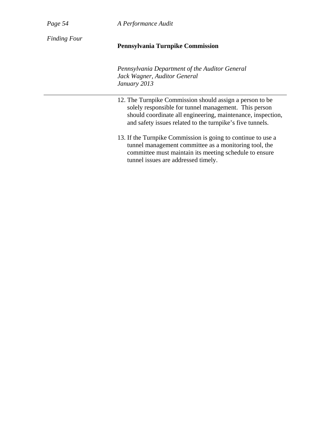| Page 54             | A Performance Audit                                                                                                                                                                                                                           |  |  |  |
|---------------------|-----------------------------------------------------------------------------------------------------------------------------------------------------------------------------------------------------------------------------------------------|--|--|--|
| <b>Finding Four</b> | <b>Pennsylvania Turnpike Commission</b>                                                                                                                                                                                                       |  |  |  |
|                     | Pennsylvania Department of the Auditor General<br>Jack Wagner, Auditor General<br>January 2013                                                                                                                                                |  |  |  |
|                     | 12. The Turnpike Commission should assign a person to be<br>solely responsible for tunnel management. This person<br>should coordinate all engineering, maintenance, inspection,<br>and safety issues related to the turnpike's five tunnels. |  |  |  |
|                     | 13. If the Turnpike Commission is going to continue to use a<br>tunnel management committee as a monitoring tool, the<br>committee must maintain its meeting schedule to ensure<br>tunnel issues are addressed timely.                        |  |  |  |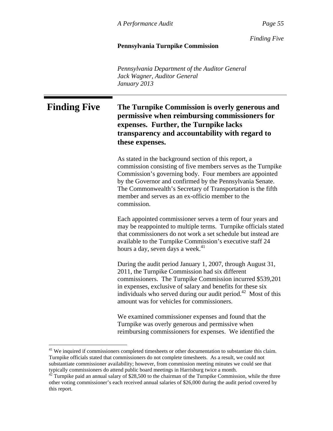*Finding Five*

## **Pennsylvania Turnpike Commission**

*Pennsylvania Department of the Auditor General Jack Wagner, Auditor General January 2013* 

# Finding Five The Turnpike Commission is overly generous and **permissive when reimbursing commissioners for expenses. Further, the Turnpike lacks transparency and accountability with regard to these expenses.**

As stated in the background section of this report, a commission consisting of five members serves as the Turnpike Commission's governing body. Four members are appointed by the Governor and confirmed by the Pennsylvania Senate. The Commonwealth's Secretary of Transportation is the fifth member and serves as an ex-officio member to the commission.

Each appointed commissioner serves a term of four years and may be reappointed to multiple terms. Turnpike officials stated that commissioners do not work a set schedule but instead are available to the Turnpike Commission's executive staff 24 hours a day, seven days a week.<sup>41</sup>

During the audit period January 1, 2007, through August 31, 2011, the Turnpike Commission had six different commissioners. The Turnpike Commission incurred \$539,201 in expenses, exclusive of salary and benefits for these six individuals who served during our audit period.<sup>42</sup> Most of this amount was for vehicles for commissioners.

We examined commissioner expenses and found that the Turnpike was overly generous and permissive when reimbursing commissioners for expenses. We identified the

 $\overline{a}$ 

<sup>&</sup>lt;sup>41</sup> We inquired if commissioners completed timesheets or other documentation to substantiate this claim. Turnpike officials stated that commissioners do not complete timesheets. As a result, we could not substantiate commissioner availability; however, from commission meeting minutes we could see that typically commissioners do attend public board meetings in Harrisburg twice a month.

<sup>42</sup> Turnpike paid an annual salary of \$28,500 to the chairman of the Turnpike Commission, while the three other voting commissioner's each received annual salaries of \$26,000 during the audit period covered by this report.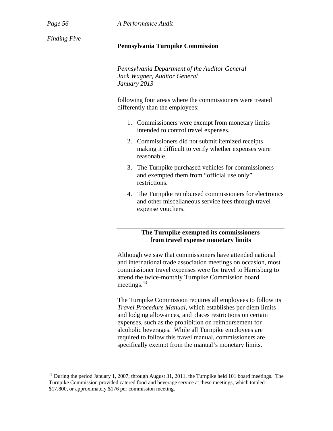*Page 56 A Performance Audit*

*Finding Five* 

# **Pennsylvania Turnpike Commission**

*Pennsylvania Department of the Auditor General Jack Wagner, Auditor General January 2013* 

following four areas where the commissioners were treated differently than the employees:

- 1. Commissioners were exempt from monetary limits intended to control travel expenses.
- 2. Commissioners did not submit itemized receipts making it difficult to verify whether expenses were reasonable.
- 3. The Turnpike purchased vehicles for commissioners and exempted them from "official use only" restrictions.
- 4. The Turnpike reimbursed commissioners for electronics and other miscellaneous service fees through travel expense vouchers.

# **The Turnpike exempted its commissioners from travel expense monetary limits**

Although we saw that commissioners have attended national and international trade association meetings on occasion, most commissioner travel expenses were for travel to Harrisburg to attend the twice-monthly Turnpike Commission board meetings.<sup>43</sup>

The Turnpike Commission requires all employees to follow its *Travel Procedure Manual*, which establishes per diem limits and lodging allowances, and places restrictions on certain expenses, such as the prohibition on reimbursement for alcoholic beverages. While all Turnpike employees are required to follow this travel manual, commissioners are specifically exempt from the manual's monetary limits.

<sup>&</sup>lt;sup>43</sup> During the period January 1, 2007, through August 31, 2011, the Turnpike held 101 board meetings. The Turnpike Commission provided catered food and beverage service at these meetings, which totaled \$17,800, or approximately \$176 per commission meeting.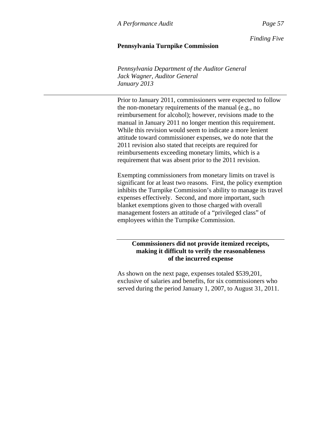*Finding Five*

# **Pennsylvania Turnpike Commission**

*Pennsylvania Department of the Auditor General Jack Wagner, Auditor General January 2013* 

Prior to January 2011, commissioners were expected to follow the non-monetary requirements of the manual (e.g., no reimbursement for alcohol); however, revisions made to the manual in January 2011 no longer mention this requirement. While this revision would seem to indicate a more lenient attitude toward commissioner expenses, we do note that the 2011 revision also stated that receipts are required for reimbursements exceeding monetary limits, which is a requirement that was absent prior to the 2011 revision.

Exempting commissioners from monetary limits on travel is significant for at least two reasons. First, the policy exemption inhibits the Turnpike Commission's ability to manage its travel expenses effectively. Second, and more important, such blanket exemptions given to those charged with overall management fosters an attitude of a "privileged class" of employees within the Turnpike Commission.

# **Commissioners did not provide itemized receipts, making it difficult to verify the reasonableness of the incurred expense**

As shown on the next page, expenses totaled \$539,201, exclusive of salaries and benefits, for six commissioners who served during the period January 1, 2007, to August 31, 2011.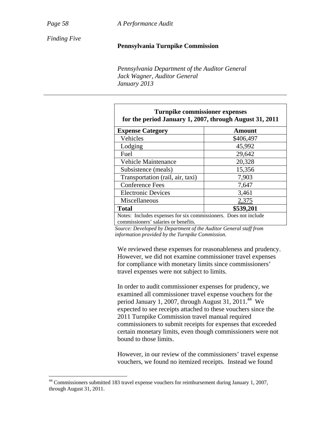*Page 58 A Performance Audit*

*Finding Five* 

#### **Pennsylvania Turnpike Commission**

*Pennsylvania Department of the Auditor General Jack Wagner, Auditor General January 2013* 

| <b>Turnpike commissioner expenses</b><br>for the period January 1, 2007, through August 31, 2011         |           |  |  |  |  |
|----------------------------------------------------------------------------------------------------------|-----------|--|--|--|--|
| <b>Expense Category</b>                                                                                  | Amount    |  |  |  |  |
| Vehicles                                                                                                 | \$406,497 |  |  |  |  |
| Lodging                                                                                                  | 45,992    |  |  |  |  |
| Fuel                                                                                                     | 29,642    |  |  |  |  |
| <b>Vehicle Maintenance</b>                                                                               | 20,328    |  |  |  |  |
| Subsistence (meals)                                                                                      | 15,356    |  |  |  |  |
| Transportation (rail, air, taxi)                                                                         | 7,903     |  |  |  |  |
| <b>Conference Fees</b>                                                                                   | 7,647     |  |  |  |  |
| <b>Electronic Devices</b>                                                                                | 3,461     |  |  |  |  |
| Miscellaneous                                                                                            | 2,375     |  |  |  |  |
| <b>Total</b>                                                                                             | \$539,201 |  |  |  |  |
| Notes: Includes expenses for six commissioners. Does not include<br>commissioners' salaries or benefits. |           |  |  |  |  |

*Source: Developed by Department of the Auditor General staff from information provided by the Turnpike Commission.* 

We reviewed these expenses for reasonableness and prudency. However, we did not examine commissioner travel expenses for compliance with monetary limits since commissioners' travel expenses were not subject to limits.

In order to audit commissioner expenses for prudency, we examined all commissioner travel expense vouchers for the period January 1, 2007, through August 31, 2011.<sup>44</sup> We expected to see receipts attached to these vouchers since the 2011 Turnpike Commission travel manual required commissioners to submit receipts for expenses that exceeded certain monetary limits, even though commissioners were not bound to those limits.

However, in our review of the commissioners' travel expense vouchers, we found no itemized receipts. Instead we found

 $44$  Commissioners submitted 183 travel expense vouchers for reimbursement during January 1, 2007, through August 31, 2011.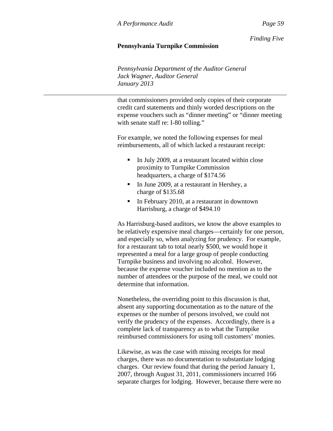*Finding Five*

# **Pennsylvania Turnpike Commission**

*Pennsylvania Department of the Auditor General Jack Wagner, Auditor General January 2013* 

that commissioners provided only copies of their corporate credit card statements and thinly worded descriptions on the expense vouchers such as "dinner meeting" or "dinner meeting with senate staff re: I-80 tolling."

For example, we noted the following expenses for meal reimbursements, all of which lacked a restaurant receipt:

- In July 2009, at a restaurant located within close proximity to Turnpike Commission headquarters, a charge of \$174.56
- In June 2009, at a restaurant in Hershey, a charge of \$135.68
- In February 2010, at a restaurant in downtown Harrisburg, a charge of \$494.10

As Harrisburg-based auditors, we know the above examples to be relatively expensive meal charges—certainly for one person, and especially so, when analyzing for prudency. For example, for a restaurant tab to total nearly \$500, we would hope it represented a meal for a large group of people conducting Turnpike business and involving no alcohol. However, because the expense voucher included no mention as to the number of attendees or the purpose of the meal, we could not determine that information.

Nonetheless, the overriding point to this discussion is that, absent any supporting documentation as to the nature of the expenses or the number of persons involved, we could not verify the prudency of the expenses. Accordingly, there is a complete lack of transparency as to what the Turnpike reimbursed commissioners for using toll customers' monies.

Likewise, as was the case with missing receipts for meal charges, there was no documentation to substantiate lodging charges. Our review found that during the period January 1, 2007, through August 31, 2011, commissioners incurred 166 separate charges for lodging. However, because there were no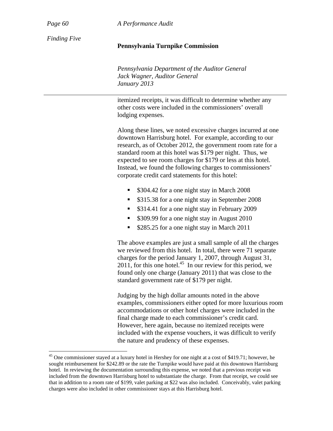*Page 60 A Performance Audit*

*Finding Five* 

## **Pennsylvania Turnpike Commission**

*Pennsylvania Department of the Auditor General Jack Wagner, Auditor General January 2013* 

itemized receipts, it was difficult to determine whether any other costs were included in the commissioners' overall lodging expenses.

Along these lines, we noted excessive charges incurred at one downtown Harrisburg hotel. For example, according to our research, as of October 2012, the government room rate for a standard room at this hotel was \$179 per night. Thus, we expected to see room charges for \$179 or less at this hotel. Instead, we found the following charges to commissioners' corporate credit card statements for this hotel:

- **S304.42** for a one night stay in March 2008
- **S315.38** for a one night stay in September 2008
- **S314.41** for a one night stay in February 2009
- **S309.99** for a one night stay in August 2010
- \$285.25 for a one night stay in March 2011

The above examples are just a small sample of all the charges we reviewed from this hotel. In total, there were 71 separate charges for the period January 1, 2007, through August 31,  $2011$ , for this one hotel.<sup>45</sup> In our review for this period, we found only one charge (January 2011) that was close to the standard government rate of \$179 per night.

Judging by the high dollar amounts noted in the above examples, commissioners either opted for more luxurious room accommodations or other hotel charges were included in the final charge made to each commissioner's credit card. However, here again, because no itemized receipts were included with the expense vouchers, it was difficult to verify the nature and prudency of these expenses.

<sup>&</sup>lt;sup>45</sup> One commissioner stayed at a luxury hotel in Hershey for one night at a cost of \$419.71; however, he sought reimbursement for \$242.89 or the rate the Turnpike would have paid at this downtown Harrisburg hotel. In reviewing the documentation surrounding this expense, we noted that a previous receipt was included from the downtown Harrisburg hotel to substantiate the charge. From that receipt, we could see that in addition to a room rate of \$199, valet parking at \$22 was also included. Conceivably, valet parking charges were also included in other commissioner stays at this Harrisburg hotel.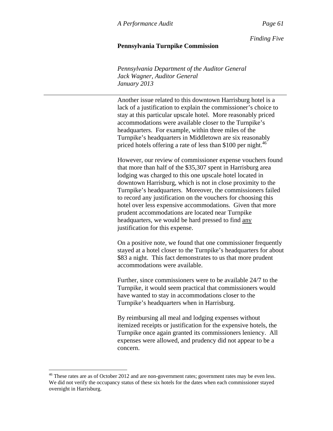*Finding Five*

## **Pennsylvania Turnpike Commission**

*Pennsylvania Department of the Auditor General Jack Wagner, Auditor General January 2013* 

Another issue related to this downtown Harrisburg hotel is a lack of a justification to explain the commissioner's choice to stay at this particular upscale hotel. More reasonably priced accommodations were available closer to the Turnpike's headquarters. For example, within three miles of the Turnpike's headquarters in Middletown are six reasonably priced hotels offering a rate of less than \$100 per night.<sup>46</sup>

However, our review of commissioner expense vouchers found that more than half of the \$35,307 spent in Harrisburg area lodging was charged to this one upscale hotel located in downtown Harrisburg, which is not in close proximity to the Turnpike's headquarters. Moreover, the commissioners failed to record any justification on the vouchers for choosing this hotel over less expensive accommodations. Given that more prudent accommodations are located near Turnpike headquarters, we would be hard pressed to find any justification for this expense.

On a positive note, we found that one commissioner frequently stayed at a hotel closer to the Turnpike's headquarters for about \$83 a night. This fact demonstrates to us that more prudent accommodations were available.

Further, since commissioners were to be available 24/7 to the Turnpike, it would seem practical that commissioners would have wanted to stay in accommodations closer to the Turnpike's headquarters when in Harrisburg.

By reimbursing all meal and lodging expenses without itemized receipts or justification for the expensive hotels, the Turnpike once again granted its commissioners leniency. All expenses were allowed, and prudency did not appear to be a concern.

 $\overline{a}$ 

<sup>&</sup>lt;sup>46</sup> These rates are as of October 2012 and are non-government rates; government rates may be even less. We did not verify the occupancy status of these six hotels for the dates when each commissioner stayed overnight in Harrisburg.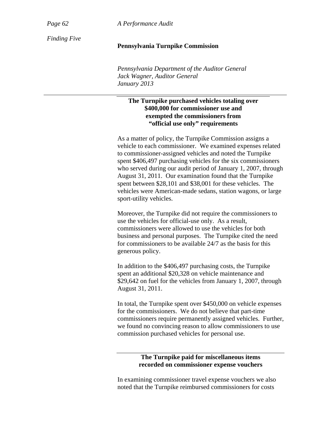*Finding Five* 

#### *Page 62 A Performance Audit*

#### **Pennsylvania Turnpike Commission**

*Pennsylvania Department of the Auditor General Jack Wagner, Auditor General January 2013* 

## **The Turnpike purchased vehicles totaling over \$400,000 for commissioner use and exempted the commissioners from "official use only" requirements**

As a matter of policy, the Turnpike Commission assigns a vehicle to each commissioner. We examined expenses related to commissioner-assigned vehicles and noted the Turnpike spent \$406,497 purchasing vehicles for the six commissioners who served during our audit period of January 1, 2007, through August 31, 2011. Our examination found that the Turnpike spent between \$28,101 and \$38,001 for these vehicles. The vehicles were American-made sedans, station wagons, or large sport-utility vehicles.

Moreover, the Turnpike did not require the commissioners to use the vehicles for official-use only. As a result, commissioners were allowed to use the vehicles for both business and personal purposes. The Turnpike cited the need for commissioners to be available 24/7 as the basis for this generous policy.

In addition to the \$406,497 purchasing costs, the Turnpike spent an additional \$20,328 on vehicle maintenance and \$29,642 on fuel for the vehicles from January 1, 2007, through August 31, 2011.

In total, the Turnpike spent over \$450,000 on vehicle expenses for the commissioners. We do not believe that part-time commissioners require permanently assigned vehicles. Further, we found no convincing reason to allow commissioners to use commission purchased vehicles for personal use.

## **The Turnpike paid for miscellaneous items recorded on commissioner expense vouchers**

In examining commissioner travel expense vouchers we also noted that the Turnpike reimbursed commissioners for costs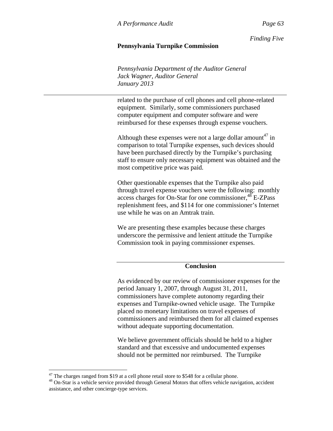*Finding Five*

## **Pennsylvania Turnpike Commission**

*Pennsylvania Department of the Auditor General Jack Wagner, Auditor General January 2013* 

related to the purchase of cell phones and cell phone-related equipment. Similarly, some commissioners purchased computer equipment and computer software and were reimbursed for these expenses through expense vouchers.

Although these expenses were not a large dollar amount<sup>47</sup> in comparison to total Turnpike expenses, such devices should have been purchased directly by the Turnpike's purchasing staff to ensure only necessary equipment was obtained and the most competitive price was paid.

Other questionable expenses that the Turnpike also paid through travel expense vouchers were the following: monthly access charges for On-Star for one commissioner,  $48$  E-ZPass replenishment fees, and \$114 for one commissioner's Internet use while he was on an Amtrak train.

We are presenting these examples because these charges underscore the permissive and lenient attitude the Turnpike Commission took in paying commissioner expenses.

#### **Conclusion**

As evidenced by our review of commissioner expenses for the period January 1, 2007, through August 31, 2011, commissioners have complete autonomy regarding their expenses and Turnpike-owned vehicle usage. The Turnpike placed no monetary limitations on travel expenses of commissioners and reimbursed them for all claimed expenses without adequate supporting documentation.

We believe government officials should be held to a higher standard and that excessive and undocumented expenses should not be permitted nor reimbursed. The Turnpike

 $\overline{a}$ 

 $47$  The charges ranged from \$19 at a cell phone retail store to \$548 for a cellular phone.

<sup>&</sup>lt;sup>48</sup> On-Star is a vehicle service provided through General Motors that offers vehicle navigation, accident assistance, and other concierge-type services.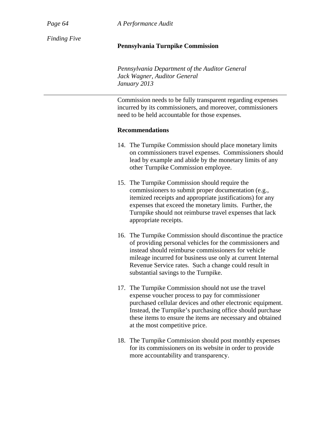*Page 64 A Performance Audit*

*Finding Five* 

#### **Pennsylvania Turnpike Commission**

*Pennsylvania Department of the Auditor General Jack Wagner, Auditor General January 2013* 

Commission needs to be fully transparent regarding expenses incurred by its commissioners, and moreover, commissioners need to be held accountable for those expenses.

#### **Recommendations**

- 14. The Turnpike Commission should place monetary limits on commissioners travel expenses. Commissioners should lead by example and abide by the monetary limits of any other Turnpike Commission employee.
- 15. The Turnpike Commission should require the commissioners to submit proper documentation (e.g., itemized receipts and appropriate justifications) for any expenses that exceed the monetary limits. Further, the Turnpike should not reimburse travel expenses that lack appropriate receipts.
- 16. The Turnpike Commission should discontinue the practice of providing personal vehicles for the commissioners and instead should reimburse commissioners for vehicle mileage incurred for business use only at current Internal Revenue Service rates. Such a change could result in substantial savings to the Turnpike.
- 17. The Turnpike Commission should not use the travel expense voucher process to pay for commissioner purchased cellular devices and other electronic equipment. Instead, the Turnpike's purchasing office should purchase these items to ensure the items are necessary and obtained at the most competitive price.
- 18. The Turnpike Commission should post monthly expenses for its commissioners on its website in order to provide more accountability and transparency.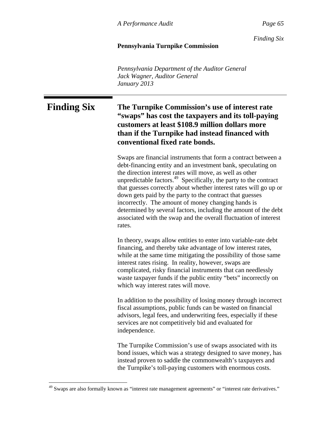*Finding Six*

## **Pennsylvania Turnpike Commission**

*Pennsylvania Department of the Auditor General Jack Wagner, Auditor General January 2013* 

# **Finding Six The Turnpike Commission's use of interest rate "swaps" has cost the taxpayers and its toll-paying customers at least \$108.9 million dollars more than if the Turnpike had instead financed with conventional fixed rate bonds.**

Swaps are financial instruments that form a contract between a debt-financing entity and an investment bank, speculating on the direction interest rates will move, as well as other unpredictable factors. $49$  Specifically, the party to the contract that guesses correctly about whether interest rates will go up or down gets paid by the party to the contract that guesses incorrectly. The amount of money changing hands is determined by several factors, including the amount of the debt associated with the swap and the overall fluctuation of interest rates.

In theory, swaps allow entities to enter into variable-rate debt financing, and thereby take advantage of low interest rates, while at the same time mitigating the possibility of those same interest rates rising. In reality, however, swaps are complicated, risky financial instruments that can needlessly waste taxpayer funds if the public entity "bets" incorrectly on which way interest rates will move.

In addition to the possibility of losing money through incorrect fiscal assumptions, public funds can be wasted on financial advisors, legal fees, and underwriting fees, especially if these services are not competitively bid and evaluated for independence.

The Turnpike Commission's use of swaps associated with its bond issues, which was a strategy designed to save money, has instead proven to saddle the commonwealth's taxpayers and the Turnpike's toll-paying customers with enormous costs.

 $\overline{a}$ 

<sup>&</sup>lt;sup>49</sup> Swaps are also formally known as "interest rate management agreements" or "interest rate derivatives."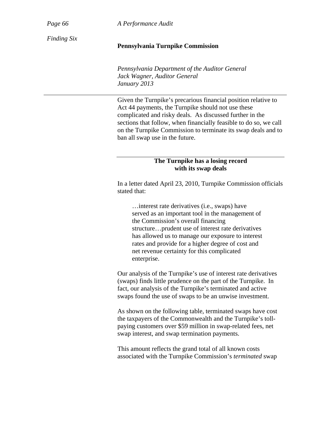*Page 66 A Performance Audit*

*Finding Six* 

#### **Pennsylvania Turnpike Commission**

*Pennsylvania Department of the Auditor General Jack Wagner, Auditor General January 2013* 

Given the Turnpike's precarious financial position relative to Act 44 payments, the Turnpike should not use these complicated and risky deals. As discussed further in the sections that follow, when financially feasible to do so, we call on the Turnpike Commission to terminate its swap deals and to ban all swap use in the future.

#### **The Turnpike has a losing record with its swap deals**

In a letter dated April 23, 2010, Turnpike Commission officials stated that:

…interest rate derivatives (i.e., swaps) have served as an important tool in the management of the Commission's overall financing structure…prudent use of interest rate derivatives has allowed us to manage our exposure to interest rates and provide for a higher degree of cost and net revenue certainty for this complicated enterprise.

Our analysis of the Turnpike's use of interest rate derivatives (swaps) finds little prudence on the part of the Turnpike. In fact, our analysis of the Turnpike's terminated and active swaps found the use of swaps to be an unwise investment.

As shown on the following table, terminated swaps have cost the taxpayers of the Commonwealth and the Turnpike's tollpaying customers over \$59 million in swap-related fees, net swap interest, and swap termination payments.

This amount reflects the grand total of all known costs associated with the Turnpike Commission's *terminated* swap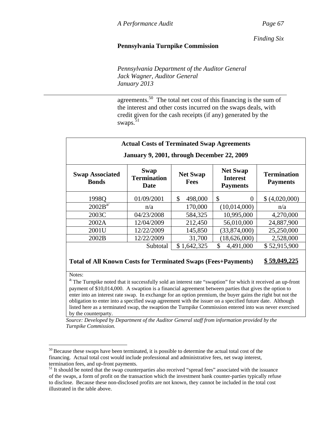*Finding Six*

## **Pennsylvania Turnpike Commission**

*Pennsylvania Department of the Auditor General Jack Wagner, Auditor General January 2013* 

agreements.50 The total net cost of this financing is the sum of the interest and other costs incurred on the swaps deals, with credit given for the cash receipts (if any) generated by the swaps.<sup>51</sup>

| <b>Swap Associated</b><br><b>Bonds</b> | <b>Swap</b><br><b>Termination</b><br>Date | <b>Net Swap</b><br><b>Fees</b> | <b>Net Swap</b><br><b>Interest</b><br><b>Payments</b> | <b>Termination</b><br><b>Payments</b> |
|----------------------------------------|-------------------------------------------|--------------------------------|-------------------------------------------------------|---------------------------------------|
| 1998O                                  | 01/09/2001                                | \$<br>498,000                  | \$<br>$\Omega$                                        | \$ (4,020,000)                        |
| 2002B <sup>a</sup>                     | n/a                                       | 170,000                        | (10,014,000)                                          | n/a                                   |
| 2003C                                  | 04/23/2008                                | 584,325                        | 10,995,000                                            | 4,270,000                             |
| 2002A                                  | 12/04/2009                                | 212,450                        | 56,010,000                                            | 24,887,900                            |
| 2001U                                  | 12/22/2009                                | 145,850                        | (33,874,000)                                          | 25,250,000                            |
| 2002B                                  | 12/22/2009                                | 31,700                         | (18,626,000)                                          | 2,528,000                             |
|                                        | Subtotal                                  | \$1,642,325                    | $\mathbb{S}$<br>4,491,000                             | \$52,915,900                          |

Notes:

 $a/T$ he Turnpike noted that it successfully sold an interest rate "swaption" for which it received an up-front payment of \$10,014,000. A swaption is a financial agreement between parties that gives the option to enter into an interest rate swap. In exchange for an option premium, the buyer gains the right but not the obligation to enter into a specified swap agreement with the issuer on a specified future date. Although listed here as a terminated swap, the swaption the Turnpike Commission entered into was never exercised by the counterparty.

*Source: Developed by Department of the Auditor General staff from information provided by the Turnpike Commission.* 

 $\overline{a}$  $50$  Because these swaps have been terminated, it is possible to determine the actual total cost of the financing. Actual total cost would include professional and administrative fees, net swap interest, termination fees, and up-front payments.

 $<sup>51</sup>$  It should be noted that the swap counterparties also received "spread fees" associated with the issuance</sup> of the swaps, a form of profit on the transaction which the investment bank counter-parties typically refuse to disclose. Because these non-disclosed profits are not known, they cannot be included in the total cost illustrated in the table above.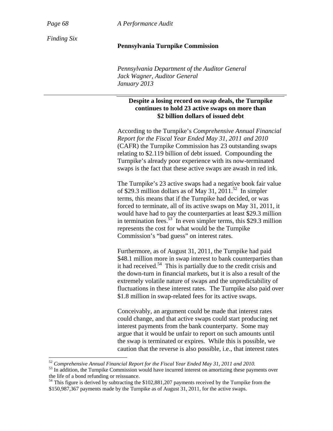$\overline{a}$ 

*Page 68 A Performance Audit*

*Finding Six* 

#### **Pennsylvania Turnpike Commission**

*Pennsylvania Department of the Auditor General Jack Wagner, Auditor General January 2013* 

## **Despite a losing record on swap deals, the Turnpike continues to hold 23 active swaps on more than \$2 billion dollars of issued debt**

According to the Turnpike's *Comprehensive Annual Financial Report for the Fiscal Year Ended May 31, 2011 and 2010* (CAFR) the Turnpike Commission has 23 outstanding swaps relating to \$2.119 billion of debt issued. Compounding the Turnpike's already poor experience with its now-terminated swaps is the fact that these active swaps are awash in red ink.

The Turnpike's 23 active swaps had a negative book fair value of \$29.3 million dollars as of May 31, 2011.<sup>52</sup> In simpler terms, this means that if the Turnpike had decided, or was forced to terminate, all of its active swaps on May 31, 2011, it would have had to pay the counterparties at least \$29.3 million in termination fees.<sup>53</sup> In even simpler terms, this \$29.3 million represents the cost for what would be the Turnpike Commission's "bad guess" on interest rates.

Furthermore, as of August 31, 2011, the Turnpike had paid \$48.1 million more in swap interest to bank counterparties than it had received.<sup>54</sup> This is partially due to the credit crisis and the down-turn in financial markets, but it is also a result of the extremely volatile nature of swaps and the unpredictability of fluctuations in these interest rates. The Turnpike also paid over \$1.8 million in swap-related fees for its active swaps.

Conceivably, an argument could be made that interest rates could change, and that active swaps could start producing net interest payments from the bank counterparty. Some may argue that it would be unfair to report on such amounts until the swap is terminated or expires. While this is possible, we caution that the reverse is also possible, i.e., that interest rates

<sup>&</sup>lt;sup>52</sup> Comprehensive Annual Financial Report for the Fiscal Year Ended May 31, 2011 and 2010.<br><sup>53</sup> In addition, the Turnpike Commission would have incurred interest on amortizing these payments over the life of a bond refunding or reissuance.

 $54$  This figure is derived by subtracting the \$102,881,207 payments received by the Turnpike from the \$150,987,367 payments made by the Turnpike as of August 31, 2011, for the active swaps.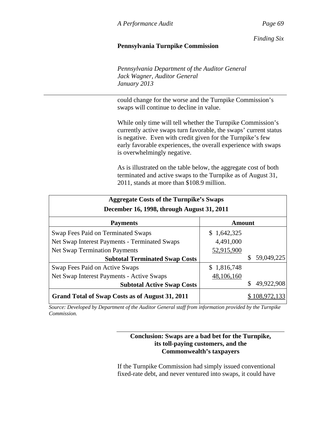*Finding Six*

## **Pennsylvania Turnpike Commission**

*Pennsylvania Department of the Auditor General Jack Wagner, Auditor General January 2013* 

could change for the worse and the Turnpike Commission's swaps will continue to decline in value.

While only time will tell whether the Turnpike Commission's currently active swaps turn favorable, the swaps' current status is negative. Even with credit given for the Turnpike's few early favorable experiences, the overall experience with swaps is overwhelmingly negative.

As is illustrated on the table below, the aggregate cost of both terminated and active swaps to the Turnpike as of August 31, 2011, stands at more than \$108.9 million.

| <b>Aggregate Costs of the Turnpike's Swaps</b>  |               |            |  |  |  |
|-------------------------------------------------|---------------|------------|--|--|--|
| December 16, 1998, through August 31, 2011      |               |            |  |  |  |
| <b>Payments</b>                                 | <b>Amount</b> |            |  |  |  |
| Swap Fees Paid on Terminated Swaps              | \$1,642,325   |            |  |  |  |
| Net Swap Interest Payments - Terminated Swaps   | 4,491,000     |            |  |  |  |
| <b>Net Swap Termination Payments</b>            | 52,915,900    |            |  |  |  |
| <b>Subtotal Terminated Swap Costs</b>           |               | 59,049,225 |  |  |  |
| Swap Fees Paid on Active Swaps                  | \$1,816,748   |            |  |  |  |
| Net Swap Interest Payments - Active Swaps       | 48,106,160    |            |  |  |  |
| <b>Subtotal Active Swap Costs</b>               |               | 49,922,908 |  |  |  |
| Grand Total of Swap Costs as of August 31, 2011 |               | .08.972.   |  |  |  |

*Source: Developed by Department of the Auditor General staff from information provided by the Turnpike Commission.* 

## **Conclusion: Swaps are a bad bet for the Turnpike, its toll-paying customers, and the Commonwealth's taxpayers**

If the Turnpike Commission had simply issued conventional fixed-rate debt, and never ventured into swaps, it could have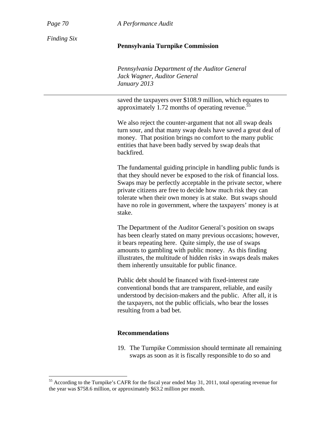$\overline{a}$ 

*Page 70 A Performance Audit*

*Finding Six* 

#### **Pennsylvania Turnpike Commission**

*Pennsylvania Department of the Auditor General Jack Wagner, Auditor General January 2013* 

saved the taxpayers over \$108.9 million, which equates to approximately 1.72 months of operating revenue. $\frac{5}{5}$ 

We also reject the counter-argument that not all swap deals turn sour, and that many swap deals have saved a great deal of money. That position brings no comfort to the many public entities that have been badly served by swap deals that backfired.

The fundamental guiding principle in handling public funds is that they should never be exposed to the risk of financial loss. Swaps may be perfectly acceptable in the private sector, where private citizens are free to decide how much risk they can tolerate when their own money is at stake. But swaps should have no role in government, where the taxpayers' money is at stake.

The Department of the Auditor General's position on swaps has been clearly stated on many previous occasions; however, it bears repeating here. Quite simply, the use of swaps amounts to gambling with public money. As this finding illustrates, the multitude of hidden risks in swaps deals makes them inherently unsuitable for public finance.

Public debt should be financed with fixed-interest rate conventional bonds that are transparent, reliable, and easily understood by decision-makers and the public. After all, it is the taxpayers, not the public officials, who bear the losses resulting from a bad bet.

#### **Recommendations**

19. The Turnpike Commission should terminate all remaining swaps as soon as it is fiscally responsible to do so and

<sup>&</sup>lt;sup>55</sup> According to the Turnpike's CAFR for the fiscal year ended May 31, 2011, total operating revenue for the year was \$758.6 million, or approximately \$63.2 million per month.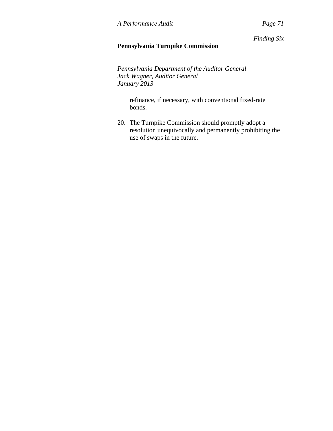*Finding Six*

# **Pennsylvania Turnpike Commission**

*Pennsylvania Department of the Auditor General Jack Wagner, Auditor General January 2013* 

refinance, if necessary, with conventional fixed-rate bonds.

20. The Turnpike Commission should promptly adopt a resolution unequivocally and permanently prohibiting the use of swaps in the future.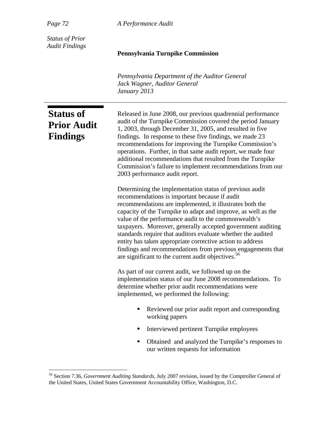*Page 72 A Performance Audit*

*Status of Prior Audit Findings* 

#### **Pennsylvania Turnpike Commission**

*Pennsylvania Department of the Auditor General Jack Wagner, Auditor General January 2013* 

# **Status of Prior Audit Findings**

 $\overline{a}$ 

Released in June 2008, our previous quadrennial performance audit of the Turnpike Commission covered the period January 1, 2003, through December 31, 2005, and resulted in five findings. In response to these five findings, we made 23 recommendations for improving the Turnpike Commission's operations. Further, in that same audit report, we made four additional recommendations that resulted from the Turnpike Commission's failure to implement recommendations from our 2003 performance audit report.

Determining the implementation status of previous audit recommendations is important because if audit recommendations are implemented, it illustrates both the capacity of the Turnpike to adapt and improve, as well as the value of the performance audit to the commonwealth's taxpayers. Moreover, generally accepted government auditing standards require that auditors evaluate whether the audited entity has taken appropriate corrective action to address findings and recommendations from previous engagements that are significant to the current audit objectives.<sup>56</sup>

As part of our current audit, we followed up on the implementation status of our June 2008 recommendations. To determine whether prior audit recommendations were implemented, we performed the following:

- Reviewed our prior audit report and corresponding working papers
- Interviewed pertinent Turnpike employees
- Obtained and analyzed the Turnpike's responses to our written requests for information

<sup>56</sup> Section 7.36, *Government Auditing Standards*, July 2007 revision, issued by the Comptroller General of the United States, United States Government Accountability Office, Washington, D.C.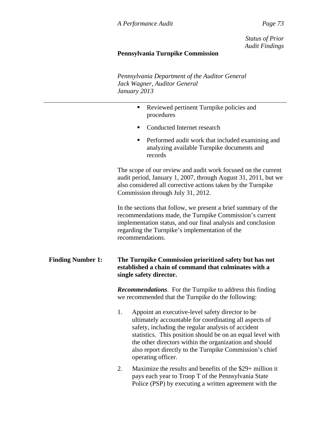*Status of Prior Audit Findings*

# **Pennsylvania Turnpike Commission**

*Pennsylvania Department of the Auditor General Jack Wagner, Auditor General January 2013* 

|                          | Reviewed pertinent Turnpike policies and<br>п<br>procedures                                                                                                                                                                                                                                                                                                                     |  |
|--------------------------|---------------------------------------------------------------------------------------------------------------------------------------------------------------------------------------------------------------------------------------------------------------------------------------------------------------------------------------------------------------------------------|--|
|                          | Conducted Internet research<br>٠                                                                                                                                                                                                                                                                                                                                                |  |
|                          | Performed audit work that included examining and<br>٠<br>analyzing available Turnpike documents and<br>records                                                                                                                                                                                                                                                                  |  |
|                          | The scope of our review and audit work focused on the current<br>audit period, January 1, 2007, through August 31, 2011, but we<br>also considered all corrective actions taken by the Turnpike<br>Commission through July 31, 2012.                                                                                                                                            |  |
|                          | In the sections that follow, we present a brief summary of the<br>recommendations made, the Turnpike Commission's current<br>implementation status, and our final analysis and conclusion<br>regarding the Turnpike's implementation of the<br>recommendations.                                                                                                                 |  |
| <b>Finding Number 1:</b> | The Turnpike Commission prioritized safety but has not<br>established a chain of command that culminates with a<br>single safety director.                                                                                                                                                                                                                                      |  |
|                          | <b>Recommendations.</b> For the Turnpike to address this finding<br>we recommended that the Turnpike do the following:                                                                                                                                                                                                                                                          |  |
|                          | 1.<br>Appoint an executive-level safety director to be<br>ultimately accountable for coordinating all aspects of<br>safety, including the regular analysis of accident<br>statistics. This position should be on an equal level with<br>the other directors within the organization and should<br>also report directly to the Turnpike Commission's chief<br>operating officer. |  |
|                          | Maximize the results and benefits of the $20 + \frac{\pi}{20}$<br>↑                                                                                                                                                                                                                                                                                                             |  |

2. Maximize the results and benefits of the \$29+ million it pays each year to Troop T of the Pennsylvania State Police (PSP) by executing a written agreement with the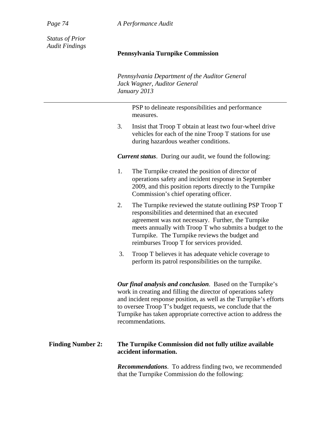*Page 74 A Performance Audit*

*Status of Prior Audit Findings* 

#### **Pennsylvania Turnpike Commission**

*Pennsylvania Department of the Auditor General Jack Wagner, Auditor General January 2013* 

> PSP to delineate responsibilities and performance measures.

3. Insist that Troop T obtain at least two four-wheel drive vehicles for each of the nine Troop T stations for use during hazardous weather conditions.

*Current status*. During our audit, we found the following:

- 1. The Turnpike created the position of director of operations safety and incident response in September 2009, and this position reports directly to the Turnpike Commission's chief operating officer.
- 2. The Turnpike reviewed the statute outlining PSP Troop T responsibilities and determined that an executed agreement was not necessary. Further, the Turnpike meets annually with Troop T who submits a budget to the Turnpike. The Turnpike reviews the budget and reimburses Troop T for services provided.
- 3. Troop T believes it has adequate vehicle coverage to perform its patrol responsibilities on the turnpike.

*Our final analysis and conclusion*. Based on the Turnpike's work in creating and filling the director of operations safety and incident response position, as well as the Turnpike's efforts to oversee Troop T's budget requests, we conclude that the Turnpike has taken appropriate corrective action to address the recommendations.

## **Finding Number 2: The Turnpike Commission did not fully utilize available accident information.**

*Recommendations*. To address finding two, we recommended that the Turnpike Commission do the following: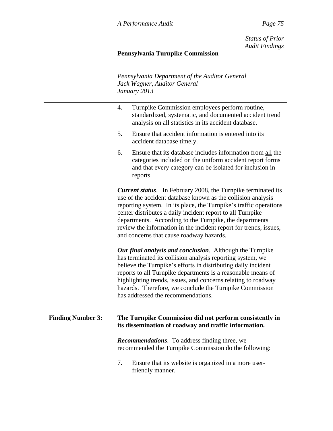*Status of Prior Audit Findings*

## **Pennsylvania Turnpike Commission**

*Pennsylvania Department of the Auditor General Jack Wagner, Auditor General January 2013* 

- 4. Turnpike Commission employees perform routine, standardized, systematic, and documented accident trend analysis on all statistics in its accident database.
- 5. Ensure that accident information is entered into its accident database timely.
- 6. Ensure that its database includes information from all the categories included on the uniform accident report forms and that every category can be isolated for inclusion in reports.

*Current status*. In February 2008, the Turnpike terminated its use of the accident database known as the collision analysis reporting system. In its place, the Turnpike's traffic operations center distributes a daily incident report to all Turnpike departments. According to the Turnpike, the departments review the information in the incident report for trends, issues, and concerns that cause roadway hazards.

*Our final analysis and conclusion*. Although the Turnpike has terminated its collision analysis reporting system, we believe the Turnpike's efforts in distributing daily incident reports to all Turnpike departments is a reasonable means of highlighting trends, issues, and concerns relating to roadway hazards. Therefore, we conclude the Turnpike Commission has addressed the recommendations.

## **Finding Number 3: The Turnpike Commission did not perform consistently in its dissemination of roadway and traffic information.**

*Recommendations*. To address finding three, we recommended the Turnpike Commission do the following:

7. Ensure that its website is organized in a more userfriendly manner.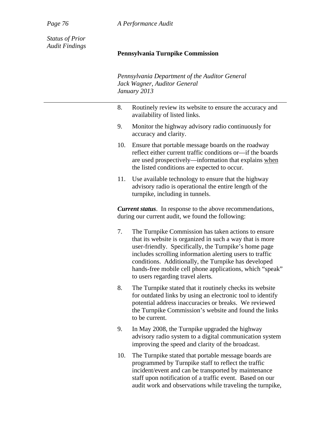*Page 76 A Performance Audit*

*Status of Prior Audit Findings* 

#### **Pennsylvania Turnpike Commission**

*Pennsylvania Department of the Auditor General Jack Wagner, Auditor General January 2013* 

- 8. Routinely review its website to ensure the accuracy and availability of listed links.
- 9. Monitor the highway advisory radio continuously for accuracy and clarity.
- 10. Ensure that portable message boards on the roadway reflect either current traffic conditions or—if the boards are used prospectively—information that explains when the listed conditions are expected to occur.
- 11. Use available technology to ensure that the highway advisory radio is operational the entire length of the turnpike, including in tunnels.

*Current status*. In response to the above recommendations, during our current audit, we found the following:

- 7. The Turnpike Commission has taken actions to ensure that its website is organized in such a way that is more user-friendly. Specifically, the Turnpike's home page includes scrolling information alerting users to traffic conditions. Additionally, the Turnpike has developed hands-free mobile cell phone applications, which "speak" to users regarding travel alerts*.*
- 8. The Turnpike stated that it routinely checks its website for outdated links by using an electronic tool to identify potential address inaccuracies or breaks. We reviewed the Turnpike Commission's website and found the links to be current.
- 9. In May 2008, the Turnpike upgraded the highway advisory radio system to a digital communication system improving the speed and clarity of the broadcast.
- 10. The Turnpike stated that portable message boards are programmed by Turnpike staff to reflect the traffic incident/event and can be transported by maintenance staff upon notification of a traffic event. Based on our audit work and observations while traveling the turnpike,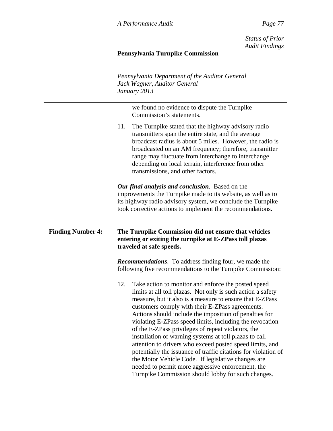*Status of Prior Audit Findings*

## **Pennsylvania Turnpike Commission**

*Pennsylvania Department of the Auditor General Jack Wagner, Auditor General January 2013* 

> we found no evidence to dispute the Turnpike Commission's statements.

11. The Turnpike stated that the highway advisory radio transmitters span the entire state, and the average broadcast radius is about 5 miles. However, the radio is broadcasted on an AM frequency; therefore, transmitter range may fluctuate from interchange to interchange depending on local terrain, interference from other transmissions, and other factors.

*Our final analysis and conclusion*. Based on the improvements the Turnpike made to its website, as well as to its highway radio advisory system, we conclude the Turnpike took corrective actions to implement the recommendations.

## **Finding Number 4: The Turnpike Commission did not ensure that vehicles entering or exiting the turnpike at E-ZPass toll plazas traveled at safe speeds.**

*Recommendations*. To address finding four, we made the following five recommendations to the Turnpike Commission:

12. Take action to monitor and enforce the posted speed limits at all toll plazas. Not only is such action a safety measure, but it also is a measure to ensure that E-ZPass customers comply with their E-ZPass agreements. Actions should include the imposition of penalties for violating E-ZPass speed limits, including the revocation of the E-ZPass privileges of repeat violators, the installation of warning systems at toll plazas to call attention to drivers who exceed posted speed limits, and potentially the issuance of traffic citations for violation of the Motor Vehicle Code. If legislative changes are needed to permit more aggressive enforcement, the Turnpike Commission should lobby for such changes.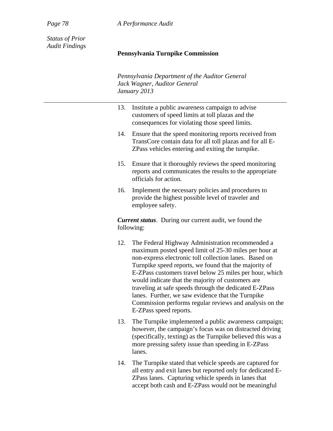*Page 78 A Performance Audit*

*Status of Prior Audit Findings* 

#### **Pennsylvania Turnpike Commission**

*Pennsylvania Department of the Auditor General Jack Wagner, Auditor General January 2013* 

| 13. Institute a public awareness campaign to advise |
|-----------------------------------------------------|
| customers of speed limits at toll plazas and the    |
| consequences for violating those speed limits.      |

- 14. Ensure that the speed monitoring reports received from TransCore contain data for all toll plazas and for all E-ZPass vehicles entering and exiting the turnpike.
- 15. Ensure that it thoroughly reviews the speed monitoring reports and communicates the results to the appropriate officials for action.
- 16. Implement the necessary policies and procedures to provide the highest possible level of traveler and employee safety.

*Current status*. During our current audit, we found the following:

- 12. The Federal Highway Administration recommended a maximum posted speed limit of 25-30 miles per hour at non-express electronic toll collection lanes. Based on Turnpike speed reports, we found that the majority of E-ZPass customers travel below 25 miles per hour, which would indicate that the majority of customers are traveling at safe speeds through the dedicated E-ZPass lanes. Further, we saw evidence that the Turnpike Commission performs regular reviews and analysis on the E-ZPass speed reports.
- 13. The Turnpike implemented a public awareness campaign; however, the campaign's focus was on distracted driving (specifically, texting) as the Turnpike believed this was a more pressing safety issue than speeding in E-ZPass lanes.
- 14. The Turnpike stated that vehicle speeds are captured for all entry and exit lanes but reported only for dedicated E-ZPass lanes. Capturing vehicle speeds in lanes that accept both cash and E-ZPass would not be meaningful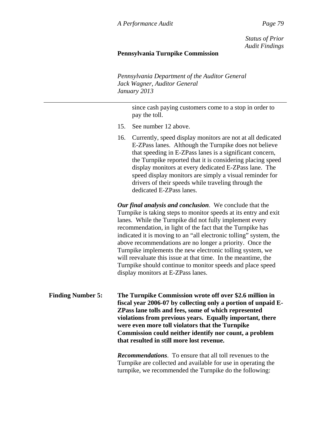*Status of Prior Audit Findings*

## **Pennsylvania Turnpike Commission**

*Pennsylvania Department of the Auditor General Jack Wagner, Auditor General January 2013* 

> since cash paying customers come to a stop in order to pay the toll.

- 15. See number 12 above.
- 16. Currently, speed display monitors are not at all dedicated E-ZPass lanes. Although the Turnpike does not believe that speeding in E-ZPass lanes is a significant concern, the Turnpike reported that it is considering placing speed display monitors at every dedicated E-ZPass lane. The speed display monitors are simply a visual reminder for drivers of their speeds while traveling through the dedicated E-ZPass lanes.

*Our final analysis and conclusion*. We conclude that the Turnpike is taking steps to monitor speeds at its entry and exit lanes. While the Turnpike did not fully implement every recommendation, in light of the fact that the Turnpike has indicated it is moving to an "all electronic tolling" system, the above recommendations are no longer a priority. Once the Turnpike implements the new electronic tolling system, we will reevaluate this issue at that time. In the meantime, the Turnpike should continue to monitor speeds and place speed display monitors at E-ZPass lanes.

**Finding Number 5: The Turnpike Commission wrote off over \$2.6 million in fiscal year 2006-07 by collecting only a portion of unpaid E-ZPass lane tolls and fees, some of which represented violations from previous years. Equally important, there were even more toll violators that the Turnpike Commission could neither identify nor count, a problem that resulted in still more lost revenue.** 

> *Recommendations*. To ensure that all toll revenues to the Turnpike are collected and available for use in operating the turnpike, we recommended the Turnpike do the following: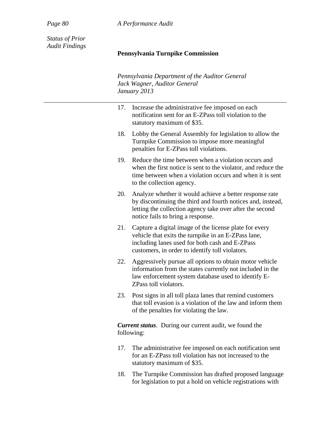*Page 80 A Performance Audit*

*Status of Prior Audit Findings* 

## **Pennsylvania Turnpike Commission**

*Pennsylvania Department of the Auditor General Jack Wagner, Auditor General January 2013* 

| 17. | Increase the administrative fee imposed on each<br>notification sent for an E-ZPass toll violation to the<br>statutory maximum of \$35.                                                                                 |
|-----|-------------------------------------------------------------------------------------------------------------------------------------------------------------------------------------------------------------------------|
| 18. | Lobby the General Assembly for legislation to allow the<br>Turnpike Commission to impose more meaningful<br>penalties for E-ZPass toll violations.                                                                      |
| 19. | Reduce the time between when a violation occurs and<br>when the first notice is sent to the violator, and reduce the<br>time between when a violation occurs and when it is sent<br>to the collection agency.           |
| 20. | Analyze whether it would achieve a better response rate<br>by discontinuing the third and fourth notices and, instead,<br>letting the collection agency take over after the second<br>notice fails to bring a response. |
| 21. | Capture a digital image of the license plate for every<br>vehicle that exits the turnpike in an E-ZPass lane,<br>including lanes used for both cash and E-ZPass<br>customers, in order to identify toll violators.      |
| 22. | Aggressively pursue all options to obtain motor vehicle<br>information from the states currently not included in the<br>law enforcement system database used to identify E-<br>ZPass toll violators.                    |
| 23. | Post signs in all toll plaza lanes that remind customers<br>that toll evasion is a violation of the law and inform them<br>of the penalties for violating the law.                                                      |
|     | <b>Current status.</b> During our current audit, we found the<br>following:                                                                                                                                             |
| 17. | The administrative fee imposed on each notification sent<br>$\mathcal{C}$ <b>F7D</b> $\rightarrow$ 11 $\rightarrow$ 1 $\rightarrow$ 1 $\rightarrow$ 1 $\rightarrow$ 1                                                   |

- for an E-ZPass toll violation has not increased to the statutory maximum of \$35.
- 18. The Turnpike Commission has drafted proposed language for legislation to put a hold on vehicle registrations with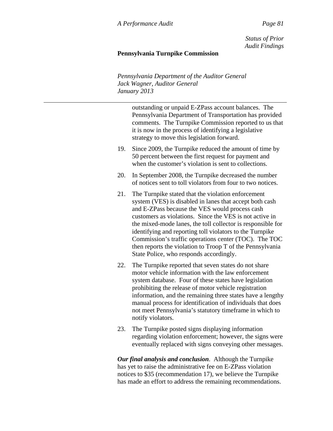*Status of Prior Audit Findings*

## **Pennsylvania Turnpike Commission**

*Pennsylvania Department of the Auditor General Jack Wagner, Auditor General January 2013* 

> outstanding or unpaid E-ZPass account balances. The Pennsylvania Department of Transportation has provided comments. The Turnpike Commission reported to us that it is now in the process of identifying a legislative strategy to move this legislation forward.

- 19. Since 2009, the Turnpike reduced the amount of time by 50 percent between the first request for payment and when the customer's violation is sent to collections.
- 20. In September 2008, the Turnpike decreased the number of notices sent to toll violators from four to two notices.
- 21. The Turnpike stated that the violation enforcement system (VES) is disabled in lanes that accept both cash and E-ZPass because the VES would process cash customers as violations. Since the VES is not active in the mixed-mode lanes, the toll collector is responsible for identifying and reporting toll violators to the Turnpike Commission's traffic operations center (TOC). The TOC then reports the violation to Troop T of the Pennsylvania State Police, who responds accordingly.
- 22. The Turnpike reported that seven states do not share motor vehicle information with the law enforcement system database. Four of these states have legislation prohibiting the release of motor vehicle registration information, and the remaining three states have a lengthy manual process for identification of individuals that does not meet Pennsylvania's statutory timeframe in which to notify violators.
- 23. The Turnpike posted signs displaying information regarding violation enforcement; however, the signs were eventually replaced with signs conveying other messages.

*Our final analysis and conclusion*. Although the Turnpike has yet to raise the administrative fee on E-ZPass violation notices to \$35 (recommendation 17), we believe the Turnpike has made an effort to address the remaining recommendations.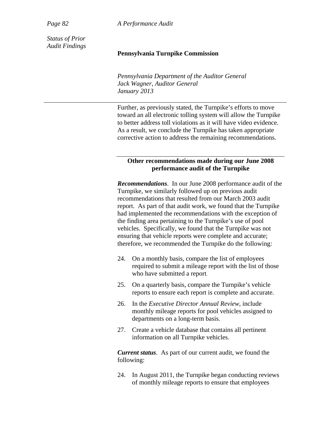*Page 82 A Performance Audit*

*Status of Prior Audit Findings* 

#### **Pennsylvania Turnpike Commission**

*Pennsylvania Department of the Auditor General Jack Wagner, Auditor General January 2013* 

Further, as previously stated, the Turnpike's efforts to move toward an all electronic tolling system will allow the Turnpike to better address toll violations as it will have video evidence. As a result, we conclude the Turnpike has taken appropriate corrective action to address the remaining recommendations.

#### **Other recommendations made during our June 2008 performance audit of the Turnpike**

*Recommendations*. In our June 2008 performance audit of the Turnpike, we similarly followed up on previous audit recommendations that resulted from our March 2003 audit report. As part of that audit work, we found that the Turnpike had implemented the recommendations with the exception of the finding area pertaining to the Turnpike's use of pool vehicles. Specifically, we found that the Turnpike was not ensuring that vehicle reports were complete and accurate; therefore, we recommended the Turnpike do the following:

- 24. On a monthly basis, compare the list of employees required to submit a mileage report with the list of those who have submitted a report.
- 25. On a quarterly basis, compare the Turnpike's vehicle reports to ensure each report is complete and accurate.
- 26. In the *Executive Director Annual Review*, include monthly mileage reports for pool vehicles assigned to departments on a long-term basis.
- 27. Create a vehicle database that contains all pertinent information on all Turnpike vehicles.

*Current status*. As part of our current audit, we found the following:

24. In August 2011, the Turnpike began conducting reviews of monthly mileage reports to ensure that employees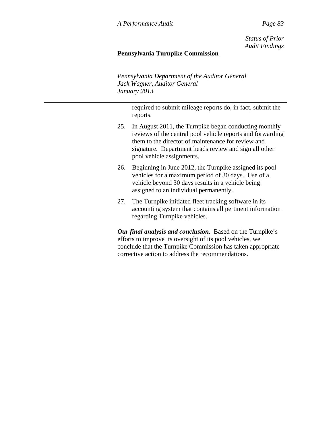*Status of Prior Audit Findings*

## **Pennsylvania Turnpike Commission**

*Pennsylvania Department of the Auditor General Jack Wagner, Auditor General January 2013* 

> required to submit mileage reports do, in fact, submit the reports.

- 25. In August 2011, the Turnpike began conducting monthly reviews of the central pool vehicle reports and forwarding them to the director of maintenance for review and signature. Department heads review and sign all other pool vehicle assignments.
- 26. Beginning in June 2012, the Turnpike assigned its pool vehicles for a maximum period of 30 days. Use of a vehicle beyond 30 days results in a vehicle being assigned to an individual permanently.
- 27. The Turnpike initiated fleet tracking software in its accounting system that contains all pertinent information regarding Turnpike vehicles.

*Our final analysis and conclusion*. Based on the Turnpike's efforts to improve its oversight of its pool vehicles, we conclude that the Turnpike Commission has taken appropriate corrective action to address the recommendations.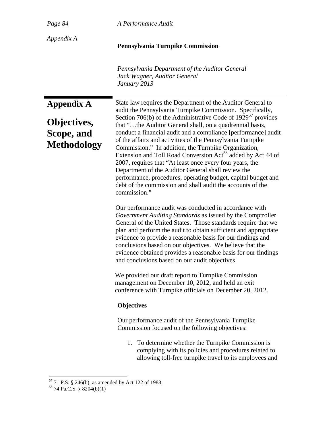| $\boldsymbol{\rho}$<br>$\mu$ | 4 |
|------------------------------|---|
|------------------------------|---|

*Page 84 A Performance Audit*

*Appendix A* 

#### **Pennsylvania Turnpike Commission**

*Pennsylvania Department of the Auditor General Jack Wagner, Auditor General January 2013* 

**Appendix A Objectives, Scope, and Methodology**  State law requires the Department of the Auditor General to audit the Pennsylvania Turnpike Commission. Specifically, Section 706(b) of the Administrative Code of  $1929^{57}$  provides that "…the Auditor General shall, on a quadrennial basis, conduct a financial audit and a compliance [performance] audit of the affairs and activities of the Pennsylvania Turnpike Commission." In addition, the Turnpike Organization, Extension and Toll Road Conversion Act<sup>58</sup> added by Act 44 of 2007, requires that "At least once every four years, the Department of the Auditor General shall review the performance, procedures, operating budget, capital budget and debt of the commission and shall audit the accounts of the commission."

Our performance audit was conducted in accordance with *Government Auditing Standards* as issued by the Comptroller General of the United States. Those standards require that we plan and perform the audit to obtain sufficient and appropriate evidence to provide a reasonable basis for our findings and conclusions based on our objectives. We believe that the evidence obtained provides a reasonable basis for our findings and conclusions based on our audit objectives.

We provided our draft report to Turnpike Commission management on December 10, 2012, and held an exit conference with Turnpike officials on December 20, 2012.

## **Objectives**

Our performance audit of the Pennsylvania Turnpike Commission focused on the following objectives:

1. To determine whether the Turnpike Commission is complying with its policies and procedures related to allowing toll-free turnpike travel to its employees and

 $\overline{a}$ 

 $57$  71 P.S. § 246(b), as amended by Act 122 of 1988.

<sup>58 74</sup> Pa.C.S. § 8204(b)(1)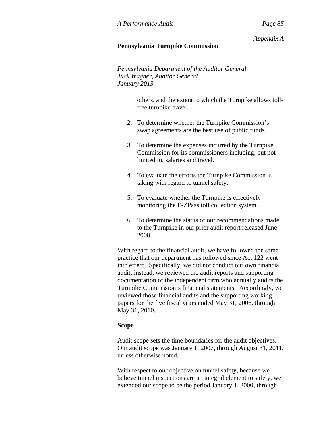*Appendix A*

## **Pennsylvania Turnpike Commission**

*Pennsylvania Department of the Auditor General Jack Wagner, Auditor General January 2013* 

> others, and the extent to which the Turnpike allows tollfree turnpike travel.

- 2. To determine whether the Turnpike Commission's swap agreements are the best use of public funds.
- 3. To determine the expenses incurred by the Turnpike Commission for its commissioners including, but not limited to, salaries and travel.
- 4. To evaluate the efforts the Turnpike Commission is taking with regard to tunnel safety.
- 5. To evaluate whether the Turnpike is effectively monitoring the E-ZPass toll collection system.
- 6. To determine the status of our recommendations made to the Turnpike in our prior audit report released June 2008.

With regard to the financial audit, we have followed the same practice that our department has followed since Act 122 went into effect. Specifically, we did not conduct our own financial audit; instead, we reviewed the audit reports and supporting documentation of the independent firm who annually audits the Turnpike Commission's financial statements. Accordingly, we reviewed those financial audits and the supporting working papers for the five fiscal years ended May 31, 2006, through May 31, 2010.

## **Scope**

Audit scope sets the time boundaries for the audit objectives. Our audit scope was January 1, 2007, through August 31, 2011, unless otherwise noted.

With respect to our objective on tunnel safety, because we believe tunnel inspections are an integral element to safety, we extended our scope to be the period January 1, 2000, through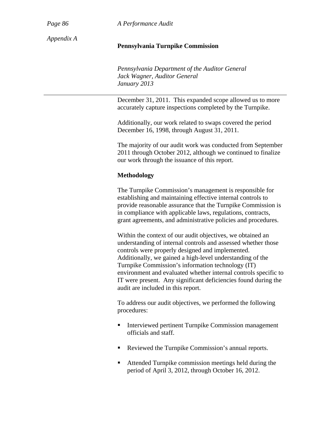*Page 86 A Performance Audit*

*Appendix A* 

#### **Pennsylvania Turnpike Commission**

*Pennsylvania Department of the Auditor General Jack Wagner, Auditor General January 2013* 

December 31, 2011. This expanded scope allowed us to more accurately capture inspections completed by the Turnpike.

Additionally, our work related to swaps covered the period December 16, 1998, through August 31, 2011.

The majority of our audit work was conducted from September 2011 through October 2012, although we continued to finalize our work through the issuance of this report.

#### **Methodology**

The Turnpike Commission's management is responsible for establishing and maintaining effective internal controls to provide reasonable assurance that the Turnpike Commission is in compliance with applicable laws, regulations, contracts, grant agreements, and administrative policies and procedures.

Within the context of our audit objectives, we obtained an understanding of internal controls and assessed whether those controls were properly designed and implemented. Additionally, we gained a high-level understanding of the Turnpike Commission's information technology (IT) environment and evaluated whether internal controls specific to IT were present. Any significant deficiencies found during the audit are included in this report.

To address our audit objectives, we performed the following procedures:

- **Interviewed pertinent Turnpike Commission management** officials and staff.
- Reviewed the Turnpike Commission's annual reports.
- Attended Turnpike commission meetings held during the period of April 3, 2012, through October 16, 2012.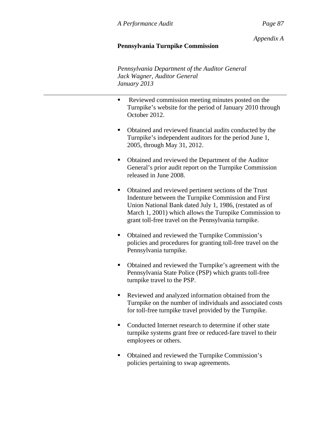## *Appendix A*

## **Pennsylvania Turnpike Commission**

*Pennsylvania Department of the Auditor General Jack Wagner, Auditor General January 2013* 

- Reviewed commission meeting minutes posted on the Turnpike's website for the period of January 2010 through October 2012.
- Obtained and reviewed financial audits conducted by the Turnpike's independent auditors for the period June 1, 2005, through May 31, 2012.
- Obtained and reviewed the Department of the Auditor General's prior audit report on the Turnpike Commission released in June 2008.
- Obtained and reviewed pertinent sections of the Trust Indenture between the Turnpike Commission and First Union National Bank dated July 1, 1986, (restated as of March 1, 2001) which allows the Turnpike Commission to grant toll-free travel on the Pennsylvania turnpike.
- Obtained and reviewed the Turnpike Commission's policies and procedures for granting toll-free travel on the Pennsylvania turnpike.
- Obtained and reviewed the Turnpike's agreement with the Pennsylvania State Police (PSP) which grants toll-free turnpike travel to the PSP.
- Reviewed and analyzed information obtained from the Turnpike on the number of individuals and associated costs for toll-free turnpike travel provided by the Turnpike.
- Conducted Internet research to determine if other state turnpike systems grant free or reduced-fare travel to their employees or others.
- Obtained and reviewed the Turnpike Commission's policies pertaining to swap agreements.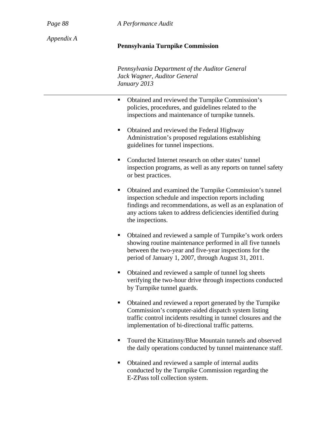*Page 88 A Performance Audit*

*Appendix A* 

#### **Pennsylvania Turnpike Commission**

*Pennsylvania Department of the Auditor General Jack Wagner, Auditor General January 2013* 

- Obtained and reviewed the Turnpike Commission's policies, procedures, and guidelines related to the inspections and maintenance of turnpike tunnels.
- Obtained and reviewed the Federal Highway Administration's proposed regulations establishing guidelines for tunnel inspections.
- Conducted Internet research on other states' tunnel inspection programs, as well as any reports on tunnel safety or best practices.
- Obtained and examined the Turnpike Commission's tunnel inspection schedule and inspection reports including findings and recommendations, as well as an explanation of any actions taken to address deficiencies identified during the inspections.
- Obtained and reviewed a sample of Turnpike's work orders showing routine maintenance performed in all five tunnels between the two-year and five-year inspections for the period of January 1, 2007, through August 31, 2011.
- Obtained and reviewed a sample of tunnel log sheets verifying the two-hour drive through inspections conducted by Turnpike tunnel guards.
- Obtained and reviewed a report generated by the Turnpike Commission's computer-aided dispatch system listing traffic control incidents resulting in tunnel closures and the implementation of bi-directional traffic patterns.
- Toured the Kittatinny/Blue Mountain tunnels and observed the daily operations conducted by tunnel maintenance staff.
- Obtained and reviewed a sample of internal audits conducted by the Turnpike Commission regarding the E-ZPass toll collection system.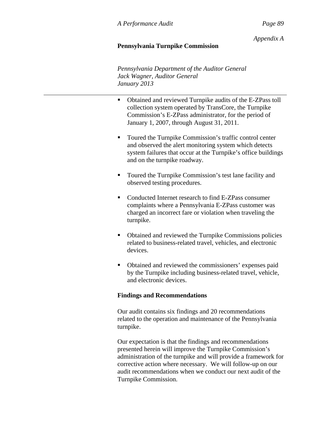*Appendix A*

## **Pennsylvania Turnpike Commission**

*Pennsylvania Department of the Auditor General Jack Wagner, Auditor General January 2013* 

- Obtained and reviewed Turnpike audits of the E-ZPass toll collection system operated by TransCore, the Turnpike Commission's E-ZPass administrator, for the period of January 1, 2007, through August 31, 2011.
- **Toured the Turnpike Commission's traffic control center** and observed the alert monitoring system which detects system failures that occur at the Turnpike's office buildings and on the turnpike roadway.
- **Toured the Turnpike Commission's test lane facility and** observed testing procedures.
- Conducted Internet research to find E-ZPass consumer complaints where a Pennsylvania E-ZPass customer was charged an incorrect fare or violation when traveling the turnpike.
- Obtained and reviewed the Turnpike Commissions policies related to business-related travel, vehicles, and electronic devices.
- Obtained and reviewed the commissioners' expenses paid by the Turnpike including business-related travel, vehicle, and electronic devices.

## **Findings and Recommendations**

Our audit contains six findings and 20 recommendations related to the operation and maintenance of the Pennsylvania turnpike.

Our expectation is that the findings and recommendations presented herein will improve the Turnpike Commission's administration of the turnpike and will provide a framework for corrective action where necessary. We will follow-up on our audit recommendations when we conduct our next audit of the Turnpike Commission.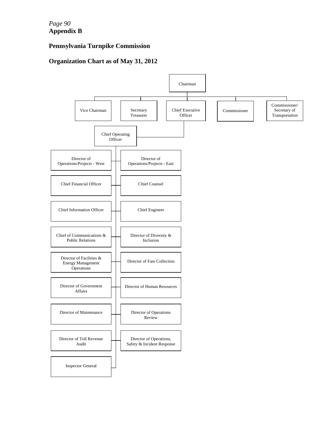*Page 90*  **Appendix B** 

# **Pennsylvania Turnpike Commission**

# **Organization Chart as of May 31, 2012**

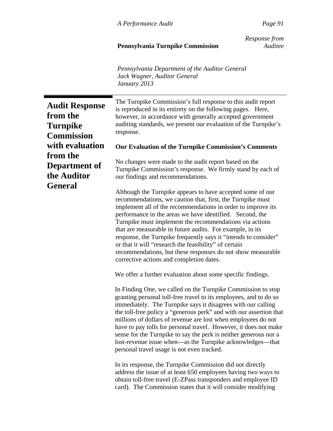## **Pennsylvania Turnpike Commission** *Auditee*

 *Response from*

*Pennsylvania Department of the Auditor General Jack Wagner, Auditor General January 2013* 

**Audit Response from the Turnpike Commission with evaluation from the Department of the Auditor General**  The Turnpike Commission's full response to this audit report is reproduced in its entirety on the following pages. Here, however, in accordance with generally accepted government auditing standards, we present our evaluation of the Turnpike's response. **Our Evaluation of the Turnpike Commission's Comments**  No changes were made to the audit report based on the Turnpike Commission's response. We firmly stand by each of our findings and recommendations. Although the Turnpike appears to have accepted some of our recommendations, we caution that, first, the Turnpike must implement all of the recommendations in order to improve its performance in the areas we have identified. Second, the Turnpike must implement the recommendations via actions that are measurable in future audits. For example, in its response, the Turnpike frequently says it "intends to consider" or that it will "research the feasibility" of certain recommendations, but these responses do not show measurable corrective actions and completion dates. We offer a further evaluation about some specific findings. In Finding One, we called on the Turnpike Commission to stop granting personal toll-free travel to its employees, and to do so immediately. The Turnpike says it disagrees with our calling the toll-free policy a "generous perk" and with our assertion that millions of dollars of revenue are lost when employees do not have to pay tolls for personal travel. However, it does not make sense for the Turnpike to say the perk is neither generous nor a lost-revenue issue when—as the Turnpike acknowledges—that personal travel usage is not even tracked. In its response, the Turnpike Commission did not directly address the issue of at least 650 employees having two ways to obtain toll-free travel (E-ZPass transponders and employee ID card). The Commission states that it will consider modifying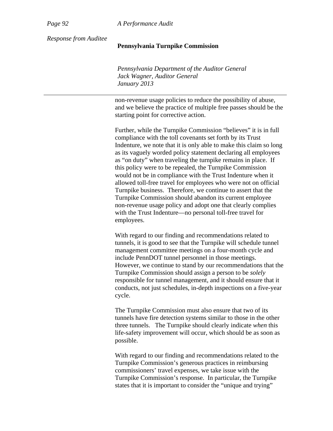*Page 92 A Performance Audit*

*Response from Auditee* 

#### **Pennsylvania Turnpike Commission**

*Pennsylvania Department of the Auditor General Jack Wagner, Auditor General January 2013* 

non-revenue usage policies to reduce the possibility of abuse, and we believe the practice of multiple free passes should be the starting point for corrective action.

Further, while the Turnpike Commission "believes" it is in full compliance with the toll covenants set forth by its Trust Indenture, we note that it is only able to make this claim so long as its vaguely worded policy statement declaring all employees as "on duty" when traveling the turnpike remains in place. If this policy were to be repealed, the Turnpike Commission would not be in compliance with the Trust Indenture when it allowed toll-free travel for employees who were not on official Turnpike business. Therefore, we continue to assert that the Turnpike Commission should abandon its current employee non-revenue usage policy and adopt one that clearly complies with the Trust Indenture—no personal toll-free travel for employees.

With regard to our finding and recommendations related to tunnels, it is good to see that the Turnpike will schedule tunnel management committee meetings on a four-month cycle and include PennDOT tunnel personnel in those meetings. However, we continue to stand by our recommendations that the Turnpike Commission should assign a person to be *solely* responsible for tunnel management, and it should ensure that it conducts, not just schedules, in-depth inspections on a five-year cycle.

The Turnpike Commission must also ensure that two of its tunnels have fire detection systems similar to those in the other three tunnels. The Turnpike should clearly indicate *when* this life-safety improvement will occur, which should be as soon as possible.

With regard to our finding and recommendations related to the Turnpike Commission's generous practices in reimbursing commissioners' travel expenses, we take issue with the Turnpike Commission's response. In particular, the Turnpike states that it is important to consider the "unique and trying"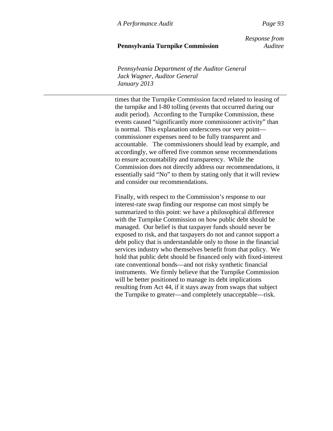## **Pennsylvania Turnpike Commission** *Auditee*

 *Response from*

*Pennsylvania Department of the Auditor General Jack Wagner, Auditor General January 2013* 

times that the Turnpike Commission faced related to leasing of the turnpike and I-80 tolling (events that occurred during our audit period). According to the Turnpike Commission, these events caused "significantly more commissioner activity" than is normal. This explanation underscores our very point commissioner expenses need to be fully transparent and accountable. The commissioners should lead by example, and accordingly, we offered five common sense recommendations to ensure accountability and transparency. While the Commission does not directly address our recommendations, it essentially said "No" to them by stating only that it will review and consider our recommendations.

Finally, with respect to the Commission's response to our interest-rate swap finding our response can most simply be summarized to this point: we have a philosophical difference with the Turnpike Commission on how public debt should be managed. Our belief is that taxpayer funds should never be exposed to risk, and that taxpayers do not and cannot support a debt policy that is understandable only to those in the financial services industry who themselves benefit from that policy. We hold that public debt should be financed only with fixed-interest rate conventional bonds—and not risky synthetic financial instruments. We firmly believe that the Turnpike Commission will be better positioned to manage its debt implications resulting from Act 44, if it stays away from swaps that subject the Turnpike to greater—and completely unacceptable—risk.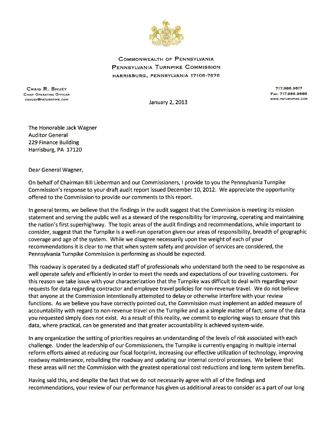

**COMMONWEALTH OF PENNSYLVANIA** PENNSYLVANIA TURNPIKE COMMISSION HARRISBURG, PENNSYLVANIA 17106-7676

**CRAIG R. SHUEY** CHIEF OPERATING OFFICER CSHUEY@PATURNPIKE.COM

717.986.9617 FAX: 717.986.9686 WWW.PATURNPIKE.COM

January 2, 2013

The Honorable Jack Wagner **Auditor General** 229 Finance Building Harrisburg, PA 17120

Dear General Wagner,

On behalf of Chairman Bill Lieberman and our Commissioners, I provide to you the Pennsylvania Turnpike Commission's response to your draft audit report issued December 10, 2012. We appreciate the opportunity offered to the Commission to provide our comments to this report.

In general terms, we believe that the findings in the audit suggest that the Commission is meeting its mission statement and serving the public well as a steward of the responsibility for improving, operating and maintaining the nation's first superhighway. The topic areas of the audit findings and recommendations, while important to consider, suggest that the Turnpike is a well-run operation given our areas of responsibility, breadth of geographic coverage and age of the system. While we disagree necessarily upon the weight of each of your recommendations it is clear to me that when system safety and provision of services are considered, the Pennsylvania Turnpike Commission is performing as should be expected.

This roadway is operated by a dedicated staff of professionals who understand both the need to be responsive as well operate safely and efficiently in order to meet the needs and expectations of our traveling customers. For this reason we take issue with your characterization that the Turnpike was difficult to deal with regarding your requests for data regarding contractor and employee travel policies for non-revenue travel. We do not believe that anyone at the Commission intentionally attempted to delay or otherwise interfere with your review functions. As we believe you have correctly pointed out, the Commission must implement an added measure of accountability with regard to non-revenue travel on the Turnpike and as a simple matter of fact; some of the data you requested simply does not exist. As a result of this reality, we commit to exploring ways to ensure that this data, where practical, can be generated and that greater accountability is achieved system-wide.

In any organization the setting of priorities requires an understanding of the levels of risk associated with each challenge. Under the leadership of our Commissioners, the Turnpike is currently engaging in multiple internal reform efforts aimed at reducing our fiscal footprint, increasing our effective utilization of technology, improving roadway maintenance, rebuilding the roadway and updating our internal control processes. We believe that these areas will net the Commission with the greatest operational cost reductions and long term system benefits.

Having said this, and despite the fact that we do not necessarily agree with all of the findings and recommendations, your review of our performance has given us additional areas to consider as a part of our long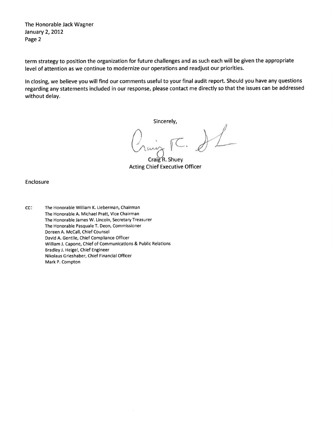The Honorable Jack Wagner January 2, 2012 Page 2

term strategy to position the organization for future challenges and as such each will be given the appropriate level of attention as we continue to modernize our operations and readjust our priorities.

In closing, we believe you will find our comments useful to your final audit report. Should you have any questions regarding any statements included in our response, please contact me directly so that the issues can be addressed without delay.

Sincerely,

 $H$ 

Craig R. Shuey **Acting Chief Executive Officer** 

Enclosure

cc: The Honorable William K. Lieberman, Chairman The Honorable A. Michael Pratt, Vice Chairman The Honorable James W. Lincoln, Secretary Treasurer The Honorable Pasquale T. Deon, Commissioner Doreen A. McCall, Chief Counsel David A. Gentile, Chief Compliance Officer William J. Capone, Chief of Communications & Public Relations Bradley J. Heigel, Chief Engineer Nikolaus Grieshaber, Chief Financial Officer Mark P. Compton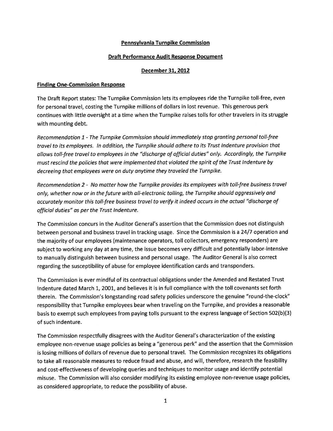#### Pennsylvania Turnpike Commission

#### **Draft Performance Audit Response Document**

#### December 31, 2012

#### **Finding One-Commission Response**

The Draft Report states: The Turnpike Commission lets its employees ride the Turnpike toll-free, even for personal travel, costing the Turnpike millions of dollars in lost revenue. This generous perk continues with little oversight at a time when the Turnpike raises tolls for other travelers in its struggle with mounting debt.

Recommendation 1 - The Turnpike Commission should immediately stop granting personal toll-free travel to its employees. In addition, the Turnpike should adhere to its Trust Indenture provision that allows toll-free travel to employees in the "discharge of official duties" only. Accordingly, the Turnpike must rescind the policies that were implemented that violated the spirit of the Trust Indenture by decreeing that employees were on duty anytime they traveled the Turnpike.

Recommendation 2 - No matter how the Turnpike provides its employees with toll-free business travel only, whether now or in the future with all-electronic tolling, the Turnpike should aggressively and accurately monitor this toll-free business travel to verify it indeed occurs in the actual "discharge of official duties" as per the Trust Indenture.

The Commission concurs in the Auditor General's assertion that the Commission does not distinguish between personal and business travel in tracking usage. Since the Commission is a 24/7 operation and the majority of our employees (maintenance operators, toll collectors, emergency responders) are subject to working any day at any time, the issue becomes very difficult and potentially labor-intensive to manually distinguish between business and personal usage. The Auditor General is also correct regarding the susceptibility of abuse for employee identification cards and transponders.

The Commission is ever mindful of its contractual obligations under the Amended and Restated Trust Indenture dated March 1, 2001, and believes it is in full compliance with the toll covenants set forth therein. The Commission's longstanding road safety policies underscore the genuine "round-the-clock" responsibility that Turnpike employees bear when traveling on the Turnpike, and provides a reasonable basis to exempt such employees from paying tolls pursuant to the express language of Section 502(b)(3) of such indenture.

The Commission respectfully disagrees with the Auditor General's characterization of the existing employee non-revenue usage policies as being a "generous perk" and the assertion that the Commission is losing millions of dollars of revenue due to personal travel. The Commission recognizes its obligations to take all reasonable measures to reduce fraud and abuse, and will, therefore, research the feasibility and cost-effectiveness of developing queries and techniques to monitor usage and identify potential misuse. The Commission will also consider modifying its existing employee non-revenue usage policies, as considered appropriate, to reduce the possibility of abuse.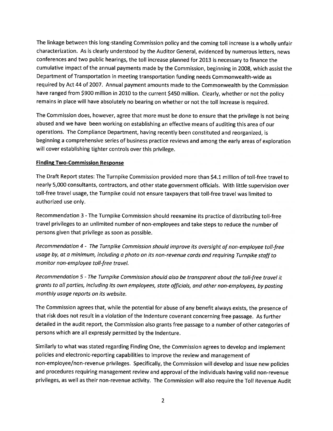The linkage between this long-standing Commission policy and the coming toll increase is a wholly unfair characterization. As is clearly understood by the Auditor General, evidenced by numerous letters, news conferences and two public hearings, the toll increase planned for 2013 is necessary to finance the cumulative impact of the annual payments made by the Commission, beginning in 2008, which assist the Department of Transportation in meeting transportation funding needs Commonwealth-wide as required by Act 44 of 2007. Annual payment amounts made to the Commonwealth by the Commission have ranged from \$900 million in 2010 to the current \$450 million. Clearly, whether or not the policy remains in place will have absolutely no bearing on whether or not the toll increase is required.

The Commission does, however, agree that more must be done to ensure that the privilege is not being abused and we have been working on establishing an effective means of auditing this area of our operations. The Compliance Department, having recently been constituted and reorganized, is beginning a comprehensive series of business practice reviews and among the early areas of exploration will cover establishing tighter controls over this privilege.

#### **Finding Two-Commission Response**

The Draft Report states: The Turnpike Commission provided more than \$4.1 million of toll-free travel to nearly 5,000 consultants, contractors, and other state government officials. With little supervision over toll-free travel usage, the Turnpike could not ensure taxpayers that toll-free travel was limited to authorized use only.

Recommendation 3 - The Turnpike Commission should reexamine its practice of distributing toll-free travel privileges to an unlimited number of non-employees and take steps to reduce the number of persons given that privilege as soon as possible.

Recommendation 4 - The Turnpike Commission should improve its oversight of non-employee toll-free usage by, at a minimum, including a photo on its non-revenue cards and requiring Turnpike staff to monitor non-employee toll-free travel.

Recommendation 5 - The Turnpike Commission should also be transparent about the toll-free travel it grants to all parties, including its own employees, state officials, and other non-employees, by posting monthly usage reports on its website.

The Commission agrees that, while the potential for abuse of any benefit always exists, the presence of that risk does not result in a violation of the Indenture covenant concerning free passage. As further detailed in the audit report, the Commission also grants free passage to a number of other categories of persons which are all expressly permitted by the Indenture.

Similarly to what was stated regarding Finding One, the Commission agrees to develop and implement policies and electronic-reporting capabilities to improve the review and management of non-employee/non-revenue privileges. Specifically, the Commission will develop and issue new policies and procedures requiring management review and approval of the individuals having valid non-revenue privileges, as well as their non-revenue activity. The Commission will also require the Toll Revenue Audit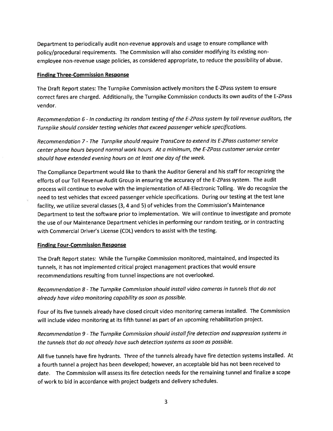Department to periodically audit non-revenue approvals and usage to ensure compliance with policy/procedural requirements. The Commission will also consider modifying its existing nonemployee non-revenue usage policies, as considered appropriate, to reduce the possibility of abuse.

#### **Finding Three-Commission Response**

The Draft Report states: The Turnpike Commission actively monitors the E-ZPass system to ensure correct fares are charged. Additionally, the Turnpike Commission conducts its own audits of the E-ZPass vendor.

Recommendation 6 - In conducting its random testing of the E-ZPass system by toll revenue auditors, the Turnpike should consider testing vehicles that exceed passenger vehicle specifications.

Recommendation 7 - The Turnpike should require TransCore to extend its E-ZPass customer service center phone hours beyond normal work hours. At a minimum, the E-ZPass customer service center should have extended evening hours on at least one day of the week.

The Compliance Department would like to thank the Auditor General and his staff for recognizing the efforts of our Toll Revenue Audit Group in ensuring the accuracy of the E-ZPass system. The audit process will continue to evolve with the implementation of All-Electronic Tolling. We do recognize the need to test vehicles that exceed passenger vehicle specifications. During our testing at the test lane facility, we utilize several classes (3, 4 and 5) of vehicles from the Commission's Maintenance Department to test the software prior to implementation. We will continue to investigate and promote the use of our Maintenance Department vehicles in performing our random testing, or in contracting with Commercial Driver's License (CDL) vendors to assist with the testing.

### **Finding Four-Commission Response**

The Draft Report states: While the Turnpike Commission monitored, maintained, and inspected its tunnels, it has not implemented critical project management practices that would ensure recommendations resulting from tunnel inspections are not overlooked.

Recommendation 8 - The Turnpike Commission should install video cameras in tunnels that do not already have video monitoring capability as soon as possible.

Four of its five tunnels already have closed circuit video monitoring cameras installed. The Commission will include video monitoring at its fifth tunnel as part of an upcoming rehabilitation project.

Recommendation 9 - The Turnpike Commission should install fire detection and suppression systems in the tunnels that do not already have such detection systems as soon as possible.

All five tunnels have fire hydrants. Three of the tunnels already have fire detection systems installed. At a fourth tunnel a project has been developed; however, an acceptable bid has not been received to date. The Commission will assess its fire detection needs for the remaining tunnel and finalize a scope of work to bid in accordance with project budgets and delivery schedules.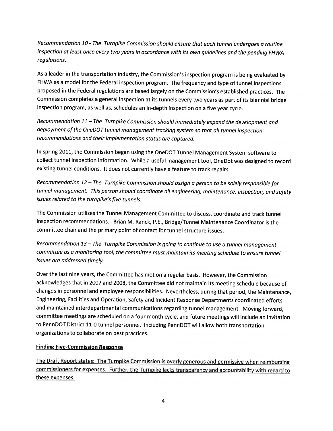Recommendation 10 - The Turnpike Commission should ensure that each tunnel undergoes a routine inspection at least once every two years in accordance with its own guidelines and the pending FHWA regulations.

As a leader in the transportation industry, the Commission's inspection program is being evaluated by FHWA as a model for the Federal inspection program. The frequency and type of tunnel inspections proposed in the Federal regulations are based largely on the Commission's established practices. The Commission completes a general inspection at its tunnels every two years as part of its biennial bridge inspection program, as well as, schedules an in-depth inspection on a five year cycle.

Recommendation 11 - The Turnpike Commission should immediately expand the development and deployment of the OneDOT tunnel management tracking system so that all tunnel inspection recommendations and their implementation status are captured.

In spring 2011, the Commission began using the OneDOT Tunnel Management System software to collect tunnel inspection information. While a useful management tool, OneDot was designed to record existing tunnel conditions. It does not currently have a feature to track repairs.

Recommendation 12 - The Turnpike Commission should assign a person to be solely responsible for tunnel management. This person should coordinate all engineering, maintenance, inspection, and safety issues related to the turnpike's five tunnels.

The Commission utilizes the Tunnel Management Committee to discuss, coordinate and track tunnel inspection recommendations. Brian M. Ranck, P.E., Bridge/Tunnel Maintenance Coordinator is the committee chair and the primary point of contact for tunnel structure issues.

Recommendation 13 - The Turnpike Commission is going to continue to use a tunnel management committee as a monitoring tool, the committee must maintain its meeting schedule to ensure tunnel issues are addressed timely.

Over the last nine years, the Committee has met on a regular basis. However, the Commission acknowledges that in 2007 and 2008, the Committee did not maintain its meeting schedule because of changes in personnel and employee responsibilities. Nevertheless, during that period, the Maintenance, Engineering, Facilities and Operation, Safety and Incident Response Departments coordinated efforts and maintained interdepartmental communications regarding tunnel management. Moving forward, committee meetings are scheduled on a four month cycle, and future meetings will include an invitation to PennDOT District 11-0 tunnel personnel. Including PennDOT will allow both transportation organizations to collaborate on best practices.

## **Finding Five-Commission Response**

The Draft Report states: The Turnpike Commission is overly generous and permissive when reimbursing commissioners for expenses. Further, the Turnpike lacks transparency and accountability with regard to these expenses.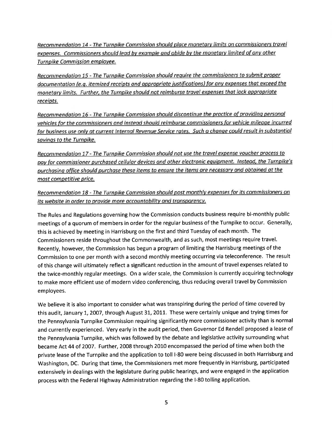Recommendation 14 - The Turnpike Commission should place monetary limits on commissioners travel expenses. Commissioners should lead by example and abide by the monetary limited of any other Turnpike Commission employee.

Recommendation 15 - The Turnpike Commission should require the commissioners to submit proper documentation (e.g. itemized receipts and appropriate justifications) for any expenses that exceed the monetary limits. Further, the Turnpike should not reimburse travel expenses that lack appropriate receipts.

Recommendation 16 - The Turnpike Commission should discontinue the practice of providing personal vehicles for the commissioners and instead should reimburse commissioners for vehicle mileage incurred for business use only at current Internal Revenue Service rates. Such a change could result in substantial savings to the Turnpike.

Recommendation 17 - The Turnpike Commission should not use the travel expense voucher process to pay for commissioner purchased cellular devices and other electronic equipment. Instead, the Turnpike's purchasing office should purchase these items to ensure the items are necessary and obtained at the most competitive price.

Recommendation 18 - The Turnpike Commission should post monthly expenses for its commissioners on its website in order to provide more accountability and transparency.

The Rules and Regulations governing how the Commission conducts business require bi-monthly public meetings of a quorum of members in order for the regular business of the Turnpike to occur. Generally, this is achieved by meeting in Harrisburg on the first and third Tuesday of each month. The Commissioners reside throughout the Commonwealth, and as such, most meetings require travel. Recently, however, the Commission has begun a program of limiting the Harrisburg meetings of the Commission to one per month with a second monthly meeting occurring via teleconference. The result of this change will ultimately reflect a significant reduction in the amount of travel expenses related to the twice-monthly regular meetings. On a wider scale, the Commission is currently acquiring technology to make more efficient use of modern video conferencing, thus reducing overall travel by Commission employees.

We believe it is also important to consider what was transpiring during the period of time covered by this audit, January 1, 2007, through August 31, 2011. These were certainly unique and trying times for the Pennsylvania Turnpike Commission requiring significantly more commissioner activity than is normal and currently experienced. Very early in the audit period, then Governor Ed Rendell proposed a lease of the Pennsylvania Turnpike, which was followed by the debate and legislative activity surrounding what became Act 44 of 2007. Further, 2008 through 2010 encompassed the period of time when both the private lease of the Turnpike and the application to toll I-80 were being discussed in both Harrisburg and Washington, DC. During that time, the Commissioners met more frequently in Harrisburg, participated extensively in dealings with the legislature during public hearings, and were engaged in the application process with the Federal Highway Administration regarding the I-80 tolling application.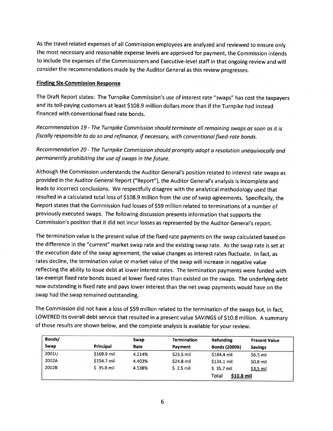As the travel related expenses of all Commission employees are analyzed and reviewed to ensure only the most necessary and reasonable expense levels are approved for payment, the Commission intends to include the expenses of the Commissioners and Executive-level staff in that ongoing review and will consider the recommendations made by the Auditor General as this review progresses.

## **Finding Six-Commission Response**

The Draft Report states: The Turnpike Commission's use of interest rate "swaps" has cost the taxpayers and its toll-paying customers at least \$108.9 million dollars more than if the Turnpike had instead financed with conventional fixed rate bonds.

Recommendation 19 - The Turnpike Commission should terminate all remaining swaps as soon as it is fiscally responsible to do so and refinance, if necessary, with conventional fixed-rate bonds.

Recommendation 20 - The Turnpike Commission should promptly adopt a resolution unequivocally and permanently prohibiting the use of swaps in the future.

Although the Commission understands the Auditor General's position related to interest rate swaps as provided in the Auditor General Report ("Report"), the Auditor General's analysis is incomplete and leads to incorrect conclusions. We respectfully disagree with the analytical methodology used that resulted in a calculated total loss of \$108.9 million from the use of swap agreements. Specifically, the Report states that the Commission had losses of \$59 million related to terminations of a number of previously executed swaps. The following discussion presents information that supports the Commission's position that it did not incur losses as represented by the Auditor General's report.

The termination value is the present value of the fixed rate payments on the swap calculated based on the difference in the "current" market swap rate and the existing swap rate. As the swap rate is set at the execution date of the swap agreement, the value changes as interest rates fluctuate. In fact, as rates decline, the termination value or market value of the swap will increase in negative value reflecting the ability to issue debt at lower interest rates. The termination payments were funded with tax-exempt fixed rate bonds issued at lower fixed rates than existed on the swaps. The underlying debt now outstanding is fixed rate and pays lower interest than the net swap payments would have on the swap had the swap remained outstanding.

The Commission did not have a loss of \$59 million related to the termination of the swaps but, in fact, LOWERED its overall debt service that resulted in a present value SAVINGS of \$10.8 million. A summary of those results are shown below, and the complete analysis is available for your review.

| Bonds/ |             | Swap   | <b>Termination</b> | <b>Refunding</b>     | <b>Present Value</b> |
|--------|-------------|--------|--------------------|----------------------|----------------------|
| Swap   | Principal   | Rate   | Payment            | <b>Bonds (2009B)</b> | <b>Savings</b>       |
| 2001U  | \$169.9 mil | 4.214% | \$25.5 mil         | \$184.4 mil          | $$6.5$ mil           |
| 2002A  | \$154.7 mil | 4.403% | \$24.8 mil         | \$134.1 mil          | \$0.8 mil            |
| 2002B  | $$35.8$ mil | 4.538% | $S$ 2.5 mil        | \$ 35.7 mil          | \$3.5 mil            |
|        |             |        |                    | \$10.8 mil<br>Total  |                      |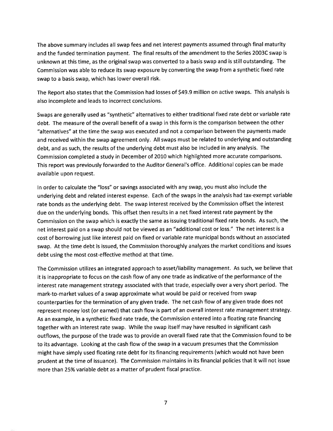The above summary includes all swap fees and net interest payments assumed through final maturity and the funded termination payment. The final results of the amendment to the Series 2003C swap is unknown at this time, as the original swap was converted to a basis swap and is still outstanding. The Commission was able to reduce its swap exposure by converting the swap from a synthetic fixed rate swap to a basis swap, which has lower overall risk.

The Report also states that the Commission had losses of \$49.9 million on active swaps. This analysis is also incomplete and leads to incorrect conclusions.

Swaps are generally used as "synthetic" alternatives to either traditional fixed rate debt or variable rate debt. The measure of the overall benefit of a swap in this form is the comparison between the other "alternatives" at the time the swap was executed and not a comparison between the payments made and received within the swap agreement only. All swaps must be related to underlying and outstanding debt, and as such, the results of the underlying debt must also be included in any analysis. The Commission completed a study in December of 2010 which highlighted more accurate comparisons. This report was previously forwarded to the Auditor General's office. Additional copies can be made available upon request.

In order to calculate the "loss" or savings associated with any swap, you must also include the underlying debt and related interest expense. Each of the swaps in the analysis had tax-exempt variable rate bonds as the underlying debt. The swap interest received by the Commission offset the interest due on the underlying bonds. This offset then results in a net fixed interest rate payment by the Commission on the swap which is exactly the same as issuing traditional fixed rate bonds. As such, the net interest paid on a swap should not be viewed as an "additional cost or loss." The net interest is a cost of borrowing just like interest paid on fixed or variable rate municipal bonds without an associated swap. At the time debt is issued, the Commission thoroughly analyzes the market conditions and issues debt using the most cost-effective method at that time.

The Commission utilizes an integrated approach to asset/liability management. As such, we believe that it is inappropriate to focus on the cash flow of any one trade as indicative of the performance of the interest rate management strategy associated with that trade, especially over a very short period. The mark-to-market values of a swap approximate what would be paid or received from swap counterparties for the termination of any given trade. The net cash flow of any given trade does not represent money lost (or earned) that cash flow is part of an overall interest rate management strategy. As an example, in a synthetic fixed rate trade, the Commission entered into a floating rate financing together with an interest rate swap. While the swap itself may have resulted in significant cash outflows, the purpose of the trade was to provide an overall fixed rate that the Commission found to be to its advantage. Looking at the cash flow of the swap in a vacuum presumes that the Commission might have simply used floating rate debt for its financing requirements (which would not have been prudent at the time of issuance). The Commission maintains in its financial policies that it will not issue more than 25% variable debt as a matter of prudent fiscal practice.